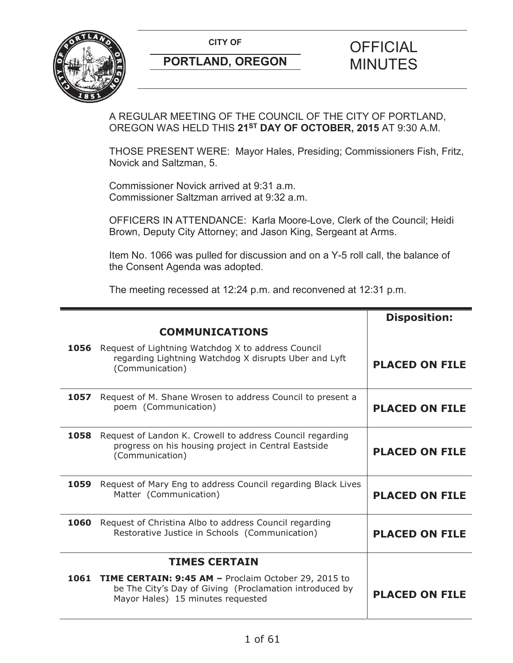**CITY OF CITY OF STRIPS OF FICIAL** 



# **PORTLAND, OREGON MINUTES**

# A REGULAR MEETING OF THE COUNCIL OF THE CITY OF PORTLAND, OREGON WAS HELD THIS **21ST DAY OF OCTOBER, 2015** AT 9:30 A.M.

THOSE PRESENT WERE: Mayor Hales, Presiding; Commissioners Fish, Fritz, Novick and Saltzman, 5.

Commissioner Novick arrived at 9:31 a.m. Commissioner Saltzman arrived at 9:32 a.m.

OFFICERS IN ATTENDANCE: Karla Moore-Love, Clerk of the Council; Heidi Brown, Deputy City Attorney; and Jason King, Sergeant at Arms.

Item No. 1066 was pulled for discussion and on a Y-5 roll call, the balance of the Consent Agenda was adopted.

The meeting recessed at 12:24 p.m. and reconvened at 12:31 p.m.

|      |                                                                                                                                                           | <b>Disposition:</b>   |
|------|-----------------------------------------------------------------------------------------------------------------------------------------------------------|-----------------------|
|      | <b>COMMUNICATIONS</b>                                                                                                                                     |                       |
| 1056 | Request of Lightning Watchdog X to address Council<br>regarding Lightning Watchdog X disrupts Uber and Lyft<br>(Communication)                            | <b>PLACED ON FILE</b> |
| 1057 | Request of M. Shane Wrosen to address Council to present a<br>poem (Communication)                                                                        | <b>PLACED ON FILE</b> |
| 1058 | Request of Landon K. Crowell to address Council regarding<br>progress on his housing project in Central Eastside<br>(Communication)                       | <b>PLACED ON FILE</b> |
| 1059 | Request of Mary Eng to address Council regarding Black Lives<br>Matter (Communication)                                                                    | <b>PLACED ON FILE</b> |
| 1060 | Request of Christina Albo to address Council regarding<br>Restorative Justice in Schools (Communication)                                                  | <b>PLACED ON FILE</b> |
|      | <b>TIMES CERTAIN</b>                                                                                                                                      |                       |
|      | 1061 TIME CERTAIN: 9:45 AM - Proclaim October 29, 2015 to<br>be The City's Day of Giving (Proclamation introduced by<br>Mayor Hales) 15 minutes requested | <b>PLACED ON FILE</b> |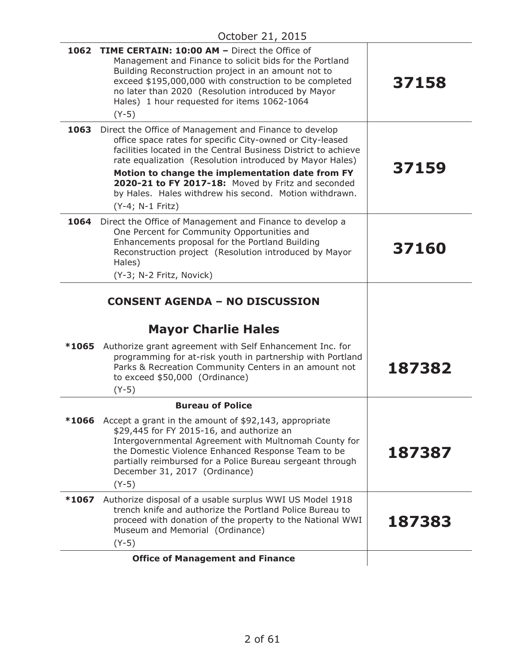|       | 1062 TIME CERTAIN: 10:00 AM - Direct the Office of<br>Management and Finance to solicit bids for the Portland<br>Building Reconstruction project in an amount not to<br>exceed \$195,000,000 with construction to be completed<br>no later than 2020 (Resolution introduced by Mayor<br>Hales) 1 hour requested for items 1062-1064<br>$(Y-5)$                                                                                            | 37158  |
|-------|-------------------------------------------------------------------------------------------------------------------------------------------------------------------------------------------------------------------------------------------------------------------------------------------------------------------------------------------------------------------------------------------------------------------------------------------|--------|
| 1063  | Direct the Office of Management and Finance to develop<br>office space rates for specific City-owned or City-leased<br>facilities located in the Central Business District to achieve<br>rate equalization (Resolution introduced by Mayor Hales)<br>Motion to change the implementation date from FY<br>2020-21 to FY 2017-18: Moved by Fritz and seconded<br>by Hales. Hales withdrew his second. Motion withdrawn.<br>(Y-4; N-1 Fritz) | 37159  |
| 1064  | Direct the Office of Management and Finance to develop a<br>One Percent for Community Opportunities and<br>Enhancements proposal for the Portland Building<br>Reconstruction project (Resolution introduced by Mayor<br>Hales)<br>(Y-3; N-2 Fritz, Novick)                                                                                                                                                                                | 37160  |
|       | <b>CONSENT AGENDA - NO DISCUSSION</b>                                                                                                                                                                                                                                                                                                                                                                                                     |        |
|       | <b>Mayor Charlie Hales</b>                                                                                                                                                                                                                                                                                                                                                                                                                |        |
| *1065 | Authorize grant agreement with Self Enhancement Inc. for<br>programming for at-risk youth in partnership with Portland<br>Parks & Recreation Community Centers in an amount not<br>to exceed \$50,000 (Ordinance)<br>$(Y-5)$                                                                                                                                                                                                              | 187382 |
|       | <b>Bureau of Police</b>                                                                                                                                                                                                                                                                                                                                                                                                                   |        |
| *1066 | Accept a grant in the amount of \$92,143, appropriate<br>\$29,445 for FY 2015-16, and authorize an<br>Intergovernmental Agreement with Multnomah County for<br>the Domestic Violence Enhanced Response Team to be<br>partially reimbursed for a Police Bureau sergeant through<br>December 31, 2017 (Ordinance)<br>$(Y-5)$                                                                                                                | 187387 |
| *1067 | Authorize disposal of a usable surplus WWI US Model 1918<br>trench knife and authorize the Portland Police Bureau to<br>proceed with donation of the property to the National WWI<br>Museum and Memorial (Ordinance)<br>$(Y-5)$                                                                                                                                                                                                           | 187383 |
|       | <b>Office of Management and Finance</b>                                                                                                                                                                                                                                                                                                                                                                                                   |        |
|       |                                                                                                                                                                                                                                                                                                                                                                                                                                           |        |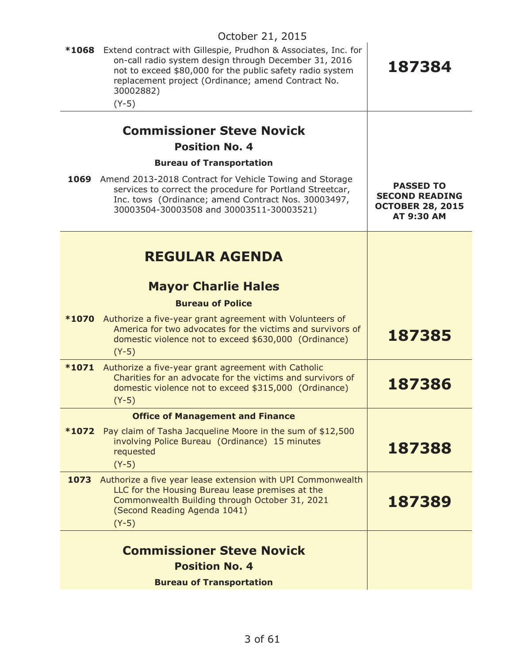| *1068 | Extend contract with Gillespie, Prudhon & Associates, Inc. for<br>on-call radio system design through December 31, 2016<br>not to exceed \$80,000 for the public safety radio system<br>replacement project (Ordinance; amend Contract No.<br>30002882)<br>$(Y-5)$ | 187384                                                                                    |
|-------|--------------------------------------------------------------------------------------------------------------------------------------------------------------------------------------------------------------------------------------------------------------------|-------------------------------------------------------------------------------------------|
|       | <b>Commissioner Steve Novick</b>                                                                                                                                                                                                                                   |                                                                                           |
|       | <b>Position No. 4</b>                                                                                                                                                                                                                                              |                                                                                           |
|       | <b>Bureau of Transportation</b>                                                                                                                                                                                                                                    |                                                                                           |
| 1069  | Amend 2013-2018 Contract for Vehicle Towing and Storage<br>services to correct the procedure for Portland Streetcar,<br>Inc. tows (Ordinance; amend Contract Nos. 30003497,<br>30003504-30003508 and 30003511-30003521)                                            | <b>PASSED TO</b><br><b>SECOND READING</b><br><b>OCTOBER 28, 2015</b><br><b>AT 9:30 AM</b> |
|       |                                                                                                                                                                                                                                                                    |                                                                                           |
|       | <b>REGULAR AGENDA</b>                                                                                                                                                                                                                                              |                                                                                           |
|       | <b>Mayor Charlie Hales</b>                                                                                                                                                                                                                                         |                                                                                           |
|       | <b>Bureau of Police</b>                                                                                                                                                                                                                                            |                                                                                           |
|       | *1070 Authorize a five-year grant agreement with Volunteers of<br>America for two advocates for the victims and survivors of<br>domestic violence not to exceed \$630,000 (Ordinance)<br>$(Y-5)$                                                                   | 187385                                                                                    |
| *1071 | Authorize a five-year grant agreement with Catholic<br>Charities for an advocate for the victims and survivors of<br>domestic violence not to exceed \$315,000 (Ordinance)<br>$(Y-5)$                                                                              | 187386                                                                                    |
|       | <b>Office of Management and Finance</b>                                                                                                                                                                                                                            |                                                                                           |
| *1072 | Pay claim of Tasha Jacqueline Moore in the sum of \$12,500<br>involving Police Bureau (Ordinance) 15 minutes<br>requested<br>$(Y-5)$                                                                                                                               | 187388                                                                                    |
| 1073  | Authorize a five year lease extension with UPI Commonwealth<br>LLC for the Housing Bureau lease premises at the<br>Commonwealth Building through October 31, 2021<br>(Second Reading Agenda 1041)<br>$(Y-5)$                                                       | 187389                                                                                    |
|       |                                                                                                                                                                                                                                                                    |                                                                                           |
|       | <b>Commissioner Steve Novick</b><br><b>Position No. 4</b>                                                                                                                                                                                                          |                                                                                           |
|       |                                                                                                                                                                                                                                                                    |                                                                                           |
|       | <b>Bureau of Transportation</b>                                                                                                                                                                                                                                    |                                                                                           |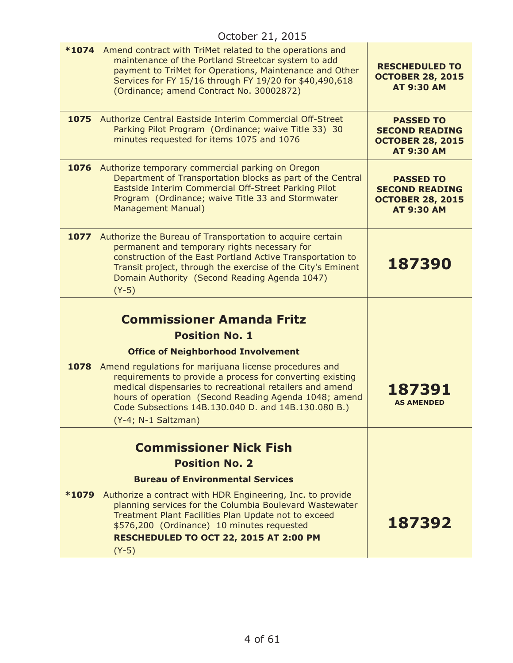|      | October 21, 2015                                                                                                                                                                                                                                                                                                                                                                                                                 |                                                                                           |
|------|----------------------------------------------------------------------------------------------------------------------------------------------------------------------------------------------------------------------------------------------------------------------------------------------------------------------------------------------------------------------------------------------------------------------------------|-------------------------------------------------------------------------------------------|
|      | *1074 Amend contract with TriMet related to the operations and<br>maintenance of the Portland Streetcar system to add<br>payment to TriMet for Operations, Maintenance and Other<br>Services for FY 15/16 through FY 19/20 for \$40,490,618<br>(Ordinance; amend Contract No. 30002872)                                                                                                                                          | <b>RESCHEDULED TO</b><br><b>OCTOBER 28, 2015</b><br><b>AT 9:30 AM</b>                     |
|      | <b>1075</b> Authorize Central Eastside Interim Commercial Off-Street<br>Parking Pilot Program (Ordinance; waive Title 33) 30<br>minutes requested for items 1075 and 1076                                                                                                                                                                                                                                                        | <b>PASSED TO</b><br><b>SECOND READING</b><br><b>OCTOBER 28, 2015</b><br><b>AT 9:30 AM</b> |
|      | 1076 Authorize temporary commercial parking on Oregon<br>Department of Transportation blocks as part of the Central<br>Eastside Interim Commercial Off-Street Parking Pilot<br>Program (Ordinance; waive Title 33 and Stormwater<br>Management Manual)                                                                                                                                                                           | <b>PASSED TO</b><br><b>SECOND READING</b><br><b>OCTOBER 28, 2015</b><br><b>AT 9:30 AM</b> |
|      | 1077 Authorize the Bureau of Transportation to acquire certain<br>permanent and temporary rights necessary for<br>construction of the East Portland Active Transportation to<br>Transit project, through the exercise of the City's Eminent<br>Domain Authority (Second Reading Agenda 1047)<br>$(Y-5)$                                                                                                                          | 187390                                                                                    |
| 1078 | <b>Commissioner Amanda Fritz</b><br><b>Position No. 1</b><br><b>Office of Neighborhood Involvement</b><br>Amend regulations for marijuana license procedures and<br>requirements to provide a process for converting existing<br>medical dispensaries to recreational retailers and amend<br>hours of operation (Second Reading Agenda 1048; amend<br>Code Subsections 14B.130.040 D. and 14B.130.080 B.)<br>(Y-4; N-1 Saltzman) | 187391<br><b>AS AMENDED</b>                                                               |
|      | <b>Commissioner Nick Fish</b><br><b>Position No. 2</b><br><b>Bureau of Environmental Services</b><br><b>*1079</b> Authorize a contract with HDR Engineering, Inc. to provide<br>planning services for the Columbia Boulevard Wastewater<br>Treatment Plant Facilities Plan Update not to exceed<br>\$576,200 (Ordinance) 10 minutes requested<br>RESCHEDULED TO OCT 22, 2015 AT 2:00 PM<br>$(Y-5)$                               | 187392                                                                                    |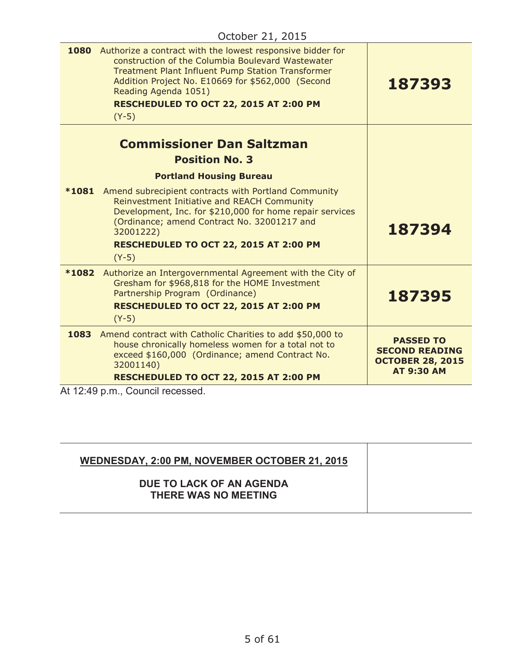| 1080    | Authorize a contract with the lowest responsive bidder for<br>construction of the Columbia Boulevard Wastewater<br><b>Treatment Plant Influent Pump Station Transformer</b><br>Addition Project No. E10669 for \$562,000 (Second<br>Reading Agenda 1051)<br>RESCHEDULED TO OCT 22, 2015 AT 2:00 PM<br>$(Y-5)$ | 187393                                                               |
|---------|---------------------------------------------------------------------------------------------------------------------------------------------------------------------------------------------------------------------------------------------------------------------------------------------------------------|----------------------------------------------------------------------|
|         | <b>Commissioner Dan Saltzman</b><br><b>Position No. 3</b>                                                                                                                                                                                                                                                     |                                                                      |
|         | <b>Portland Housing Bureau</b>                                                                                                                                                                                                                                                                                |                                                                      |
| $*1081$ | Amend subrecipient contracts with Portland Community<br>Reinvestment Initiative and REACH Community<br>Development, Inc. for \$210,000 for home repair services<br>(Ordinance; amend Contract No. 32001217 and<br>32001222)<br>RESCHEDULED TO OCT 22, 2015 AT 2:00 PM<br>$(Y-5)$                              | 187394                                                               |
| *1082   | Authorize an Intergovernmental Agreement with the City of<br>Gresham for \$968,818 for the HOME Investment<br>Partnership Program (Ordinance)<br>RESCHEDULED TO OCT 22, 2015 AT 2:00 PM<br>$(Y-5)$                                                                                                            | 187395                                                               |
|         | 1083 Amend contract with Catholic Charities to add \$50,000 to<br>house chronically homeless women for a total not to<br>exceed \$160,000 (Ordinance; amend Contract No.<br>32001140)                                                                                                                         | <b>PASSED TO</b><br><b>SECOND READING</b><br><b>OCTOBER 28, 2015</b> |
|         | RESCHEDULED TO OCT 22, 2015 AT 2:00 PM                                                                                                                                                                                                                                                                        | <b>AT 9:30 AM</b>                                                    |
|         | At 12:49 p.m., Council recessed.                                                                                                                                                                                                                                                                              |                                                                      |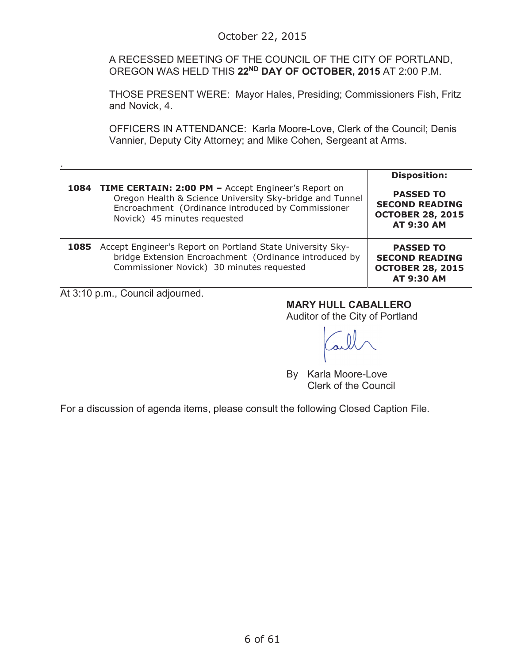A RECESSED MEETING OF THE COUNCIL OF THE CITY OF PORTLAND, OREGON WAS HELD THIS **22ND DAY OF OCTOBER, 2015** AT 2:00 P.M.

THOSE PRESENT WERE: Mayor Hales, Presiding; Commissioners Fish, Fritz and Novick, 4.

OFFICERS IN ATTENDANCE: Karla Moore-Love, Clerk of the Council; Denis Vannier, Deputy City Attorney; and Mike Cohen, Sergeant at Arms.

|      | 1084 TIME CERTAIN: 2:00 PM - Accept Engineer's Report on<br>Oregon Health & Science University Sky-bridge and Tunnel<br>Encroachment (Ordinance introduced by Commissioner<br>Novick) 45 minutes requested | <b>Disposition:</b><br><b>PASSED TO</b><br><b>SECOND READING</b><br><b>OCTOBER 28, 2015</b><br><b>AT 9:30 AM</b> |
|------|------------------------------------------------------------------------------------------------------------------------------------------------------------------------------------------------------------|------------------------------------------------------------------------------------------------------------------|
| 1085 | Accept Engineer's Report on Portland State University Sky-<br>bridge Extension Encroachment (Ordinance introduced by<br>Commissioner Novick) 30 minutes requested                                          | <b>PASSED TO</b><br><b>SECOND READING</b><br><b>OCTOBER 28, 2015</b><br><b>AT 9:30 AM</b>                        |

At 3:10 p.m., Council adjourned.

.

### **MARY HULL CABALLERO**

Auditor of the City of Portland

By Karla Moore-Love Clerk of the Council

For a discussion of agenda items, please consult the following Closed Caption File.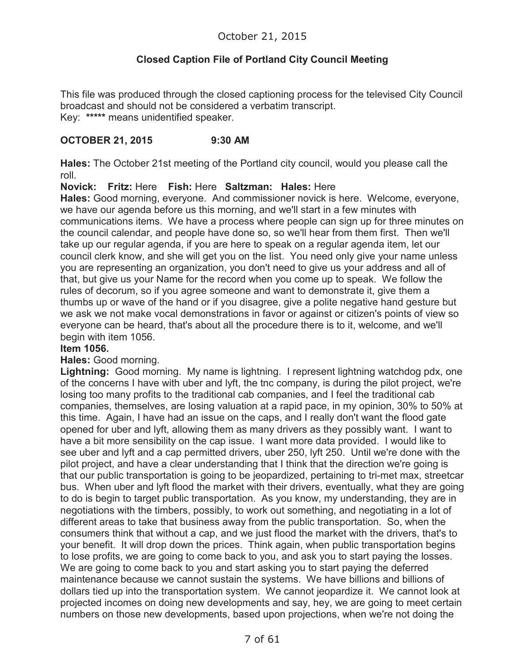# **Closed Caption File of Portland City Council Meeting**

This file was produced through the closed captioning process for the televised City Council broadcast and should not be considered a verbatim transcript. Key: **\*\*\*\*\*** means unidentified speaker.

### **OCTOBER 21, 2015 9:30 AM**

**Hales:** The October 21st meeting of the Portland city council, would you please call the roll.

**Novick: Fritz:** Here **Fish:** Here **Saltzman: Hales:** Here

**Hales:** Good morning, everyone. And commissioner novick is here. Welcome, everyone, we have our agenda before us this morning, and we'll start in a few minutes with communications items. We have a process where people can sign up for three minutes on the council calendar, and people have done so, so we'll hear from them first. Then we'll take up our regular agenda, if you are here to speak on a regular agenda item, let our council clerk know, and she will get you on the list. You need only give your name unless you are representing an organization, you don't need to give us your address and all of that, but give us your Name for the record when you come up to speak. We follow the rules of decorum, so if you agree someone and want to demonstrate it, give them a thumbs up or wave of the hand or if you disagree, give a polite negative hand gesture but we ask we not make vocal demonstrations in favor or against or citizen's points of view so everyone can be heard, that's about all the procedure there is to it, welcome, and we'll begin with item 1056.

#### **Item 1056.**

### **Hales:** Good morning.

**Lightning:** Good morning. My name is lightning. I represent lightning watchdog pdx, one of the concerns I have with uber and lyft, the tnc company, is during the pilot project, we're losing too many profits to the traditional cab companies, and I feel the traditional cab companies, themselves, are losing valuation at a rapid pace, in my opinion, 30% to 50% at this time. Again, I have had an issue on the caps, and I really don't want the flood gate opened for uber and lyft, allowing them as many drivers as they possibly want. I want to have a bit more sensibility on the cap issue. I want more data provided. I would like to see uber and lyft and a cap permitted drivers, uber 250, lyft 250. Until we're done with the pilot project, and have a clear understanding that I think that the direction we're going is that our public transportation is going to be jeopardized, pertaining to tri-met max, streetcar bus. When uber and lyft flood the market with their drivers, eventually, what they are going to do is begin to target public transportation. As you know, my understanding, they are in negotiations with the timbers, possibly, to work out something, and negotiating in a lot of different areas to take that business away from the public transportation. So, when the consumers think that without a cap, and we just flood the market with the drivers, that's to your benefit. It will drop down the prices. Think again, when public transportation begins to lose profits, we are going to come back to you, and ask you to start paying the losses. We are going to come back to you and start asking you to start paying the deferred maintenance because we cannot sustain the systems. We have billions and billions of dollars tied up into the transportation system. We cannot jeopardize it. We cannot look at projected incomes on doing new developments and say, hey, we are going to meet certain numbers on those new developments, based upon projections, when we're not doing the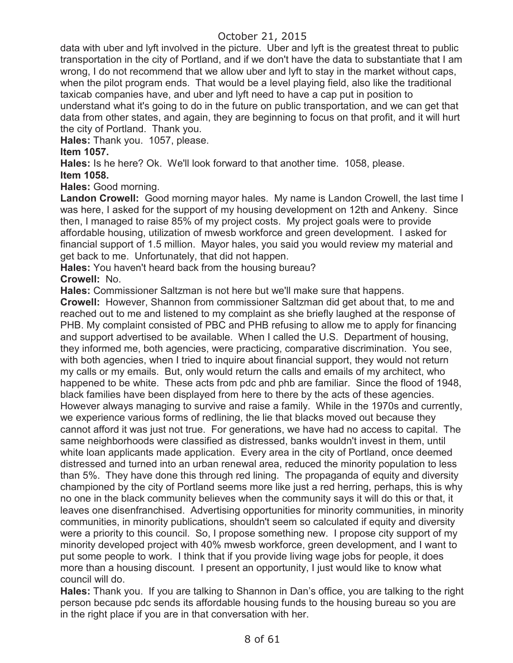data with uber and lyft involved in the picture. Uber and lyft is the greatest threat to public transportation in the city of Portland, and if we don't have the data to substantiate that I am wrong, I do not recommend that we allow uber and lyft to stay in the market without caps, when the pilot program ends. That would be a level playing field, also like the traditional taxicab companies have, and uber and lyft need to have a cap put in position to understand what it's going to do in the future on public transportation, and we can get that data from other states, and again, they are beginning to focus on that profit, and it will hurt the city of Portland. Thank you.

**Hales:** Thank you. 1057, please.

### **Item 1057.**

**Hales:** Is he here? Ok. We'll look forward to that another time. 1058, please. **Item 1058.** 

**Hales:** Good morning.

**Landon Crowell:** Good morning mayor hales. My name is Landon Crowell, the last time I was here, I asked for the support of my housing development on 12th and Ankeny. Since then, I managed to raise 85% of my project costs. My project goals were to provide affordable housing, utilization of mwesb workforce and green development. I asked for financial support of 1.5 million. Mayor hales, you said you would review my material and get back to me. Unfortunately, that did not happen.

**Hales:** You haven't heard back from the housing bureau? **Crowell:** No.

**Hales:** Commissioner Saltzman is not here but we'll make sure that happens.

**Crowell:** However, Shannon from commissioner Saltzman did get about that, to me and reached out to me and listened to my complaint as she briefly laughed at the response of PHB. My complaint consisted of PBC and PHB refusing to allow me to apply for financing and support advertised to be available. When I called the U.S. Department of housing, they informed me, both agencies, were practicing, comparative discrimination. You see, with both agencies, when I tried to inquire about financial support, they would not return my calls or my emails. But, only would return the calls and emails of my architect, who happened to be white. These acts from pdc and phb are familiar. Since the flood of 1948, black families have been displayed from here to there by the acts of these agencies. However always managing to survive and raise a family. While in the 1970s and currently, we experience various forms of redlining, the lie that blacks moved out because they cannot afford it was just not true. For generations, we have had no access to capital. The same neighborhoods were classified as distressed, banks wouldn't invest in them, until white loan applicants made application. Every area in the city of Portland, once deemed distressed and turned into an urban renewal area, reduced the minority population to less than 5%. They have done this through red lining. The propaganda of equity and diversity championed by the city of Portland seems more like just a red herring, perhaps, this is why no one in the black community believes when the community says it will do this or that, it leaves one disenfranchised. Advertising opportunities for minority communities, in minority communities, in minority publications, shouldn't seem so calculated if equity and diversity were a priority to this council. So, I propose something new. I propose city support of my minority developed project with 40% mwesb workforce, green development, and I want to put some people to work. I think that if you provide living wage jobs for people, it does more than a housing discount. I present an opportunity, I just would like to know what council will do.

**Hales:** Thank you. If you are talking to Shannon in Dan's office, you are talking to the right person because pdc sends its affordable housing funds to the housing bureau so you are in the right place if you are in that conversation with her.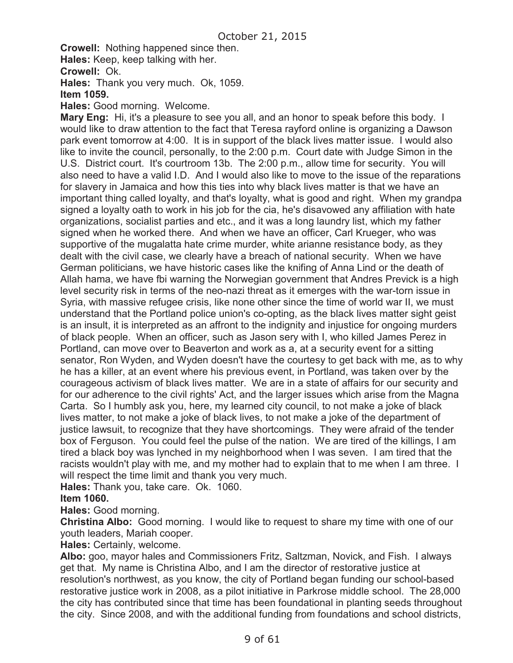**Crowell:** Nothing happened since then.

**Hales:** Keep, keep talking with her.

**Crowell:** Ok.

**Hales:** Thank you very much. Ok, 1059.

#### **Item 1059.**

**Hales:** Good morning. Welcome.

**Mary Eng:** Hi, it's a pleasure to see you all, and an honor to speak before this body. I would like to draw attention to the fact that Teresa rayford online is organizing a Dawson park event tomorrow at 4:00. It is in support of the black lives matter issue. I would also like to invite the council, personally, to the 2:00 p.m. Court date with Judge Simon in the U.S. District court. It's courtroom 13b. The 2:00 p.m., allow time for security. You will also need to have a valid I.D. And I would also like to move to the issue of the reparations for slavery in Jamaica and how this ties into why black lives matter is that we have an important thing called loyalty, and that's loyalty, what is good and right. When my grandpa signed a loyalty oath to work in his job for the cia, he's disavowed any affiliation with hate organizations, socialist parties and etc., and it was a long laundry list, which my father signed when he worked there. And when we have an officer, Carl Krueger, who was supportive of the mugalatta hate crime murder, white arianne resistance body, as they dealt with the civil case, we clearly have a breach of national security. When we have German politicians, we have historic cases like the knifing of Anna Lind or the death of Allah hama, we have fbi warning the Norwegian government that Andres Previck is a high level security risk in terms of the neo-nazi threat as it emerges with the war-torn issue in Syria, with massive refugee crisis, like none other since the time of world war II, we must understand that the Portland police union's co-opting, as the black lives matter sight geist is an insult, it is interpreted as an affront to the indignity and injustice for ongoing murders of black people. When an officer, such as Jason sery with I, who killed James Perez in Portland, can move over to Beaverton and work as a, at a security event for a sitting senator, Ron Wyden, and Wyden doesn't have the courtesy to get back with me, as to why he has a killer, at an event where his previous event, in Portland, was taken over by the courageous activism of black lives matter. We are in a state of affairs for our security and for our adherence to the civil rights' Act, and the larger issues which arise from the Magna Carta. So I humbly ask you, here, my learned city council, to not make a joke of black lives matter, to not make a joke of black lives, to not make a joke of the department of justice lawsuit, to recognize that they have shortcomings. They were afraid of the tender box of Ferguson. You could feel the pulse of the nation. We are tired of the killings, I am tired a black boy was lynched in my neighborhood when I was seven. I am tired that the racists wouldn't play with me, and my mother had to explain that to me when I am three. I will respect the time limit and thank you very much.

**Hales:** Thank you, take care. Ok. 1060.

#### **Item 1060.**

**Hales:** Good morning.

**Christina Albo:** Good morning. I would like to request to share my time with one of our youth leaders, Mariah cooper.

**Hales:** Certainly, welcome.

**Albo:** goo, mayor hales and Commissioners Fritz, Saltzman, Novick, and Fish. I always get that. My name is Christina Albo, and I am the director of restorative justice at resolution's northwest, as you know, the city of Portland began funding our school-based restorative justice work in 2008, as a pilot initiative in Parkrose middle school. The 28,000 the city has contributed since that time has been foundational in planting seeds throughout the city. Since 2008, and with the additional funding from foundations and school districts,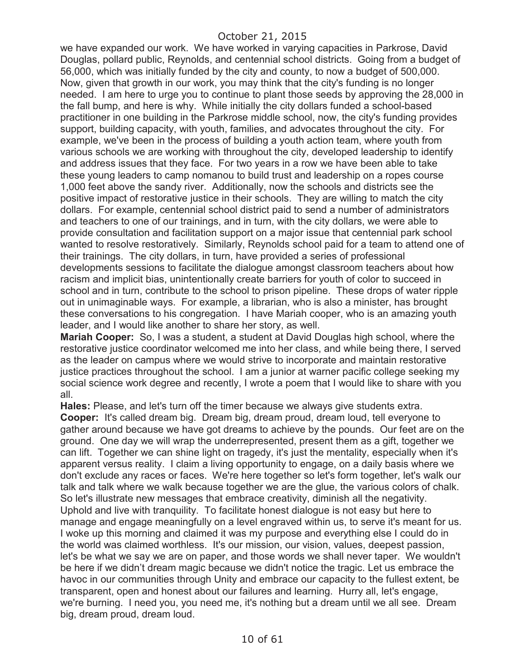we have expanded our work. We have worked in varying capacities in Parkrose, David Douglas, pollard public, Reynolds, and centennial school districts. Going from a budget of 56,000, which was initially funded by the city and county, to now a budget of 500,000. Now, given that growth in our work, you may think that the city's funding is no longer needed. I am here to urge you to continue to plant those seeds by approving the 28,000 in the fall bump, and here is why. While initially the city dollars funded a school-based practitioner in one building in the Parkrose middle school, now, the city's funding provides support, building capacity, with youth, families, and advocates throughout the city. For example, we've been in the process of building a youth action team, where youth from various schools we are working with throughout the city, developed leadership to identify and address issues that they face. For two years in a row we have been able to take these young leaders to camp nomanou to build trust and leadership on a ropes course 1,000 feet above the sandy river. Additionally, now the schools and districts see the positive impact of restorative justice in their schools. They are willing to match the city dollars. For example, centennial school district paid to send a number of administrators and teachers to one of our trainings, and in turn, with the city dollars, we were able to provide consultation and facilitation support on a major issue that centennial park school wanted to resolve restoratively. Similarly, Reynolds school paid for a team to attend one of their trainings. The city dollars, in turn, have provided a series of professional developments sessions to facilitate the dialogue amongst classroom teachers about how racism and implicit bias, unintentionally create barriers for youth of color to succeed in school and in turn, contribute to the school to prison pipeline. These drops of water ripple out in unimaginable ways. For example, a librarian, who is also a minister, has brought these conversations to his congregation. I have Mariah cooper, who is an amazing youth leader, and I would like another to share her story, as well.

**Mariah Cooper:** So, I was a student, a student at David Douglas high school, where the restorative justice coordinator welcomed me into her class, and while being there, I served as the leader on campus where we would strive to incorporate and maintain restorative justice practices throughout the school. I am a junior at warner pacific college seeking my social science work degree and recently, I wrote a poem that I would like to share with you all.

**Hales:** Please, and let's turn off the timer because we always give students extra. **Cooper:** It's called dream big. Dream big, dream proud, dream loud, tell everyone to gather around because we have got dreams to achieve by the pounds. Our feet are on the ground. One day we will wrap the underrepresented, present them as a gift, together we can lift. Together we can shine light on tragedy, it's just the mentality, especially when it's apparent versus reality. I claim a living opportunity to engage, on a daily basis where we don't exclude any races or faces. We're here together so let's form together, let's walk our talk and talk where we walk because together we are the glue, the various colors of chalk. So let's illustrate new messages that embrace creativity, diminish all the negativity. Uphold and live with tranquility. To facilitate honest dialogue is not easy but here to manage and engage meaningfully on a level engraved within us, to serve it's meant for us. I woke up this morning and claimed it was my purpose and everything else I could do in the world was claimed worthless. It's our mission, our vision, values, deepest passion, let's be what we say we are on paper, and those words we shall never taper. We wouldn't be here if we didn't dream magic because we didn't notice the tragic. Let us embrace the havoc in our communities through Unity and embrace our capacity to the fullest extent, be transparent, open and honest about our failures and learning. Hurry all, let's engage, we're burning. I need you, you need me, it's nothing but a dream until we all see. Dream big, dream proud, dream loud.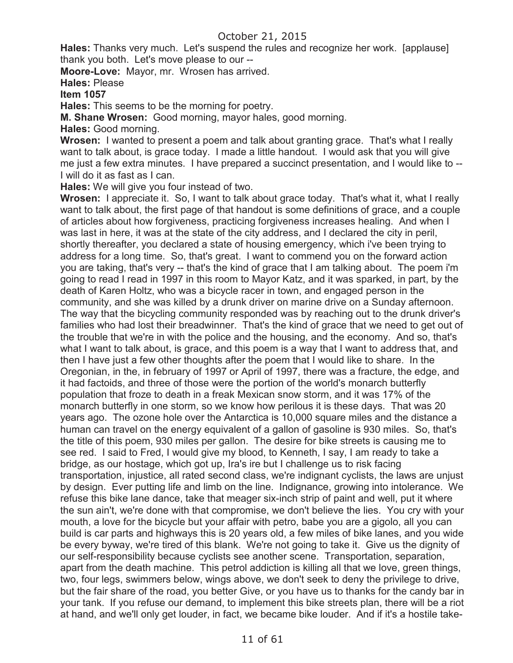**Hales:** Thanks very much. Let's suspend the rules and recognize her work. [applause] thank you both. Let's move please to our --

**Moore-Love:** Mayor, mr. Wrosen has arrived.

**Hales:** Please

### **Item 1057**

**Hales:** This seems to be the morning for poetry.

**M. Shane Wrosen:** Good morning, mayor hales, good morning.

**Hales:** Good morning.

**Wrosen:** I wanted to present a poem and talk about granting grace. That's what I really want to talk about, is grace today. I made a little handout. I would ask that you will give me just a few extra minutes. I have prepared a succinct presentation, and I would like to -- I will do it as fast as I can.

**Hales:** We will give you four instead of two.

Wrosen: I appreciate it. So, I want to talk about grace today. That's what it, what I really want to talk about, the first page of that handout is some definitions of grace, and a couple of articles about how forgiveness, practicing forgiveness increases healing. And when I was last in here, it was at the state of the city address, and I declared the city in peril, shortly thereafter, you declared a state of housing emergency, which i've been trying to address for a long time. So, that's great. I want to commend you on the forward action you are taking, that's very -- that's the kind of grace that I am talking about. The poem i'm going to read I read in 1997 in this room to Mayor Katz, and it was sparked, in part, by the death of Karen Holtz, who was a bicycle racer in town, and engaged person in the community, and she was killed by a drunk driver on marine drive on a Sunday afternoon. The way that the bicycling community responded was by reaching out to the drunk driver's families who had lost their breadwinner. That's the kind of grace that we need to get out of the trouble that we're in with the police and the housing, and the economy. And so, that's what I want to talk about, is grace, and this poem is a way that I want to address that, and then I have just a few other thoughts after the poem that I would like to share. In the Oregonian, in the, in february of 1997 or April of 1997, there was a fracture, the edge, and it had factoids, and three of those were the portion of the world's monarch butterfly population that froze to death in a freak Mexican snow storm, and it was 17% of the monarch butterfly in one storm, so we know how perilous it is these days. That was 20 years ago. The ozone hole over the Antarctica is 10,000 square miles and the distance a human can travel on the energy equivalent of a gallon of gasoline is 930 miles. So, that's the title of this poem, 930 miles per gallon. The desire for bike streets is causing me to see red. I said to Fred, I would give my blood, to Kenneth, I say, I am ready to take a bridge, as our hostage, which got up, Ira's ire but I challenge us to risk facing transportation, injustice, all rated second class, we're indignant cyclists, the laws are unjust by design. Ever putting life and limb on the line. Indignance, growing into intolerance. We refuse this bike lane dance, take that meager six-inch strip of paint and well, put it where the sun ain't, we're done with that compromise, we don't believe the lies. You cry with your mouth, a love for the bicycle but your affair with petro, babe you are a gigolo, all you can build is car parts and highways this is 20 years old, a few miles of bike lanes, and you wide be every byway, we're tired of this blank. We're not going to take it. Give us the dignity of our self-responsibility because cyclists see another scene. Transportation, separation, apart from the death machine. This petrol addiction is killing all that we love, green things, two, four legs, swimmers below, wings above, we don't seek to deny the privilege to drive, but the fair share of the road, you better Give, or you have us to thanks for the candy bar in your tank. If you refuse our demand, to implement this bike streets plan, there will be a riot at hand, and we'll only get louder, in fact, we became bike louder. And if it's a hostile take-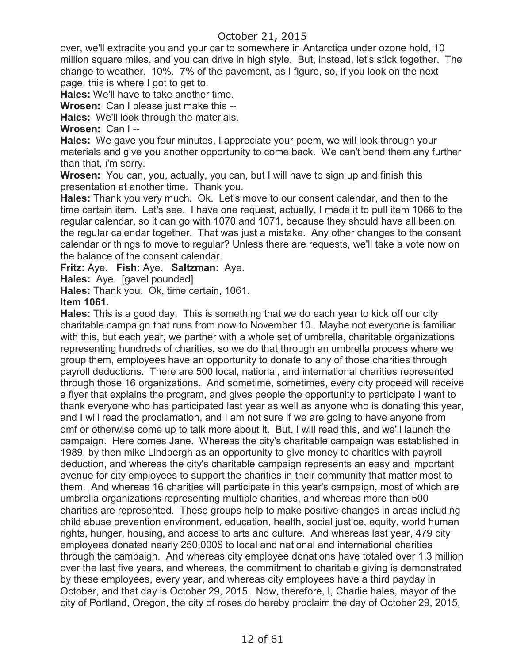over, we'll extradite you and your car to somewhere in Antarctica under ozone hold, 10 million square miles, and you can drive in high style. But, instead, let's stick together. The change to weather. 10%. 7% of the pavement, as I figure, so, if you look on the next page, this is where I got to get to.

**Hales:** We'll have to take another time.

**Wrosen:** Can I please just make this --

**Hales:** We'll look through the materials.

**Wrosen:** Can I --

**Hales:** We gave you four minutes, I appreciate your poem, we will look through your materials and give you another opportunity to come back. We can't bend them any further than that, i'm sorry.

**Wrosen:** You can, you, actually, you can, but I will have to sign up and finish this presentation at another time. Thank you.

**Hales:** Thank you very much. Ok. Let's move to our consent calendar, and then to the time certain item. Let's see. I have one request, actually, I made it to pull item 1066 to the regular calendar, so it can go with 1070 and 1071, because they should have all been on the regular calendar together. That was just a mistake. Any other changes to the consent calendar or things to move to regular? Unless there are requests, we'll take a vote now on the balance of the consent calendar.

**Fritz:** Aye. **Fish:** Aye. **Saltzman:** Aye.

**Hales:** Aye. [gavel pounded]

**Hales:** Thank you. Ok, time certain, 1061.

#### **Item 1061.**

**Hales:** This is a good day. This is something that we do each year to kick off our city charitable campaign that runs from now to November 10. Maybe not everyone is familiar with this, but each year, we partner with a whole set of umbrella, charitable organizations representing hundreds of charities, so we do that through an umbrella process where we group them, employees have an opportunity to donate to any of those charities through payroll deductions. There are 500 local, national, and international charities represented through those 16 organizations. And sometime, sometimes, every city proceed will receive a flyer that explains the program, and gives people the opportunity to participate I want to thank everyone who has participated last year as well as anyone who is donating this year, and I will read the proclamation, and I am not sure if we are going to have anyone from omf or otherwise come up to talk more about it. But, I will read this, and we'll launch the campaign. Here comes Jane. Whereas the city's charitable campaign was established in 1989, by then mike Lindbergh as an opportunity to give money to charities with payroll deduction, and whereas the city's charitable campaign represents an easy and important avenue for city employees to support the charities in their community that matter most to them. And whereas 16 charities will participate in this year's campaign, most of which are umbrella organizations representing multiple charities, and whereas more than 500 charities are represented. These groups help to make positive changes in areas including child abuse prevention environment, education, health, social justice, equity, world human rights, hunger, housing, and access to arts and culture. And whereas last year, 479 city employees donated nearly 250,000\$ to local and national and international charities through the campaign. And whereas city employee donations have totaled over 1.3 million over the last five years, and whereas, the commitment to charitable giving is demonstrated by these employees, every year, and whereas city employees have a third payday in October, and that day is October 29, 2015. Now, therefore, I, Charlie hales, mayor of the city of Portland, Oregon, the city of roses do hereby proclaim the day of October 29, 2015,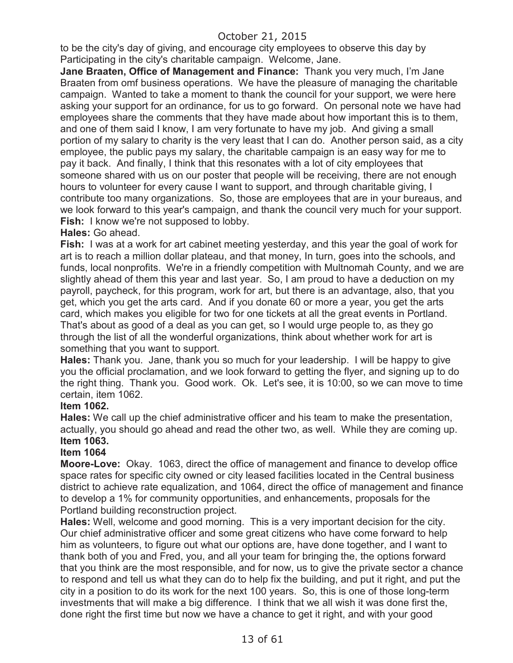to be the city's day of giving, and encourage city employees to observe this day by Participating in the city's charitable campaign. Welcome, Jane.

**Jane Braaten, Office of Management and Finance:** Thank you very much, I'm Jane Braaten from omf business operations. We have the pleasure of managing the charitable campaign. Wanted to take a moment to thank the council for your support, we were here asking your support for an ordinance, for us to go forward. On personal note we have had employees share the comments that they have made about how important this is to them, and one of them said I know, I am very fortunate to have my job. And giving a small portion of my salary to charity is the very least that I can do. Another person said, as a city employee, the public pays my salary, the charitable campaign is an easy way for me to pay it back. And finally, I think that this resonates with a lot of city employees that someone shared with us on our poster that people will be receiving, there are not enough hours to volunteer for every cause I want to support, and through charitable giving, I contribute too many organizations. So, those are employees that are in your bureaus, and we look forward to this year's campaign, and thank the council very much for your support. **Fish:** I know we're not supposed to lobby.

#### **Hales:** Go ahead.

**Fish:** I was at a work for art cabinet meeting yesterday, and this year the goal of work for art is to reach a million dollar plateau, and that money, In turn, goes into the schools, and funds, local nonprofits. We're in a friendly competition with Multnomah County, and we are slightly ahead of them this year and last year. So, I am proud to have a deduction on my payroll, paycheck, for this program, work for art, but there is an advantage, also, that you get, which you get the arts card. And if you donate 60 or more a year, you get the arts card, which makes you eligible for two for one tickets at all the great events in Portland. That's about as good of a deal as you can get, so I would urge people to, as they go through the list of all the wonderful organizations, think about whether work for art is something that you want to support.

**Hales:** Thank you. Jane, thank you so much for your leadership. I will be happy to give you the official proclamation, and we look forward to getting the flyer, and signing up to do the right thing. Thank you. Good work. Ok. Let's see, it is 10:00, so we can move to time certain, item 1062.

### **Item 1062.**

**Hales:** We call up the chief administrative officer and his team to make the presentation, actually, you should go ahead and read the other two, as well. While they are coming up. **Item 1063.**

### **Item 1064**

**Moore-Love:** Okay. 1063, direct the office of management and finance to develop office space rates for specific city owned or city leased facilities located in the Central business district to achieve rate equalization, and 1064, direct the office of management and finance to develop a 1% for community opportunities, and enhancements, proposals for the Portland building reconstruction project.

**Hales:** Well, welcome and good morning. This is a very important decision for the city. Our chief administrative officer and some great citizens who have come forward to help him as volunteers, to figure out what our options are, have done together, and I want to thank both of you and Fred, you, and all your team for bringing the, the options forward that you think are the most responsible, and for now, us to give the private sector a chance to respond and tell us what they can do to help fix the building, and put it right, and put the city in a position to do its work for the next 100 years. So, this is one of those long-term investments that will make a big difference. I think that we all wish it was done first the, done right the first time but now we have a chance to get it right, and with your good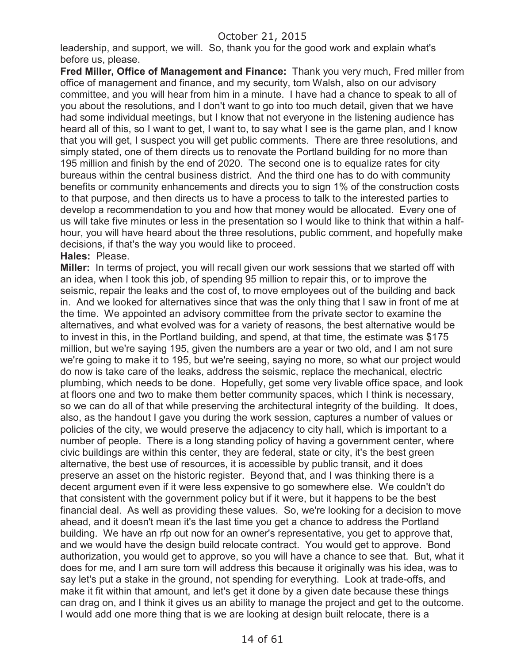leadership, and support, we will. So, thank you for the good work and explain what's before us, please.

**Fred Miller, Office of Management and Finance:** Thank you very much, Fred miller from office of management and finance, and my security, tom Walsh, also on our advisory committee, and you will hear from him in a minute. I have had a chance to speak to all of you about the resolutions, and I don't want to go into too much detail, given that we have had some individual meetings, but I know that not everyone in the listening audience has heard all of this, so I want to get, I want to, to say what I see is the game plan, and I know that you will get, I suspect you will get public comments. There are three resolutions, and simply stated, one of them directs us to renovate the Portland building for no more than 195 million and finish by the end of 2020. The second one is to equalize rates for city bureaus within the central business district. And the third one has to do with community benefits or community enhancements and directs you to sign 1% of the construction costs to that purpose, and then directs us to have a process to talk to the interested parties to develop a recommendation to you and how that money would be allocated. Every one of us will take five minutes or less in the presentation so I would like to think that within a halfhour, you will have heard about the three resolutions, public comment, and hopefully make decisions, if that's the way you would like to proceed.

#### **Hales:** Please.

**Miller:** In terms of project, you will recall given our work sessions that we started off with an idea, when I took this job, of spending 95 million to repair this, or to improve the seismic, repair the leaks and the cost of, to move employees out of the building and back in. And we looked for alternatives since that was the only thing that I saw in front of me at the time. We appointed an advisory committee from the private sector to examine the alternatives, and what evolved was for a variety of reasons, the best alternative would be to invest in this, in the Portland building, and spend, at that time, the estimate was \$175 million, but we're saying 195, given the numbers are a year or two old, and I am not sure we're going to make it to 195, but we're seeing, saying no more, so what our project would do now is take care of the leaks, address the seismic, replace the mechanical, electric plumbing, which needs to be done. Hopefully, get some very livable office space, and look at floors one and two to make them better community spaces, which I think is necessary, so we can do all of that while preserving the architectural integrity of the building. It does, also, as the handout I gave you during the work session, captures a number of values or policies of the city, we would preserve the adjacency to city hall, which is important to a number of people. There is a long standing policy of having a government center, where civic buildings are within this center, they are federal, state or city, it's the best green alternative, the best use of resources, it is accessible by public transit, and it does preserve an asset on the historic register. Beyond that, and I was thinking there is a decent argument even if it were less expensive to go somewhere else. We couldn't do that consistent with the government policy but if it were, but it happens to be the best financial deal. As well as providing these values. So, we're looking for a decision to move ahead, and it doesn't mean it's the last time you get a chance to address the Portland building. We have an rfp out now for an owner's representative, you get to approve that, and we would have the design build relocate contract. You would get to approve. Bond authorization, you would get to approve, so you will have a chance to see that. But, what it does for me, and I am sure tom will address this because it originally was his idea, was to say let's put a stake in the ground, not spending for everything. Look at trade-offs, and make it fit within that amount, and let's get it done by a given date because these things can drag on, and I think it gives us an ability to manage the project and get to the outcome. I would add one more thing that is we are looking at design built relocate, there is a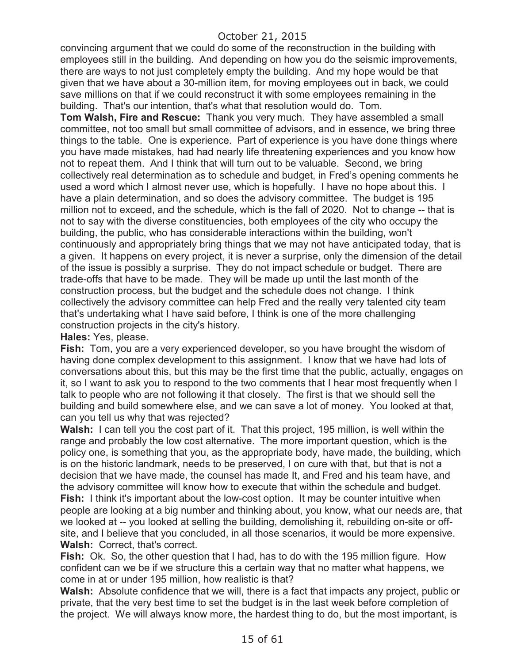convincing argument that we could do some of the reconstruction in the building with employees still in the building. And depending on how you do the seismic improvements, there are ways to not just completely empty the building. And my hope would be that given that we have about a 30-million item, for moving employees out in back, we could save millions on that if we could reconstruct it with some employees remaining in the building. That's our intention, that's what that resolution would do. Tom.

**Tom Walsh, Fire and Rescue:** Thank you very much. They have assembled a small committee, not too small but small committee of advisors, and in essence, we bring three things to the table. One is experience. Part of experience is you have done things where you have made mistakes, had had nearly life threatening experiences and you know how not to repeat them. And I think that will turn out to be valuable. Second, we bring collectively real determination as to schedule and budget, in Fred's opening comments he used a word which I almost never use, which is hopefully. I have no hope about this. I have a plain determination, and so does the advisory committee. The budget is 195 million not to exceed, and the schedule, which is the fall of 2020. Not to change -- that is not to say with the diverse constituencies, both employees of the city who occupy the building, the public, who has considerable interactions within the building, won't continuously and appropriately bring things that we may not have anticipated today, that is a given. It happens on every project, it is never a surprise, only the dimension of the detail of the issue is possibly a surprise. They do not impact schedule or budget. There are trade-offs that have to be made. They will be made up until the last month of the construction process, but the budget and the schedule does not change. I think collectively the advisory committee can help Fred and the really very talented city team that's undertaking what I have said before, I think is one of the more challenging construction projects in the city's history.

**Hales:** Yes, please.

**Fish:** Tom, you are a very experienced developer, so you have brought the wisdom of having done complex development to this assignment. I know that we have had lots of conversations about this, but this may be the first time that the public, actually, engages on it, so I want to ask you to respond to the two comments that I hear most frequently when I talk to people who are not following it that closely. The first is that we should sell the building and build somewhere else, and we can save a lot of money. You looked at that, can you tell us why that was rejected?

**Walsh:** I can tell you the cost part of it. That this project, 195 million, is well within the range and probably the low cost alternative. The more important question, which is the policy one, is something that you, as the appropriate body, have made, the building, which is on the historic landmark, needs to be preserved, I on cure with that, but that is not a decision that we have made, the counsel has made It, and Fred and his team have, and the advisory committee will know how to execute that within the schedule and budget. **Fish:** I think it's important about the low-cost option. It may be counter intuitive when people are looking at a big number and thinking about, you know, what our needs are, that we looked at -- you looked at selling the building, demolishing it, rebuilding on-site or offsite, and I believe that you concluded, in all those scenarios, it would be more expensive. **Walsh:** Correct, that's correct.

**Fish:** Ok. So, the other question that I had, has to do with the 195 million figure. How confident can we be if we structure this a certain way that no matter what happens, we come in at or under 195 million, how realistic is that?

**Walsh:** Absolute confidence that we will, there is a fact that impacts any project, public or private, that the very best time to set the budget is in the last week before completion of the project. We will always know more, the hardest thing to do, but the most important, is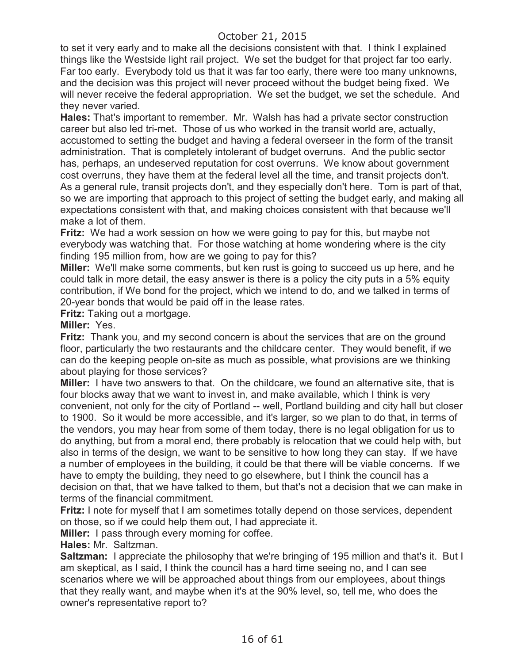to set it very early and to make all the decisions consistent with that. I think I explained things like the Westside light rail project. We set the budget for that project far too early. Far too early. Everybody told us that it was far too early, there were too many unknowns, and the decision was this project will never proceed without the budget being fixed. We will never receive the federal appropriation. We set the budget, we set the schedule. And they never varied.

**Hales:** That's important to remember. Mr. Walsh has had a private sector construction career but also led tri-met. Those of us who worked in the transit world are, actually, accustomed to setting the budget and having a federal overseer in the form of the transit administration. That is completely intolerant of budget overruns. And the public sector has, perhaps, an undeserved reputation for cost overruns. We know about government cost overruns, they have them at the federal level all the time, and transit projects don't. As a general rule, transit projects don't, and they especially don't here. Tom is part of that, so we are importing that approach to this project of setting the budget early, and making all expectations consistent with that, and making choices consistent with that because we'll make a lot of them.

**Fritz:** We had a work session on how we were going to pay for this, but maybe not everybody was watching that. For those watching at home wondering where is the city finding 195 million from, how are we going to pay for this?

**Miller:** We'll make some comments, but ken rust is going to succeed us up here, and he could talk in more detail, the easy answer is there is a policy the city puts in a 5% equity contribution, if We bond for the project, which we intend to do, and we talked in terms of 20-year bonds that would be paid off in the lease rates.

**Fritz:** Taking out a mortgage.

#### **Miller:** Yes.

**Fritz:** Thank you, and my second concern is about the services that are on the ground floor, particularly the two restaurants and the childcare center. They would benefit, if we can do the keeping people on-site as much as possible, what provisions are we thinking about playing for those services?

**Miller:** I have two answers to that. On the childcare, we found an alternative site, that is four blocks away that we want to invest in, and make available, which I think is very convenient, not only for the city of Portland -- well, Portland building and city hall but closer to 1900. So it would be more accessible, and it's larger, so we plan to do that, in terms of the vendors, you may hear from some of them today, there is no legal obligation for us to do anything, but from a moral end, there probably is relocation that we could help with, but also in terms of the design, we want to be sensitive to how long they can stay. If we have a number of employees in the building, it could be that there will be viable concerns. If we have to empty the building, they need to go elsewhere, but I think the council has a decision on that, that we have talked to them, but that's not a decision that we can make in terms of the financial commitment.

**Fritz:** I note for myself that I am sometimes totally depend on those services, dependent on those, so if we could help them out, I had appreciate it.

**Miller:** I pass through every morning for coffee.

**Hales:** Mr. Saltzman.

**Saltzman:** I appreciate the philosophy that we're bringing of 195 million and that's it. But I am skeptical, as I said, I think the council has a hard time seeing no, and I can see scenarios where we will be approached about things from our employees, about things that they really want, and maybe when it's at the 90% level, so, tell me, who does the owner's representative report to?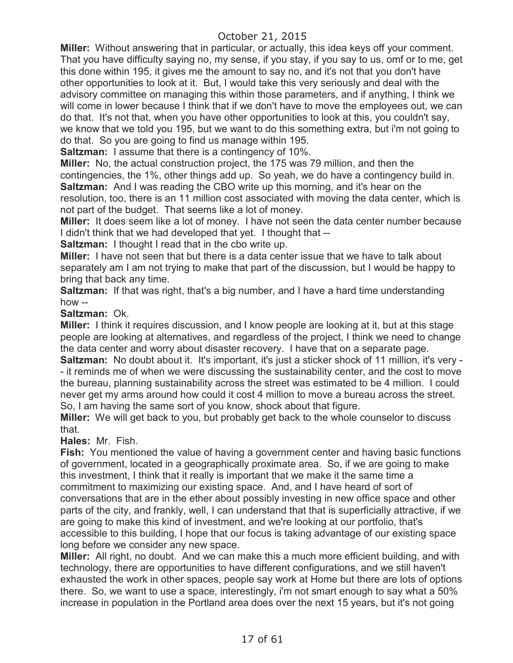**Miller:** Without answering that in particular, or actually, this idea keys off your comment. That you have difficulty saying no, my sense, if you stay, if you say to us, omf or to me, get this done within 195, it gives me the amount to say no, and it's not that you don't have other opportunities to look at it. But, I would take this very seriously and deal with the advisory committee on managing this within those parameters, and if anything, I think we will come in lower because I think that if we don't have to move the employees out, we can do that. It's not that, when you have other opportunities to look at this, you couldn't say, we know that we told you 195, but we want to do this something extra, but i'm not going to do that. So you are going to find us manage within 195.

**Saltzman:** I assume that there is a contingency of 10%.

**Miller:** No, the actual construction project, the 175 was 79 million, and then the contingencies, the 1%, other things add up. So yeah, we do have a contingency build in. **Saltzman:** And I was reading the CBO write up this morning, and it's hear on the

resolution, too, there is an 11 million cost associated with moving the data center, which is not part of the budget. That seems like a lot of money.

**Miller:** It does seem like a lot of money. I have not seen the data center number because I didn't think that we had developed that yet. I thought that --

**Saltzman:** I thought I read that in the cbo write up.

**Miller:** I have not seen that but there is a data center issue that we have to talk about separately am I am not trying to make that part of the discussion, but I would be happy to bring that back any time.

**Saltzman:** If that was right, that's a big number, and I have a hard time understanding how --

**Saltzman:** Ok.

**Miller:** I think it requires discussion, and I know people are looking at it, but at this stage people are looking at alternatives, and regardless of the project, I think we need to change the data center and worry about disaster recovery. I have that on a separate page.

**Saltzman:** No doubt about it. It's important, it's just a sticker shock of 11 million, it's very - - it reminds me of when we were discussing the sustainability center, and the cost to move the bureau, planning sustainability across the street was estimated to be 4 million. I could never get my arms around how could it cost 4 million to move a bureau across the street. So, I am having the same sort of you know, shock about that figure.

**Miller:** We will get back to you, but probably get back to the whole counselor to discuss that.

**Hales:** Mr. Fish.

**Fish:** You mentioned the value of having a government center and having basic functions of government, located in a geographically proximate area. So, if we are going to make this investment, I think that it really is important that we make it the same time a commitment to maximizing our existing space. And, and I have heard of sort of conversations that are in the ether about possibly investing in new office space and other parts of the city, and frankly, well, I can understand that that is superficially attractive, if we are going to make this kind of investment, and we're looking at our portfolio, that's accessible to this building, I hope that our focus is taking advantage of our existing space long before we consider any new space.

**Miller:** All right, no doubt. And we can make this a much more efficient building, and with technology, there are opportunities to have different configurations, and we still haven't exhausted the work in other spaces, people say work at Home but there are lots of options there. So, we want to use a space, interestingly, i'm not smart enough to say what a 50% increase in population in the Portland area does over the next 15 years, but it's not going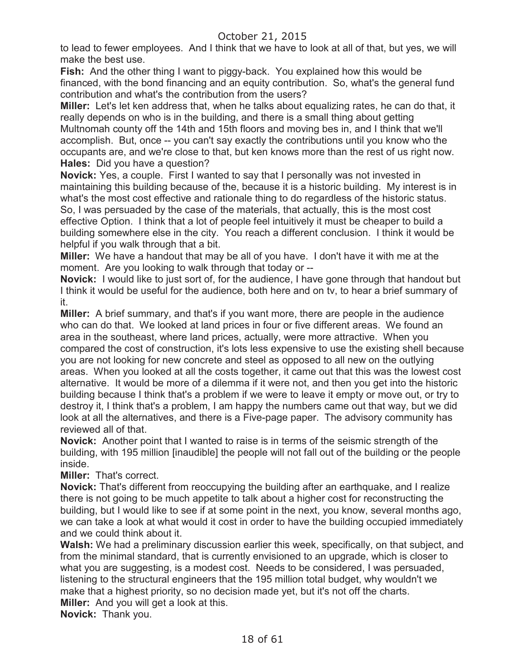to lead to fewer employees. And I think that we have to look at all of that, but yes, we will make the best use.

**Fish:** And the other thing I want to piggy-back. You explained how this would be financed, with the bond financing and an equity contribution. So, what's the general fund contribution and what's the contribution from the users?

**Miller:** Let's let ken address that, when he talks about equalizing rates, he can do that, it really depends on who is in the building, and there is a small thing about getting Multnomah county off the 14th and 15th floors and moving bes in, and I think that we'll accomplish. But, once -- you can't say exactly the contributions until you know who the occupants are, and we're close to that, but ken knows more than the rest of us right now. **Hales:** Did you have a question?

**Novick:** Yes, a couple. First I wanted to say that I personally was not invested in maintaining this building because of the, because it is a historic building. My interest is in what's the most cost effective and rationale thing to do regardless of the historic status. So, I was persuaded by the case of the materials, that actually, this is the most cost effective Option. I think that a lot of people feel intuitively it must be cheaper to build a building somewhere else in the city. You reach a different conclusion. I think it would be helpful if you walk through that a bit.

**Miller:** We have a handout that may be all of you have. I don't have it with me at the moment. Are you looking to walk through that today or --

**Novick:** I would like to just sort of, for the audience, I have gone through that handout but I think it would be useful for the audience, both here and on tv, to hear a brief summary of it.

**Miller:** A brief summary, and that's if you want more, there are people in the audience who can do that. We looked at land prices in four or five different areas. We found an area in the southeast, where land prices, actually, were more attractive. When you compared the cost of construction, it's lots less expensive to use the existing shell because you are not looking for new concrete and steel as opposed to all new on the outlying areas. When you looked at all the costs together, it came out that this was the lowest cost alternative. It would be more of a dilemma if it were not, and then you get into the historic building because I think that's a problem if we were to leave it empty or move out, or try to destroy it, I think that's a problem, I am happy the numbers came out that way, but we did look at all the alternatives, and there is a Five-page paper. The advisory community has reviewed all of that.

**Novick:** Another point that I wanted to raise is in terms of the seismic strength of the building, with 195 million [inaudible] the people will not fall out of the building or the people inside.

**Miller:** That's correct.

**Novick:** That's different from reoccupying the building after an earthquake, and I realize there is not going to be much appetite to talk about a higher cost for reconstructing the building, but I would like to see if at some point in the next, you know, several months ago, we can take a look at what would it cost in order to have the building occupied immediately and we could think about it.

**Walsh:** We had a preliminary discussion earlier this week, specifically, on that subject, and from the minimal standard, that is currently envisioned to an upgrade, which is closer to what you are suggesting, is a modest cost. Needs to be considered, I was persuaded, listening to the structural engineers that the 195 million total budget, why wouldn't we make that a highest priority, so no decision made yet, but it's not off the charts. **Miller:** And you will get a look at this.

**Novick:** Thank you.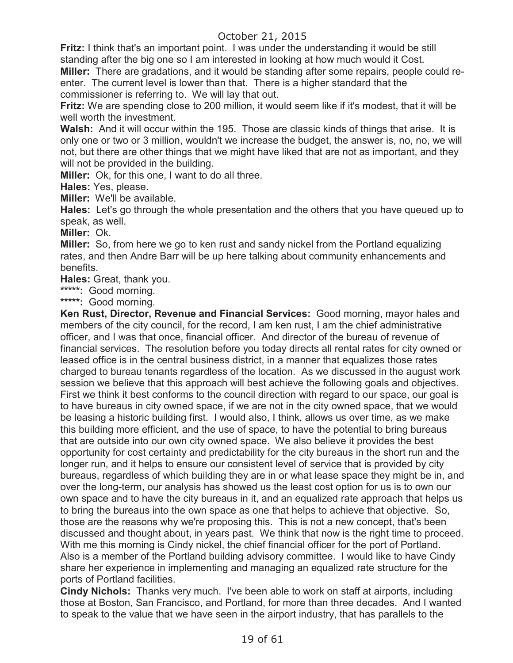**Fritz:** I think that's an important point. I was under the understanding it would be still standing after the big one so I am interested in looking at how much would it Cost.

**Miller:** There are gradations, and it would be standing after some repairs, people could reenter. The current level is lower than that. There is a higher standard that the commissioner is referring to. We will lay that out.

**Fritz:** We are spending close to 200 million, it would seem like if it's modest, that it will be well worth the investment.

**Walsh:** And it will occur within the 195. Those are classic kinds of things that arise. It is only one or two or 3 million, wouldn't we increase the budget, the answer is, no, no, we will not, but there are other things that we might have liked that are not as important, and they will not be provided in the building.

**Miller:** Ok, for this one, I want to do all three.

**Hales:** Yes, please.

**Miller:** We'll be available.

**Hales:** Let's go through the whole presentation and the others that you have queued up to speak, as well.

**Miller:** Ok.

**Miller:** So, from here we go to ken rust and sandy nickel from the Portland equalizing rates, and then Andre Barr will be up here talking about community enhancements and benefits.

**Hales:** Great, thank you.

**\*\*\*\*\*:** Good morning.

**\*\*\*\*\*:** Good morning.

**Ken Rust, Director, Revenue and Financial Services:** Good morning, mayor hales and members of the city council, for the record, I am ken rust, I am the chief administrative officer, and I was that once, financial officer. And director of the bureau of revenue of financial services. The resolution before you today directs all rental rates for city owned or leased office is in the central business district, in a manner that equalizes those rates charged to bureau tenants regardless of the location. As we discussed in the august work session we believe that this approach will best achieve the following goals and objectives. First we think it best conforms to the council direction with regard to our space, our goal is to have bureaus in city owned space, if we are not in the city owned space, that we would be leasing a historic building first. I would also, I think, allows us over time, as we make this building more efficient, and the use of space, to have the potential to bring bureaus that are outside into our own city owned space. We also believe it provides the best opportunity for cost certainty and predictability for the city bureaus in the short run and the longer run, and it helps to ensure our consistent level of service that is provided by city bureaus, regardless of which building they are in or what lease space they might be in, and over the long-term, our analysis has showed us the least cost option for us is to own our own space and to have the city bureaus in it, and an equalized rate approach that helps us to bring the bureaus into the own space as one that helps to achieve that objective. So, those are the reasons why we're proposing this. This is not a new concept, that's been discussed and thought about, in years past. We think that now is the right time to proceed. With me this morning is Cindy nickel, the chief financial officer for the port of Portland. Also is a member of the Portland building advisory committee. I would like to have Cindy share her experience in implementing and managing an equalized rate structure for the ports of Portland facilities.

**Cindy Nichols:** Thanks very much. I've been able to work on staff at airports, including those at Boston, San Francisco, and Portland, for more than three decades. And I wanted to speak to the value that we have seen in the airport industry, that has parallels to the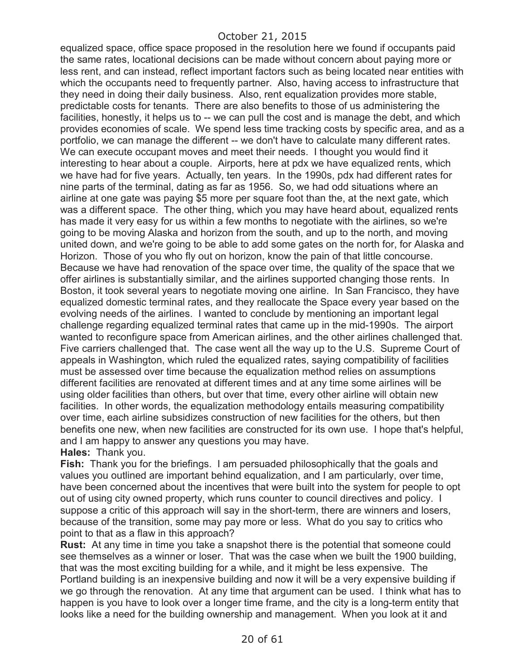equalized space, office space proposed in the resolution here we found if occupants paid the same rates, locational decisions can be made without concern about paying more or less rent, and can instead, reflect important factors such as being located near entities with which the occupants need to frequently partner. Also, having access to infrastructure that they need in doing their daily business. Also, rent equalization provides more stable, predictable costs for tenants. There are also benefits to those of us administering the facilities, honestly, it helps us to -- we can pull the cost and is manage the debt, and which provides economies of scale. We spend less time tracking costs by specific area, and as a portfolio, we can manage the different -- we don't have to calculate many different rates. We can execute occupant moves and meet their needs. I thought you would find it interesting to hear about a couple. Airports, here at pdx we have equalized rents, which we have had for five years. Actually, ten years. In the 1990s, pdx had different rates for nine parts of the terminal, dating as far as 1956. So, we had odd situations where an airline at one gate was paying \$5 more per square foot than the, at the next gate, which was a different space. The other thing, which you may have heard about, equalized rents has made it very easy for us within a few months to negotiate with the airlines, so we're going to be moving Alaska and horizon from the south, and up to the north, and moving united down, and we're going to be able to add some gates on the north for, for Alaska and Horizon. Those of you who fly out on horizon, know the pain of that little concourse. Because we have had renovation of the space over time, the quality of the space that we offer airlines is substantially similar, and the airlines supported changing those rents. In Boston, it took several years to negotiate moving one airline. In San Francisco, they have equalized domestic terminal rates, and they reallocate the Space every year based on the evolving needs of the airlines. I wanted to conclude by mentioning an important legal challenge regarding equalized terminal rates that came up in the mid-1990s. The airport wanted to reconfigure space from American airlines, and the other airlines challenged that. Five carriers challenged that. The case went all the way up to the U.S. Supreme Court of appeals in Washington, which ruled the equalized rates, saying compatibility of facilities must be assessed over time because the equalization method relies on assumptions different facilities are renovated at different times and at any time some airlines will be using older facilities than others, but over that time, every other airline will obtain new facilities. In other words, the equalization methodology entails measuring compatibility over time, each airline subsidizes construction of new facilities for the others, but then benefits one new, when new facilities are constructed for its own use. I hope that's helpful, and I am happy to answer any questions you may have.

**Hales:** Thank you.

**Fish:** Thank you for the briefings. I am persuaded philosophically that the goals and values you outlined are important behind equalization, and I am particularly, over time, have been concerned about the incentives that were built into the system for people to opt out of using city owned property, which runs counter to council directives and policy. I suppose a critic of this approach will say in the short-term, there are winners and losers, because of the transition, some may pay more or less. What do you say to critics who point to that as a flaw in this approach?

**Rust:** At any time in time you take a snapshot there is the potential that someone could see themselves as a winner or loser. That was the case when we built the 1900 building, that was the most exciting building for a while, and it might be less expensive. The Portland building is an inexpensive building and now it will be a very expensive building if we go through the renovation. At any time that argument can be used. I think what has to happen is you have to look over a longer time frame, and the city is a long-term entity that looks like a need for the building ownership and management. When you look at it and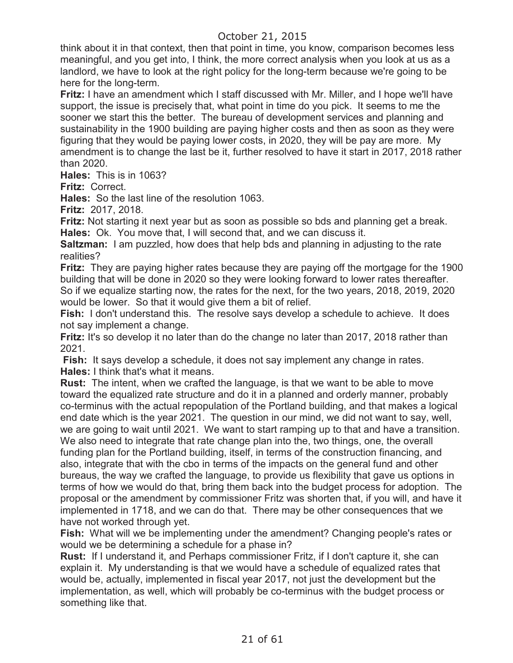think about it in that context, then that point in time, you know, comparison becomes less meaningful, and you get into, I think, the more correct analysis when you look at us as a landlord, we have to look at the right policy for the long-term because we're going to be here for the long-term.

**Fritz:** I have an amendment which I staff discussed with Mr. Miller, and I hope we'll have support, the issue is precisely that, what point in time do you pick. It seems to me the sooner we start this the better. The bureau of development services and planning and sustainability in the 1900 building are paying higher costs and then as soon as they were figuring that they would be paying lower costs, in 2020, they will be pay are more. My amendment is to change the last be it, further resolved to have it start in 2017, 2018 rather than 2020.

**Hales:** This is in 1063?

**Fritz:** Correct.

**Hales:** So the last line of the resolution 1063.

**Fritz:** 2017, 2018.

**Fritz:** Not starting it next year but as soon as possible so bds and planning get a break. **Hales:** Ok. You move that, I will second that, and we can discuss it.

**Saltzman:** I am puzzled, how does that help bds and planning in adjusting to the rate realities?

**Fritz:** They are paying higher rates because they are paying off the mortgage for the 1900 building that will be done in 2020 so they were looking forward to lower rates thereafter. So if we equalize starting now, the rates for the next, for the two years, 2018, 2019, 2020 would be lower. So that it would give them a bit of relief.

**Fish:** I don't understand this. The resolve says develop a schedule to achieve. It does not say implement a change.

**Fritz:** It's so develop it no later than do the change no later than 2017, 2018 rather than 2021.

Fish: It says develop a schedule, it does not say implement any change in rates. **Hales:** I think that's what it means.

**Rust:** The intent, when we crafted the language, is that we want to be able to move toward the equalized rate structure and do it in a planned and orderly manner, probably co-terminus with the actual repopulation of the Portland building, and that makes a logical end date which is the year 2021. The question in our mind, we did not want to say, well, we are going to wait until 2021. We want to start ramping up to that and have a transition. We also need to integrate that rate change plan into the, two things, one, the overall funding plan for the Portland building, itself, in terms of the construction financing, and also, integrate that with the cbo in terms of the impacts on the general fund and other bureaus, the way we crafted the language, to provide us flexibility that gave us options in terms of how we would do that, bring them back into the budget process for adoption. The proposal or the amendment by commissioner Fritz was shorten that, if you will, and have it implemented in 1718, and we can do that. There may be other consequences that we have not worked through yet.

**Fish:** What will we be implementing under the amendment? Changing people's rates or would we be determining a schedule for a phase in?

**Rust:** If I understand it, and Perhaps commissioner Fritz, if I don't capture it, she can explain it. My understanding is that we would have a schedule of equalized rates that would be, actually, implemented in fiscal year 2017, not just the development but the implementation, as well, which will probably be co-terminus with the budget process or something like that.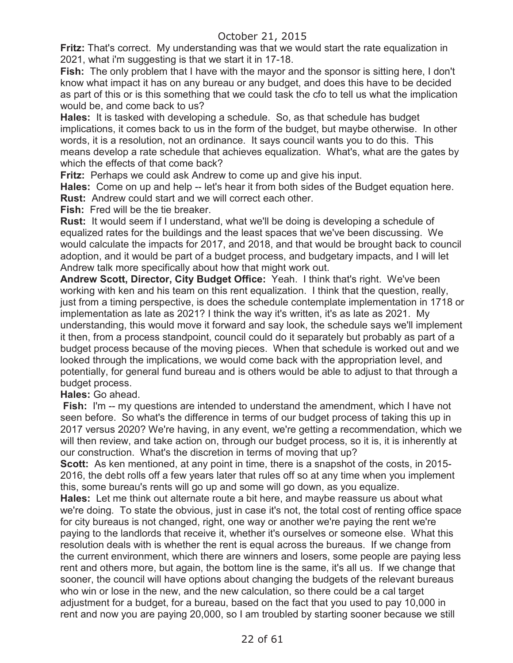**Fritz:** That's correct. My understanding was that we would start the rate equalization in 2021, what i'm suggesting is that we start it in 17-18.

**Fish:** The only problem that I have with the mayor and the sponsor is sitting here, I don't know what impact it has on any bureau or any budget, and does this have to be decided as part of this or is this something that we could task the cfo to tell us what the implication would be, and come back to us?

**Hales:** It is tasked with developing a schedule. So, as that schedule has budget implications, it comes back to us in the form of the budget, but maybe otherwise. In other words, it is a resolution, not an ordinance. It says council wants you to do this. This means develop a rate schedule that achieves equalization. What's, what are the gates by which the effects of that come back?

**Fritz:** Perhaps we could ask Andrew to come up and give his input.

**Hales:** Come on up and help -- let's hear it from both sides of the Budget equation here. **Rust:** Andrew could start and we will correct each other.

**Fish:** Fred will be the tie breaker.

**Rust:** It would seem if I understand, what we'll be doing is developing a schedule of equalized rates for the buildings and the least spaces that we've been discussing. We would calculate the impacts for 2017, and 2018, and that would be brought back to council adoption, and it would be part of a budget process, and budgetary impacts, and I will let Andrew talk more specifically about how that might work out.

**Andrew Scott, Director, City Budget Office:** Yeah. I think that's right. We've been working with ken and his team on this rent equalization. I think that the question, really, just from a timing perspective, is does the schedule contemplate implementation in 1718 or implementation as late as 2021? I think the way it's written, it's as late as 2021. My understanding, this would move it forward and say look, the schedule says we'll implement it then, from a process standpoint, council could do it separately but probably as part of a budget process because of the moving pieces. When that schedule is worked out and we looked through the implications, we would come back with the appropriation level, and potentially, for general fund bureau and is others would be able to adjust to that through a budget process.

**Hales:** Go ahead.

**Fish:** I'm -- my questions are intended to understand the amendment, which I have not seen before. So what's the difference in terms of our budget process of taking this up in 2017 versus 2020? We're having, in any event, we're getting a recommendation, which we will then review, and take action on, through our budget process, so it is, it is inherently at our construction. What's the discretion in terms of moving that up?

**Scott:** As ken mentioned, at any point in time, there is a snapshot of the costs, in 2015- 2016, the debt rolls off a few years later that rules off so at any time when you implement this, some bureau's rents will go up and some will go down, as you equalize.

**Hales:** Let me think out alternate route a bit here, and maybe reassure us about what we're doing. To state the obvious, just in case it's not, the total cost of renting office space for city bureaus is not changed, right, one way or another we're paying the rent we're paying to the landlords that receive it, whether it's ourselves or someone else. What this resolution deals with is whether the rent is equal across the bureaus. If we change from the current environment, which there are winners and losers, some people are paying less rent and others more, but again, the bottom line is the same, it's all us. If we change that sooner, the council will have options about changing the budgets of the relevant bureaus who win or lose in the new, and the new calculation, so there could be a cal target adjustment for a budget, for a bureau, based on the fact that you used to pay 10,000 in rent and now you are paying 20,000, so I am troubled by starting sooner because we still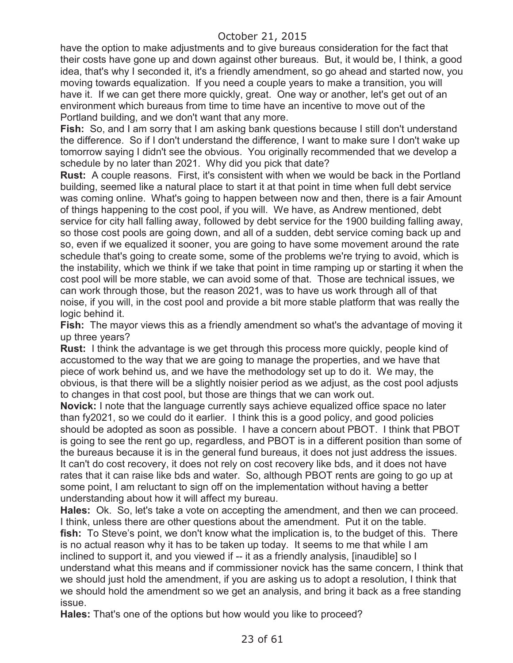have the option to make adjustments and to give bureaus consideration for the fact that their costs have gone up and down against other bureaus. But, it would be, I think, a good idea, that's why I seconded it, it's a friendly amendment, so go ahead and started now, you moving towards equalization. If you need a couple years to make a transition, you will have it. If we can get there more quickly, great. One way or another, let's get out of an environment which bureaus from time to time have an incentive to move out of the Portland building, and we don't want that any more.

**Fish:** So, and I am sorry that I am asking bank questions because I still don't understand the difference. So if I don't understand the difference, I want to make sure I don't wake up tomorrow saying I didn't see the obvious. You originally recommended that we develop a schedule by no later than 2021. Why did you pick that date?

**Rust:** A couple reasons. First, it's consistent with when we would be back in the Portland building, seemed like a natural place to start it at that point in time when full debt service was coming online. What's going to happen between now and then, there is a fair Amount of things happening to the cost pool, if you will. We have, as Andrew mentioned, debt service for city hall falling away, followed by debt service for the 1900 building falling away, so those cost pools are going down, and all of a sudden, debt service coming back up and so, even if we equalized it sooner, you are going to have some movement around the rate schedule that's going to create some, some of the problems we're trying to avoid, which is the instability, which we think if we take that point in time ramping up or starting it when the cost pool will be more stable, we can avoid some of that. Those are technical issues, we can work through those, but the reason 2021, was to have us work through all of that noise, if you will, in the cost pool and provide a bit more stable platform that was really the logic behind it.

**Fish:** The mayor views this as a friendly amendment so what's the advantage of moving it up three years?

**Rust:** I think the advantage is we get through this process more quickly, people kind of accustomed to the way that we are going to manage the properties, and we have that piece of work behind us, and we have the methodology set up to do it. We may, the obvious, is that there will be a slightly noisier period as we adjust, as the cost pool adjusts to changes in that cost pool, but those are things that we can work out.

**Novick:** I note that the language currently says achieve equalized office space no later than fy2021, so we could do it earlier. I think this is a good policy, and good policies should be adopted as soon as possible. I have a concern about PBOT. I think that PBOT is going to see the rent go up, regardless, and PBOT is in a different position than some of the bureaus because it is in the general fund bureaus, it does not just address the issues. It can't do cost recovery, it does not rely on cost recovery like bds, and it does not have rates that it can raise like bds and water. So, although PBOT rents are going to go up at some point, I am reluctant to sign off on the implementation without having a better understanding about how it will affect my bureau.

**Hales:** Ok. So, let's take a vote on accepting the amendment, and then we can proceed. I think, unless there are other questions about the amendment. Put it on the table. **fish:** To Steve's point, we don't know what the implication is, to the budget of this. There is no actual reason why it has to be taken up today. It seems to me that while I am inclined to support it, and you viewed if -- it as a friendly analysis, [inaudible] so I understand what this means and if commissioner novick has the same concern, I think that we should just hold the amendment, if you are asking us to adopt a resolution, I think that we should hold the amendment so we get an analysis, and bring it back as a free standing issue.

**Hales:** That's one of the options but how would you like to proceed?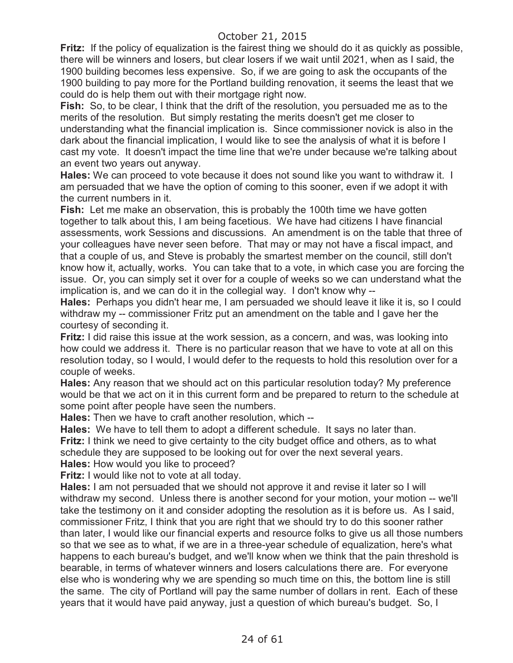**Fritz:** If the policy of equalization is the fairest thing we should do it as quickly as possible, there will be winners and losers, but clear losers if we wait until 2021, when as I said, the 1900 building becomes less expensive. So, if we are going to ask the occupants of the 1900 building to pay more for the Portland building renovation, it seems the least that we could do is help them out with their mortgage right now.

**Fish:** So, to be clear, I think that the drift of the resolution, you persuaded me as to the merits of the resolution. But simply restating the merits doesn't get me closer to understanding what the financial implication is. Since commissioner novick is also in the dark about the financial implication, I would like to see the analysis of what it is before I cast my vote. It doesn't impact the time line that we're under because we're talking about an event two years out anyway.

**Hales:** We can proceed to vote because it does not sound like you want to withdraw it. I am persuaded that we have the option of coming to this sooner, even if we adopt it with the current numbers in it.

**Fish:** Let me make an observation, this is probably the 100th time we have gotten together to talk about this, I am being facetious. We have had citizens I have financial assessments, work Sessions and discussions. An amendment is on the table that three of your colleagues have never seen before. That may or may not have a fiscal impact, and that a couple of us, and Steve is probably the smartest member on the council, still don't know how it, actually, works. You can take that to a vote, in which case you are forcing the issue. Or, you can simply set it over for a couple of weeks so we can understand what the implication is, and we can do it in the collegial way. I don't know why --

**Hales:** Perhaps you didn't hear me, I am persuaded we should leave it like it is, so I could withdraw my -- commissioner Fritz put an amendment on the table and I gave her the courtesy of seconding it.

**Fritz:** I did raise this issue at the work session, as a concern, and was, was looking into how could we address it. There is no particular reason that we have to vote at all on this resolution today, so I would, I would defer to the requests to hold this resolution over for a couple of weeks.

**Hales:** Any reason that we should act on this particular resolution today? My preference would be that we act on it in this current form and be prepared to return to the schedule at some point after people have seen the numbers.

**Hales:** Then we have to craft another resolution, which --

**Hales:** We have to tell them to adopt a different schedule. It says no later than. **Fritz:** I think we need to give certainty to the city budget office and others, as to what schedule they are supposed to be looking out for over the next several years. **Hales:** How would you like to proceed?

**Fritz:** I would like not to vote at all today.

**Hales:** I am not persuaded that we should not approve it and revise it later so I will withdraw my second. Unless there is another second for your motion, your motion -- we'll take the testimony on it and consider adopting the resolution as it is before us. As I said, commissioner Fritz, I think that you are right that we should try to do this sooner rather than later, I would like our financial experts and resource folks to give us all those numbers so that we see as to what, if we are in a three-year schedule of equalization, here's what happens to each bureau's budget, and we'll know when we think that the pain threshold is bearable, in terms of whatever winners and losers calculations there are. For everyone else who is wondering why we are spending so much time on this, the bottom line is still the same. The city of Portland will pay the same number of dollars in rent. Each of these years that it would have paid anyway, just a question of which bureau's budget. So, I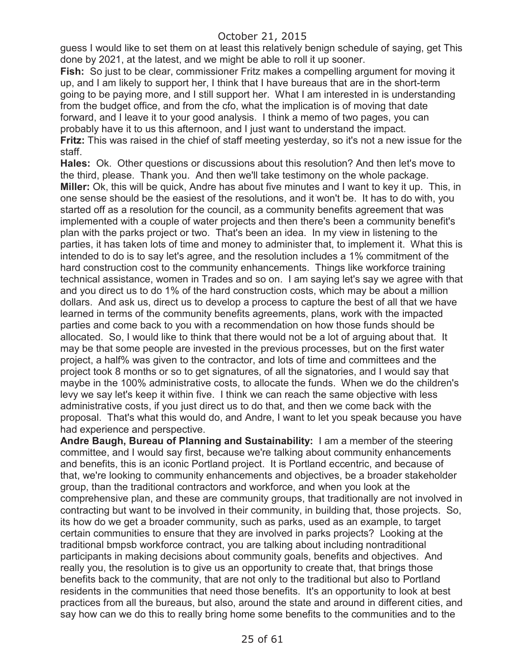guess I would like to set them on at least this relatively benign schedule of saying, get This done by 2021, at the latest, and we might be able to roll it up sooner.

**Fish:** So just to be clear, commissioner Fritz makes a compelling argument for moving it up, and I am likely to support her, I think that I have bureaus that are in the short-term going to be paying more, and I still support her. What I am interested in is understanding from the budget office, and from the cfo, what the implication is of moving that date forward, and I leave it to your good analysis. I think a memo of two pages, you can probably have it to us this afternoon, and I just want to understand the impact. **Fritz:** This was raised in the chief of staff meeting yesterday, so it's not a new issue for the staff.

**Hales:** Ok. Other questions or discussions about this resolution? And then let's move to the third, please. Thank you. And then we'll take testimony on the whole package. **Miller:** Ok, this will be quick, Andre has about five minutes and I want to key it up. This, in one sense should be the easiest of the resolutions, and it won't be. It has to do with, you started off as a resolution for the council, as a community benefits agreement that was implemented with a couple of water projects and then there's been a community benefit's plan with the parks project or two. That's been an idea. In my view in listening to the parties, it has taken lots of time and money to administer that, to implement it. What this is intended to do is to say let's agree, and the resolution includes a 1% commitment of the hard construction cost to the community enhancements. Things like workforce training technical assistance, women in Trades and so on. I am saying let's say we agree with that and you direct us to do 1% of the hard construction costs, which may be about a million dollars. And ask us, direct us to develop a process to capture the best of all that we have learned in terms of the community benefits agreements, plans, work with the impacted parties and come back to you with a recommendation on how those funds should be allocated. So, I would like to think that there would not be a lot of arguing about that. It may be that some people are invested in the previous processes, but on the first water project, a half% was given to the contractor, and lots of time and committees and the project took 8 months or so to get signatures, of all the signatories, and I would say that maybe in the 100% administrative costs, to allocate the funds. When we do the children's levy we say let's keep it within five. I think we can reach the same objective with less administrative costs, if you just direct us to do that, and then we come back with the proposal. That's what this would do, and Andre, I want to let you speak because you have had experience and perspective.

**Andre Baugh, Bureau of Planning and Sustainability:** I am a member of the steering committee, and I would say first, because we're talking about community enhancements and benefits, this is an iconic Portland project. It is Portland eccentric, and because of that, we're looking to community enhancements and objectives, be a broader stakeholder group, than the traditional contractors and workforce, and when you look at the comprehensive plan, and these are community groups, that traditionally are not involved in contracting but want to be involved in their community, in building that, those projects. So, its how do we get a broader community, such as parks, used as an example, to target certain communities to ensure that they are involved in parks projects? Looking at the traditional bmpsb workforce contract, you are talking about including nontraditional participants in making decisions about community goals, benefits and objectives. And really you, the resolution is to give us an opportunity to create that, that brings those benefits back to the community, that are not only to the traditional but also to Portland residents in the communities that need those benefits. It's an opportunity to look at best practices from all the bureaus, but also, around the state and around in different cities, and say how can we do this to really bring home some benefits to the communities and to the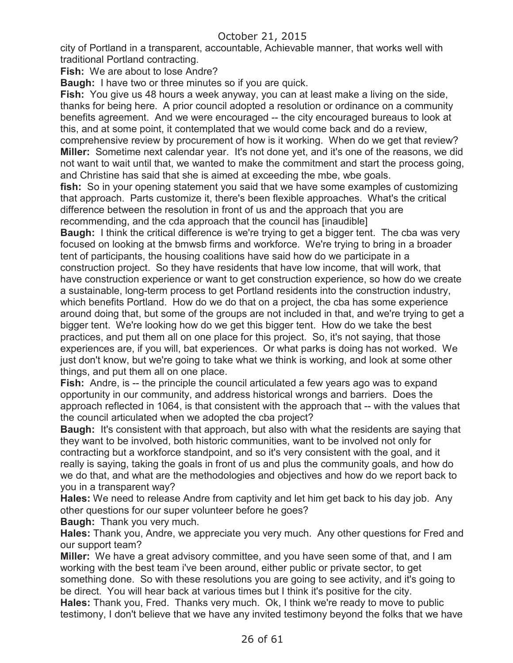city of Portland in a transparent, accountable, Achievable manner, that works well with traditional Portland contracting.

**Fish:** We are about to lose Andre?

**Baugh:** I have two or three minutes so if you are quick.

**Fish:** You give us 48 hours a week anyway, you can at least make a living on the side, thanks for being here. A prior council adopted a resolution or ordinance on a community benefits agreement. And we were encouraged -- the city encouraged bureaus to look at this, and at some point, it contemplated that we would come back and do a review, comprehensive review by procurement of how is it working. When do we get that review? **Miller:** Sometime next calendar year. It's not done yet, and it's one of the reasons, we did not want to wait until that, we wanted to make the commitment and start the process going, and Christine has said that she is aimed at exceeding the mbe, wbe goals.

**fish:** So in your opening statement you said that we have some examples of customizing that approach. Parts customize it, there's been flexible approaches. What's the critical difference between the resolution in front of us and the approach that you are recommending, and the cda approach that the council has [inaudible]

**Baugh:** I think the critical difference is we're trying to get a bigger tent. The cba was very focused on looking at the bmwsb firms and workforce. We're trying to bring in a broader tent of participants, the housing coalitions have said how do we participate in a construction project. So they have residents that have low income, that will work, that have construction experience or want to get construction experience, so how do we create a sustainable, long-term process to get Portland residents into the construction industry, which benefits Portland. How do we do that on a project, the cba has some experience around doing that, but some of the groups are not included in that, and we're trying to get a bigger tent. We're looking how do we get this bigger tent. How do we take the best practices, and put them all on one place for this project. So, it's not saying, that those experiences are, if you will, bat experiences. Or what parks is doing has not worked. We just don't know, but we're going to take what we think is working, and look at some other things, and put them all on one place.

**Fish:** Andre, is -- the principle the council articulated a few years ago was to expand opportunity in our community, and address historical wrongs and barriers. Does the approach reflected in 1064, is that consistent with the approach that -- with the values that the council articulated when we adopted the cba project?

**Baugh:** It's consistent with that approach, but also with what the residents are saying that they want to be involved, both historic communities, want to be involved not only for contracting but a workforce standpoint, and so it's very consistent with the goal, and it really is saying, taking the goals in front of us and plus the community goals, and how do we do that, and what are the methodologies and objectives and how do we report back to you in a transparent way?

**Hales:** We need to release Andre from captivity and let him get back to his day job. Any other questions for our super volunteer before he goes?

**Baugh:** Thank you very much.

**Hales:** Thank you, Andre, we appreciate you very much. Any other questions for Fred and our support team?

**Miller:** We have a great advisory committee, and you have seen some of that, and I am working with the best team i've been around, either public or private sector, to get something done. So with these resolutions you are going to see activity, and it's going to be direct. You will hear back at various times but I think it's positive for the city. **Hales:** Thank you, Fred. Thanks very much. Ok, I think we're ready to move to public testimony, I don't believe that we have any invited testimony beyond the folks that we have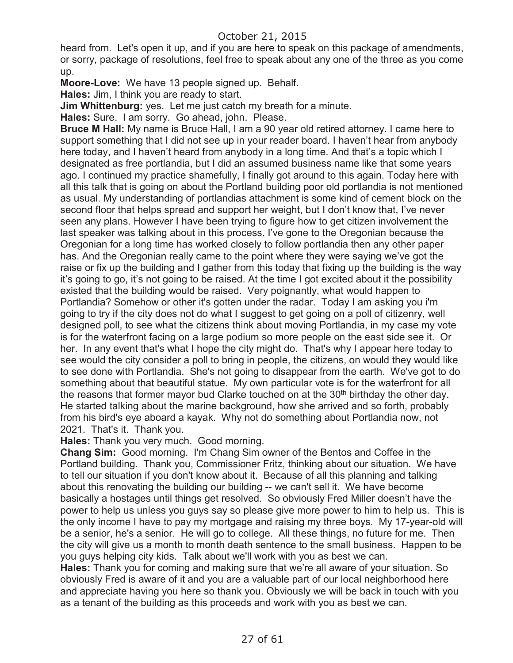heard from. Let's open it up, and if you are here to speak on this package of amendments, or sorry, package of resolutions, feel free to speak about any one of the three as you come up.

**Moore-Love:** We have 13 people signed up. Behalf.

**Hales:** Jim, I think you are ready to start.

**Jim Whittenburg:** yes. Let me just catch my breath for a minute.

**Hales:** Sure. I am sorry. Go ahead, john. Please.

**Bruce M Hall:** My name is Bruce Hall, I am a 90 year old retired attorney. I came here to support something that I did not see up in your reader board. I haven't hear from anybody here today, and I haven't heard from anybody in a long time. And that's a topic which I designated as free portlandia, but I did an assumed business name like that some years ago. I continued my practice shamefully, I finally got around to this again. Today here with all this talk that is going on about the Portland building poor old portlandia is not mentioned as usual. My understanding of portlandias attachment is some kind of cement block on the second floor that helps spread and support her weight, but I don't know that, I've never seen any plans. However I have been trying to figure how to get citizen involvement the last speaker was talking about in this process. I've gone to the Oregonian because the Oregonian for a long time has worked closely to follow portlandia then any other paper has. And the Oregonian really came to the point where they were saying we've got the raise or fix up the building and I gather from this today that fixing up the building is the way it's going to go, it's not going to be raised. At the time I got excited about it the possibility existed that the building would be raised. Very poignantly, what would happen to Portlandia? Somehow or other it's gotten under the radar. Today I am asking you i'm going to try if the city does not do what I suggest to get going on a poll of citizenry, well designed poll, to see what the citizens think about moving Portlandia, in my case my vote is for the waterfront facing on a large podium so more people on the east side see it. Or her. In any event that's what I hope the city might do. That's why I appear here today to see would the city consider a poll to bring in people, the citizens, on would they would like to see done with Portlandia. She's not going to disappear from the earth. We've got to do something about that beautiful statue. My own particular vote is for the waterfront for all the reasons that former mayor bud Clarke touched on at the 30<sup>th</sup> birthday the other day. He started talking about the marine background, how she arrived and so forth, probably from his bird's eye aboard a kayak. Why not do something about Portlandia now, not 2021. That's it. Thank you.

**Hales:** Thank you very much. Good morning.

**Chang Sim:** Good morning. I'm Chang Sim owner of the Bentos and Coffee in the Portland building. Thank you, Commissioner Fritz, thinking about our situation. We have to tell our situation if you don't know about it. Because of all this planning and talking about this renovating the building our building -- we can't sell it. We have become basically a hostages until things get resolved. So obviously Fred Miller doesn't have the power to help us unless you guys say so please give more power to him to help us. This is the only income I have to pay my mortgage and raising my three boys. My 17-year-old will be a senior, he's a senior. He will go to college. All these things, no future for me. Then the city will give us a month to month death sentence to the small business. Happen to be you guys helping city kids. Talk about we'll work with you as best we can.

**Hales:** Thank you for coming and making sure that we're all aware of your situation. So obviously Fred is aware of it and you are a valuable part of our local neighborhood here and appreciate having you here so thank you. Obviously we will be back in touch with you as a tenant of the building as this proceeds and work with you as best we can.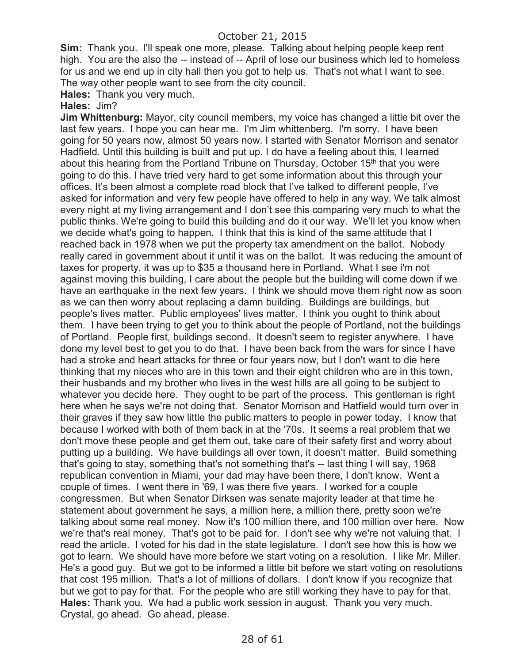**Sim:** Thank you. I'll speak one more, please. Talking about helping people keep rent high. You are the also the -- instead of -- April of lose our business which led to homeless for us and we end up in city hall then you got to help us. That's not what I want to see. The way other people want to see from the city council.

**Hales:** Thank you very much.

#### **Hales:** Jim?

**Jim Whittenburg:** Mayor, city council members, my voice has changed a little bit over the last few years. I hope you can hear me. I'm Jim whittenberg. I'm sorry. I have been going for 50 years now, almost 50 years now. I started with Senator Morrison and senator Hadfield. Until this building is built and put up. I do have a feeling about this, I learned about this hearing from the Portland Tribune on Thursday, October 15<sup>th</sup> that you were going to do this. I have tried very hard to get some information about this through your offices. It's been almost a complete road block that I've talked to different people, I've asked for information and very few people have offered to help in any way. We talk almost every night at my living arrangement and I don't see this comparing very much to what the public thinks. We're going to build this building and do it our way. We'll let you know when we decide what's going to happen. I think that this is kind of the same attitude that I reached back in 1978 when we put the property tax amendment on the ballot. Nobody really cared in government about it until it was on the ballot. It was reducing the amount of taxes for property, it was up to \$35 a thousand here in Portland. What I see i'm not against moving this building, I care about the people but the building will come down if we have an earthquake in the next few years. I think we should move them right now as soon as we can then worry about replacing a damn building. Buildings are buildings, but people's lives matter. Public employees' lives matter. I think you ought to think about them. I have been trying to get you to think about the people of Portland, not the buildings of Portland. People first, buildings second. It doesn't seem to register anywhere. I have done my level best to get you to do that. I have been back from the wars for since I have had a stroke and heart attacks for three or four years now, but I don't want to die here thinking that my nieces who are in this town and their eight children who are in this town, their husbands and my brother who lives in the west hills are all going to be subject to whatever you decide here. They ought to be part of the process. This gentleman is right here when he says we're not doing that. Senator Morrison and Hatfield would turn over in their graves if they saw how little the public matters to people in power today. I know that because I worked with both of them back in at the '70s. It seems a real problem that we don't move these people and get them out, take care of their safety first and worry about putting up a building. We have buildings all over town, it doesn't matter. Build something that's going to stay, something that's not something that's -- last thing I will say, 1968 republican convention in Miami, your dad may have been there, I don't know. Went a couple of times. I went there in '69, I was there five years. I worked for a couple congressmen. But when Senator Dirksen was senate majority leader at that time he statement about government he says, a million here, a million there, pretty soon we're talking about some real money. Now it's 100 million there, and 100 million over here. Now we're that's real money. That's got to be paid for. I don't see why we're not valuing that. I read the article. I voted for his dad in the state legislature. I don't see how this is how we got to learn. We should have more before we start voting on a resolution. I like Mr. Miller. He's a good guy. But we got to be informed a little bit before we start voting on resolutions that cost 195 million. That's a lot of millions of dollars. I don't know if you recognize that but we got to pay for that. For the people who are still working they have to pay for that. **Hales:** Thank you. We had a public work session in august. Thank you very much. Crystal, go ahead. Go ahead, please.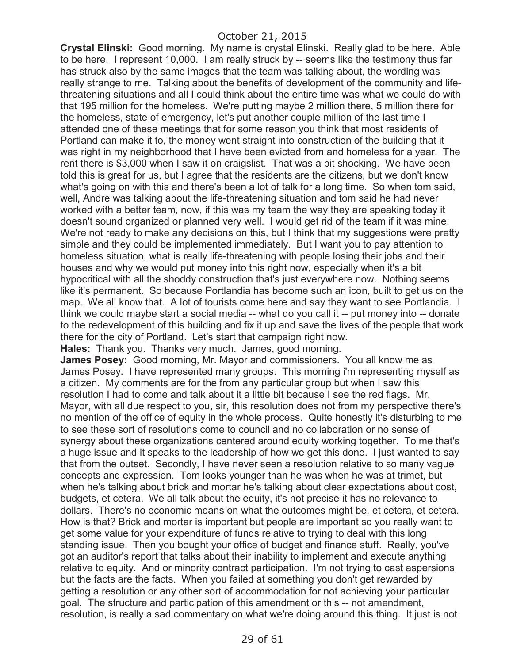**Crystal Elinski:** Good morning. My name is crystal Elinski. Really glad to be here. Able to be here. I represent 10,000. I am really struck by -- seems like the testimony thus far has struck also by the same images that the team was talking about, the wording was really strange to me. Talking about the benefits of development of the community and lifethreatening situations and all I could think about the entire time was what we could do with that 195 million for the homeless. We're putting maybe 2 million there, 5 million there for the homeless, state of emergency, let's put another couple million of the last time I attended one of these meetings that for some reason you think that most residents of Portland can make it to, the money went straight into construction of the building that it was right in my neighborhood that I have been evicted from and homeless for a year. The rent there is \$3,000 when I saw it on craigslist. That was a bit shocking. We have been told this is great for us, but I agree that the residents are the citizens, but we don't know what's going on with this and there's been a lot of talk for a long time. So when tom said, well, Andre was talking about the life-threatening situation and tom said he had never worked with a better team, now, if this was my team the way they are speaking today it doesn't sound organized or planned very well. I would get rid of the team if it was mine. We're not ready to make any decisions on this, but I think that my suggestions were pretty simple and they could be implemented immediately. But I want you to pay attention to homeless situation, what is really life-threatening with people losing their jobs and their houses and why we would put money into this right now, especially when it's a bit hypocritical with all the shoddy construction that's just everywhere now. Nothing seems like it's permanent. So because Portlandia has become such an icon, built to get us on the map. We all know that. A lot of tourists come here and say they want to see Portlandia. I think we could maybe start a social media -- what do you call it -- put money into -- donate to the redevelopment of this building and fix it up and save the lives of the people that work there for the city of Portland. Let's start that campaign right now.

**Hales:** Thank you. Thanks very much. James, good morning.

**James Posey:** Good morning, Mr. Mayor and commissioners. You all know me as James Posey. I have represented many groups. This morning i'm representing myself as a citizen. My comments are for the from any particular group but when I saw this resolution I had to come and talk about it a little bit because I see the red flags. Mr. Mayor, with all due respect to you, sir, this resolution does not from my perspective there's no mention of the office of equity in the whole process. Quite honestly it's disturbing to me to see these sort of resolutions come to council and no collaboration or no sense of synergy about these organizations centered around equity working together. To me that's a huge issue and it speaks to the leadership of how we get this done. I just wanted to say that from the outset. Secondly, I have never seen a resolution relative to so many vague concepts and expression. Tom looks younger than he was when he was at trimet, but when he's talking about brick and mortar he's talking about clear expectations about cost, budgets, et cetera. We all talk about the equity, it's not precise it has no relevance to dollars. There's no economic means on what the outcomes might be, et cetera, et cetera. How is that? Brick and mortar is important but people are important so you really want to get some value for your expenditure of funds relative to trying to deal with this long standing issue. Then you bought your office of budget and finance stuff. Really, you've got an auditor's report that talks about their inability to implement and execute anything relative to equity. And or minority contract participation. I'm not trying to cast aspersions but the facts are the facts. When you failed at something you don't get rewarded by getting a resolution or any other sort of accommodation for not achieving your particular goal. The structure and participation of this amendment or this -- not amendment, resolution, is really a sad commentary on what we're doing around this thing. It just is not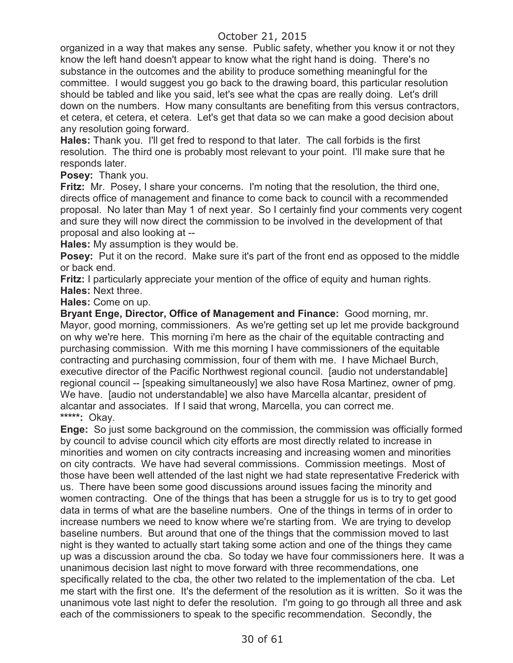organized in a way that makes any sense. Public safety, whether you know it or not they know the left hand doesn't appear to know what the right hand is doing. There's no substance in the outcomes and the ability to produce something meaningful for the committee. I would suggest you go back to the drawing board, this particular resolution should be tabled and like you said, let's see what the cpas are really doing. Let's drill down on the numbers. How many consultants are benefiting from this versus contractors, et cetera, et cetera, et cetera. Let's get that data so we can make a good decision about any resolution going forward.

**Hales:** Thank you. I'll get fred to respond to that later. The call forbids is the first resolution. The third one is probably most relevant to your point. I'll make sure that he responds later.

**Posey:** Thank you.

**Fritz:** Mr. Posey, I share your concerns. I'm noting that the resolution, the third one, directs office of management and finance to come back to council with a recommended proposal. No later than May 1 of next year. So I certainly find your comments very cogent and sure they will now direct the commission to be involved in the development of that proposal and also looking at --

**Hales:** My assumption is they would be.

**Posey:** Put it on the record. Make sure it's part of the front end as opposed to the middle or back end.

**Fritz:** I particularly appreciate your mention of the office of equity and human rights. **Hales:** Next three.

**Hales:** Come on up.

**Bryant Enge, Director, Office of Management and Finance:** Good morning, mr. Mayor, good morning, commissioners. As we're getting set up let me provide background on why we're here. This morning i'm here as the chair of the equitable contracting and purchasing commission. With me this morning I have commissioners of the equitable contracting and purchasing commission, four of them with me. I have Michael Burch, executive director of the Pacific Northwest regional council. [audio not understandable] regional council -- [speaking simultaneously] we also have Rosa Martinez, owner of pmg. We have. [audio not understandable] we also have Marcella alcantar, president of alcantar and associates. If I said that wrong, Marcella, you can correct me. **\*\*\*\*\*:** Okay.

**Enge:** So just some background on the commission, the commission was officially formed by council to advise council which city efforts are most directly related to increase in minorities and women on city contracts increasing and increasing women and minorities on city contracts. We have had several commissions. Commission meetings. Most of those have been well attended of the last night we had state representative Frederick with us. There have been some good discussions around issues facing the minority and women contracting. One of the things that has been a struggle for us is to try to get good data in terms of what are the baseline numbers. One of the things in terms of in order to increase numbers we need to know where we're starting from. We are trying to develop baseline numbers. But around that one of the things that the commission moved to last night is they wanted to actually start taking some action and one of the things they came up was a discussion around the cba. So today we have four commissioners here. It was a unanimous decision last night to move forward with three recommendations, one specifically related to the cba, the other two related to the implementation of the cba. Let me start with the first one. It's the deferment of the resolution as it is written. So it was the unanimous vote last night to defer the resolution. I'm going to go through all three and ask each of the commissioners to speak to the specific recommendation. Secondly, the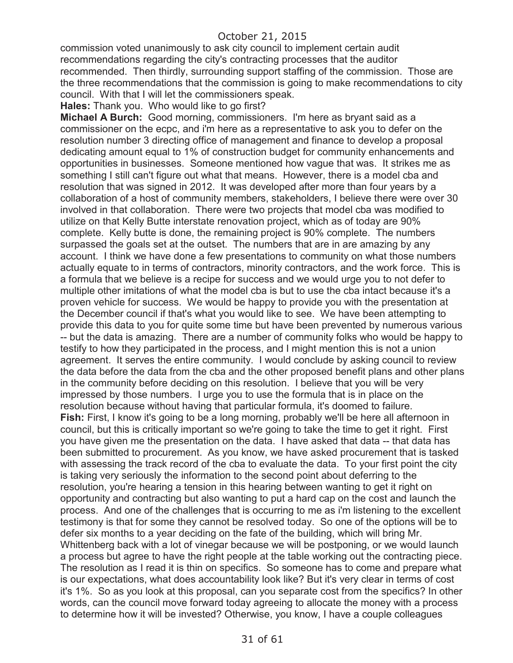commission voted unanimously to ask city council to implement certain audit recommendations regarding the city's contracting processes that the auditor recommended. Then thirdly, surrounding support staffing of the commission. Those are the three recommendations that the commission is going to make recommendations to city council. With that I will let the commissioners speak.

**Hales:** Thank you. Who would like to go first?

**Michael A Burch:** Good morning, commissioners. I'm here as bryant said as a commissioner on the ecpc, and i'm here as a representative to ask you to defer on the resolution number 3 directing office of management and finance to develop a proposal dedicating amount equal to 1% of construction budget for community enhancements and opportunities in businesses. Someone mentioned how vague that was. It strikes me as something I still can't figure out what that means. However, there is a model cba and resolution that was signed in 2012. It was developed after more than four years by a collaboration of a host of community members, stakeholders, I believe there were over 30 involved in that collaboration. There were two projects that model cba was modified to utilize on that Kelly Butte interstate renovation project, which as of today are 90% complete. Kelly butte is done, the remaining project is 90% complete. The numbers surpassed the goals set at the outset. The numbers that are in are amazing by any account. I think we have done a few presentations to community on what those numbers actually equate to in terms of contractors, minority contractors, and the work force. This is a formula that we believe is a recipe for success and we would urge you to not defer to multiple other imitations of what the model cba is but to use the cba intact because it's a proven vehicle for success. We would be happy to provide you with the presentation at the December council if that's what you would like to see. We have been attempting to provide this data to you for quite some time but have been prevented by numerous various -- but the data is amazing. There are a number of community folks who would be happy to testify to how they participated in the process, and I might mention this is not a union agreement. It serves the entire community. I would conclude by asking council to review the data before the data from the cba and the other proposed benefit plans and other plans in the community before deciding on this resolution. I believe that you will be very impressed by those numbers. I urge you to use the formula that is in place on the resolution because without having that particular formula, it's doomed to failure. **Fish:** First, I know it's going to be a long morning, probably we'll be here all afternoon in council, but this is critically important so we're going to take the time to get it right. First you have given me the presentation on the data. I have asked that data -- that data has been submitted to procurement. As you know, we have asked procurement that is tasked with assessing the track record of the cba to evaluate the data. To your first point the city is taking very seriously the information to the second point about deferring to the resolution, you're hearing a tension in this hearing between wanting to get it right on opportunity and contracting but also wanting to put a hard cap on the cost and launch the process. And one of the challenges that is occurring to me as i'm listening to the excellent testimony is that for some they cannot be resolved today. So one of the options will be to defer six months to a year deciding on the fate of the building, which will bring Mr. Whittenberg back with a lot of vinegar because we will be postponing, or we would launch a process but agree to have the right people at the table working out the contracting piece. The resolution as I read it is thin on specifics. So someone has to come and prepare what is our expectations, what does accountability look like? But it's very clear in terms of cost it's 1%. So as you look at this proposal, can you separate cost from the specifics? In other words, can the council move forward today agreeing to allocate the money with a process to determine how it will be invested? Otherwise, you know, I have a couple colleagues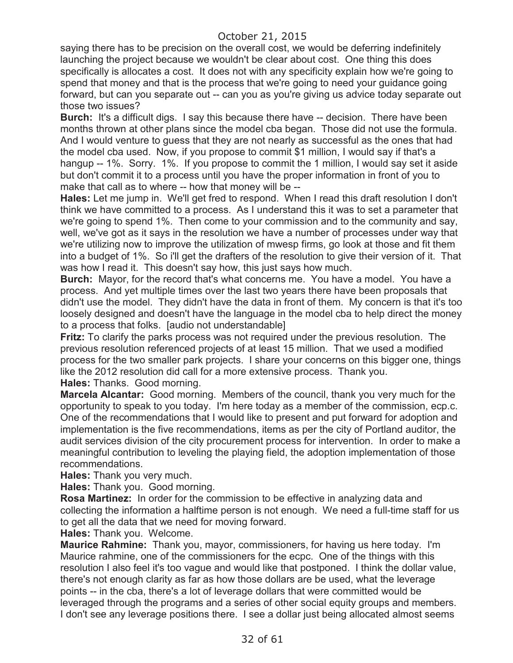saying there has to be precision on the overall cost, we would be deferring indefinitely launching the project because we wouldn't be clear about cost. One thing this does specifically is allocates a cost. It does not with any specificity explain how we're going to spend that money and that is the process that we're going to need your guidance going forward, but can you separate out -- can you as you're giving us advice today separate out those two issues?

**Burch:** It's a difficult digs. I say this because there have -- decision. There have been months thrown at other plans since the model cba began. Those did not use the formula. And I would venture to guess that they are not nearly as successful as the ones that had the model cba used. Now, if you propose to commit \$1 million, I would say if that's a hangup -- 1%. Sorry. 1%. If you propose to commit the 1 million, I would say set it aside but don't commit it to a process until you have the proper information in front of you to make that call as to where -- how that money will be --

**Hales:** Let me jump in. We'll get fred to respond. When I read this draft resolution I don't think we have committed to a process. As I understand this it was to set a parameter that we're going to spend 1%. Then come to your commission and to the community and say, well, we've got as it says in the resolution we have a number of processes under way that we're utilizing now to improve the utilization of mwesp firms, go look at those and fit them into a budget of 1%. So i'll get the drafters of the resolution to give their version of it. That was how I read it. This doesn't say how, this just says how much.

**Burch:** Mayor, for the record that's what concerns me. You have a model. You have a process. And yet multiple times over the last two years there have been proposals that didn't use the model. They didn't have the data in front of them. My concern is that it's too loosely designed and doesn't have the language in the model cba to help direct the money to a process that folks. [audio not understandable]

**Fritz:** To clarify the parks process was not required under the previous resolution. The previous resolution referenced projects of at least 15 million. That we used a modified process for the two smaller park projects. I share your concerns on this bigger one, things like the 2012 resolution did call for a more extensive process. Thank you. **Hales:** Thanks. Good morning.

**Marcela Alcantar:** Good morning. Members of the council, thank you very much for the opportunity to speak to you today. I'm here today as a member of the commission, ecp.c. One of the recommendations that I would like to present and put forward for adoption and implementation is the five recommendations, items as per the city of Portland auditor, the audit services division of the city procurement process for intervention. In order to make a meaningful contribution to leveling the playing field, the adoption implementation of those recommendations.

**Hales:** Thank you very much.

**Hales:** Thank you. Good morning.

**Rosa Martinez:** In order for the commission to be effective in analyzing data and collecting the information a halftime person is not enough. We need a full-time staff for us to get all the data that we need for moving forward.

**Hales:** Thank you. Welcome.

**Maurice Rahmine:** Thank you, mayor, commissioners, for having us here today. I'm Maurice rahmine, one of the commissioners for the ecpc. One of the things with this resolution I also feel it's too vague and would like that postponed. I think the dollar value, there's not enough clarity as far as how those dollars are be used, what the leverage points -- in the cba, there's a lot of leverage dollars that were committed would be leveraged through the programs and a series of other social equity groups and members. I don't see any leverage positions there. I see a dollar just being allocated almost seems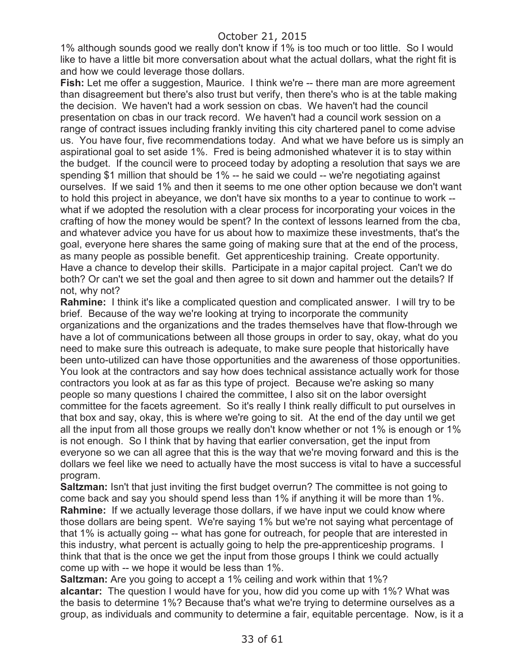1% although sounds good we really don't know if 1% is too much or too little. So I would like to have a little bit more conversation about what the actual dollars, what the right fit is and how we could leverage those dollars.

**Fish:** Let me offer a suggestion, Maurice. I think we're -- there man are more agreement than disagreement but there's also trust but verify, then there's who is at the table making the decision. We haven't had a work session on cbas. We haven't had the council presentation on cbas in our track record. We haven't had a council work session on a range of contract issues including frankly inviting this city chartered panel to come advise us. You have four, five recommendations today. And what we have before us is simply an aspirational goal to set aside 1%. Fred is being admonished whatever it is to stay within the budget. If the council were to proceed today by adopting a resolution that says we are spending \$1 million that should be 1% -- he said we could -- we're negotiating against ourselves. If we said 1% and then it seems to me one other option because we don't want to hold this project in abeyance, we don't have six months to a year to continue to work - what if we adopted the resolution with a clear process for incorporating your voices in the crafting of how the money would be spent? In the context of lessons learned from the cba, and whatever advice you have for us about how to maximize these investments, that's the goal, everyone here shares the same going of making sure that at the end of the process, as many people as possible benefit. Get apprenticeship training. Create opportunity. Have a chance to develop their skills. Participate in a major capital project. Can't we do both? Or can't we set the goal and then agree to sit down and hammer out the details? If not, why not?

**Rahmine:** I think it's like a complicated question and complicated answer. I will try to be brief. Because of the way we're looking at trying to incorporate the community organizations and the organizations and the trades themselves have that flow-through we have a lot of communications between all those groups in order to say, okay, what do you need to make sure this outreach is adequate, to make sure people that historically have been unto-utilized can have those opportunities and the awareness of those opportunities. You look at the contractors and say how does technical assistance actually work for those contractors you look at as far as this type of project. Because we're asking so many people so many questions I chaired the committee, I also sit on the labor oversight committee for the facets agreement. So it's really I think really difficult to put ourselves in that box and say, okay, this is where we're going to sit. At the end of the day until we get all the input from all those groups we really don't know whether or not 1% is enough or 1% is not enough. So I think that by having that earlier conversation, get the input from everyone so we can all agree that this is the way that we're moving forward and this is the dollars we feel like we need to actually have the most success is vital to have a successful program.

**Saltzman:** Isn't that just inviting the first budget overrun? The committee is not going to come back and say you should spend less than 1% if anything it will be more than 1%. **Rahmine:** If we actually leverage those dollars, if we have input we could know where those dollars are being spent. We're saying 1% but we're not saying what percentage of that 1% is actually going -- what has gone for outreach, for people that are interested in this industry, what percent is actually going to help the pre-apprenticeship programs. I think that that is the once we get the input from those groups I think we could actually come up with -- we hope it would be less than 1%.

**Saltzman:** Are you going to accept a 1% ceiling and work within that 1%? **alcantar:** The question I would have for you, how did you come up with 1%? What was the basis to determine 1%? Because that's what we're trying to determine ourselves as a group, as individuals and community to determine a fair, equitable percentage. Now, is it a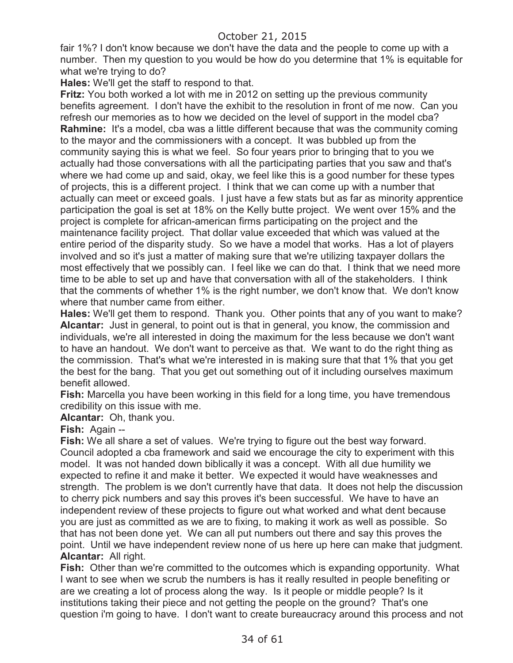fair 1%? I don't know because we don't have the data and the people to come up with a number. Then my question to you would be how do you determine that 1% is equitable for what we're trying to do?

**Hales:** We'll get the staff to respond to that.

**Fritz:** You both worked a lot with me in 2012 on setting up the previous community benefits agreement. I don't have the exhibit to the resolution in front of me now. Can you refresh our memories as to how we decided on the level of support in the model cba? **Rahmine:** It's a model, cba was a little different because that was the community coming to the mayor and the commissioners with a concept. It was bubbled up from the community saying this is what we feel. So four years prior to bringing that to you we actually had those conversations with all the participating parties that you saw and that's where we had come up and said, okay, we feel like this is a good number for these types of projects, this is a different project. I think that we can come up with a number that actually can meet or exceed goals. I just have a few stats but as far as minority apprentice participation the goal is set at 18% on the Kelly butte project. We went over 15% and the project is complete for african-american firms participating on the project and the maintenance facility project. That dollar value exceeded that which was valued at the entire period of the disparity study. So we have a model that works. Has a lot of players involved and so it's just a matter of making sure that we're utilizing taxpayer dollars the most effectively that we possibly can. I feel like we can do that. I think that we need more time to be able to set up and have that conversation with all of the stakeholders. I think that the comments of whether 1% is the right number, we don't know that. We don't know where that number came from either.

**Hales:** We'll get them to respond. Thank you. Other points that any of you want to make? **Alcantar:** Just in general, to point out is that in general, you know, the commission and individuals, we're all interested in doing the maximum for the less because we don't want to have an handout. We don't want to perceive as that. We want to do the right thing as the commission. That's what we're interested in is making sure that that 1% that you get the best for the bang. That you get out something out of it including ourselves maximum benefit allowed.

**Fish:** Marcella you have been working in this field for a long time, you have tremendous credibility on this issue with me.

**Alcantar:** Oh, thank you.

**Fish:** Again --

**Fish:** We all share a set of values. We're trying to figure out the best way forward. Council adopted a cba framework and said we encourage the city to experiment with this model. It was not handed down biblically it was a concept. With all due humility we expected to refine it and make it better. We expected it would have weaknesses and strength. The problem is we don't currently have that data. It does not help the discussion to cherry pick numbers and say this proves it's been successful. We have to have an independent review of these projects to figure out what worked and what dent because you are just as committed as we are to fixing, to making it work as well as possible. So that has not been done yet. We can all put numbers out there and say this proves the point. Until we have independent review none of us here up here can make that judgment. **Alcantar:** All right.

**Fish:** Other than we're committed to the outcomes which is expanding opportunity. What I want to see when we scrub the numbers is has it really resulted in people benefiting or are we creating a lot of process along the way. Is it people or middle people? Is it institutions taking their piece and not getting the people on the ground? That's one question i'm going to have. I don't want to create bureaucracy around this process and not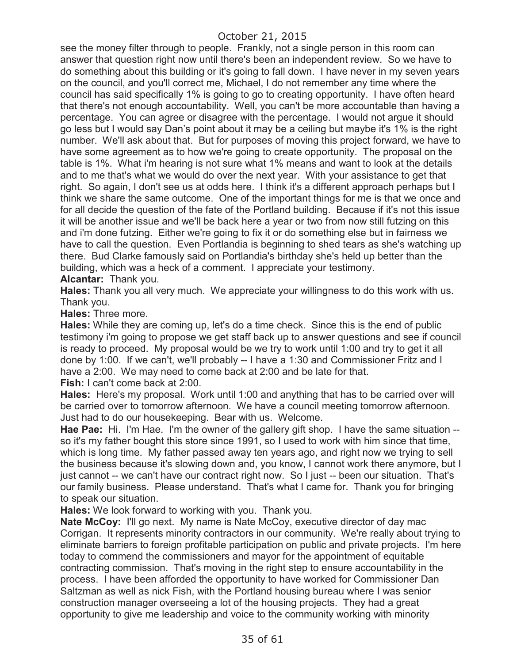see the money filter through to people. Frankly, not a single person in this room can answer that question right now until there's been an independent review. So we have to do something about this building or it's going to fall down. I have never in my seven years on the council, and you'll correct me, Michael, I do not remember any time where the council has said specifically 1% is going to go to creating opportunity. I have often heard that there's not enough accountability. Well, you can't be more accountable than having a percentage. You can agree or disagree with the percentage. I would not argue it should go less but I would say Dan's point about it may be a ceiling but maybe it's 1% is the right number. We'll ask about that. But for purposes of moving this project forward, we have to have some agreement as to how we're going to create opportunity. The proposal on the table is 1%. What i'm hearing is not sure what 1% means and want to look at the details and to me that's what we would do over the next year. With your assistance to get that right. So again, I don't see us at odds here. I think it's a different approach perhaps but I think we share the same outcome. One of the important things for me is that we once and for all decide the question of the fate of the Portland building. Because if it's not this issue it will be another issue and we'll be back here a year or two from now still futzing on this and i'm done futzing. Either we're going to fix it or do something else but in fairness we have to call the question. Even Portlandia is beginning to shed tears as she's watching up there. Bud Clarke famously said on Portlandia's birthday she's held up better than the building, which was a heck of a comment. I appreciate your testimony.

**Alcantar:** Thank you.

**Hales:** Thank you all very much. We appreciate your willingness to do this work with us. Thank you.

**Hales:** Three more.

**Hales:** While they are coming up, let's do a time check. Since this is the end of public testimony i'm going to propose we get staff back up to answer questions and see if council is ready to proceed. My proposal would be we try to work until 1:00 and try to get it all done by 1:00. If we can't, we'll probably -- I have a 1:30 and Commissioner Fritz and I have a 2:00. We may need to come back at 2:00 and be late for that. **Fish:** I can't come back at 2:00.

**Hales:** Here's my proposal. Work until 1:00 and anything that has to be carried over will be carried over to tomorrow afternoon. We have a council meeting tomorrow afternoon. Just had to do our housekeeping. Bear with us. Welcome.

**Hae Pae:** Hi. I'm Hae. I'm the owner of the gallery gift shop. I have the same situation - so it's my father bought this store since 1991, so I used to work with him since that time, which is long time. My father passed away ten years ago, and right now we trying to sell the business because it's slowing down and, you know, I cannot work there anymore, but I just cannot -- we can't have our contract right now. So I just -- been our situation. That's our family business. Please understand. That's what I came for. Thank you for bringing to speak our situation.

**Hales:** We look forward to working with you. Thank you.

**Nate McCoy:** I'll go next. My name is Nate McCoy, executive director of day mac Corrigan. It represents minority contractors in our community. We're really about trying to eliminate barriers to foreign profitable participation on public and private projects. I'm here today to commend the commissioners and mayor for the appointment of equitable contracting commission. That's moving in the right step to ensure accountability in the process. I have been afforded the opportunity to have worked for Commissioner Dan Saltzman as well as nick Fish, with the Portland housing bureau where I was senior construction manager overseeing a lot of the housing projects. They had a great opportunity to give me leadership and voice to the community working with minority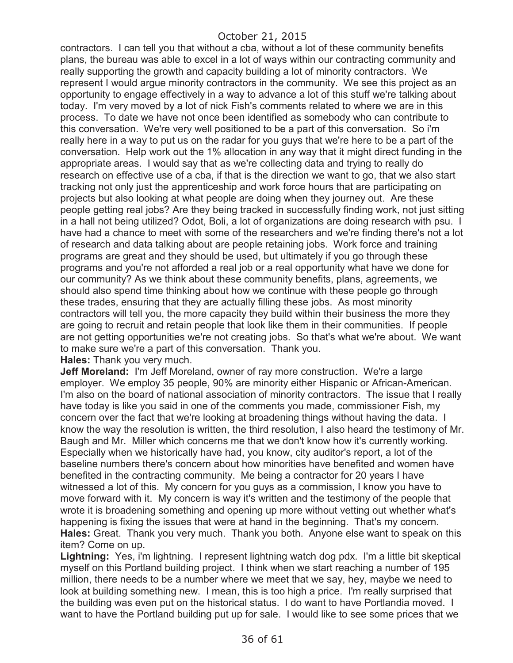contractors. I can tell you that without a cba, without a lot of these community benefits plans, the bureau was able to excel in a lot of ways within our contracting community and really supporting the growth and capacity building a lot of minority contractors. We represent I would argue minority contractors in the community. We see this project as an opportunity to engage effectively in a way to advance a lot of this stuff we're talking about today. I'm very moved by a lot of nick Fish's comments related to where we are in this process. To date we have not once been identified as somebody who can contribute to this conversation. We're very well positioned to be a part of this conversation. So i'm really here in a way to put us on the radar for you guys that we're here to be a part of the conversation. Help work out the 1% allocation in any way that it might direct funding in the appropriate areas. I would say that as we're collecting data and trying to really do research on effective use of a cba, if that is the direction we want to go, that we also start tracking not only just the apprenticeship and work force hours that are participating on projects but also looking at what people are doing when they journey out. Are these people getting real jobs? Are they being tracked in successfully finding work, not just sitting in a hall not being utilized? Odot, Boli, a lot of organizations are doing research with psu. I have had a chance to meet with some of the researchers and we're finding there's not a lot of research and data talking about are people retaining jobs. Work force and training programs are great and they should be used, but ultimately if you go through these programs and you're not afforded a real job or a real opportunity what have we done for our community? As we think about these community benefits, plans, agreements, we should also spend time thinking about how we continue with these people go through these trades, ensuring that they are actually filling these jobs. As most minority contractors will tell you, the more capacity they build within their business the more they are going to recruit and retain people that look like them in their communities. If people are not getting opportunities we're not creating jobs. So that's what we're about. We want to make sure we're a part of this conversation. Thank you.

**Hales:** Thank you very much.

**Jeff Moreland:** I'm Jeff Moreland, owner of ray more construction. We're a large employer. We employ 35 people, 90% are minority either Hispanic or African-American. I'm also on the board of national association of minority contractors. The issue that I really have today is like you said in one of the comments you made, commissioner Fish, my concern over the fact that we're looking at broadening things without having the data. I know the way the resolution is written, the third resolution, I also heard the testimony of Mr. Baugh and Mr. Miller which concerns me that we don't know how it's currently working. Especially when we historically have had, you know, city auditor's report, a lot of the baseline numbers there's concern about how minorities have benefited and women have benefited in the contracting community. Me being a contractor for 20 years I have witnessed a lot of this. My concern for you guys as a commission, I know you have to move forward with it. My concern is way it's written and the testimony of the people that wrote it is broadening something and opening up more without vetting out whether what's happening is fixing the issues that were at hand in the beginning. That's my concern. **Hales:** Great. Thank you very much. Thank you both. Anyone else want to speak on this item? Come on up.

Lightning: Yes, i'm lightning. I represent lightning watch dog pdx. I'm a little bit skeptical myself on this Portland building project. I think when we start reaching a number of 195 million, there needs to be a number where we meet that we say, hey, maybe we need to look at building something new. I mean, this is too high a price. I'm really surprised that the building was even put on the historical status. I do want to have Portlandia moved. I want to have the Portland building put up for sale. I would like to see some prices that we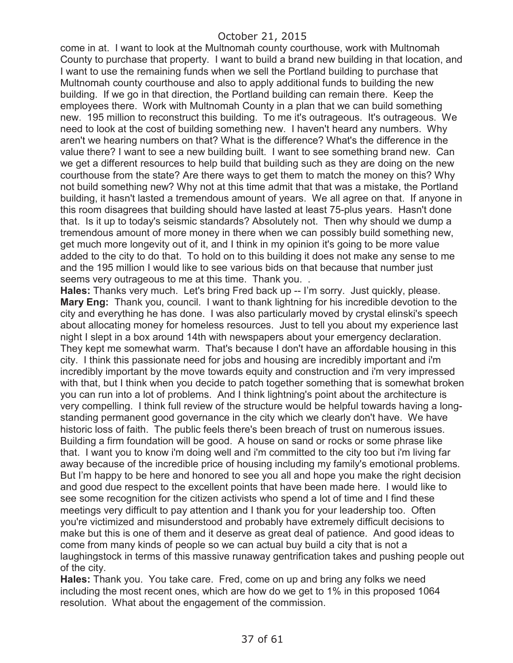come in at. I want to look at the Multnomah county courthouse, work with Multnomah County to purchase that property. I want to build a brand new building in that location, and I want to use the remaining funds when we sell the Portland building to purchase that Multnomah county courthouse and also to apply additional funds to building the new building. If we go in that direction, the Portland building can remain there. Keep the employees there. Work with Multnomah County in a plan that we can build something new. 195 million to reconstruct this building. To me it's outrageous. It's outrageous. We need to look at the cost of building something new. I haven't heard any numbers. Why aren't we hearing numbers on that? What is the difference? What's the difference in the value there? I want to see a new building built. I want to see something brand new. Can we get a different resources to help build that building such as they are doing on the new courthouse from the state? Are there ways to get them to match the money on this? Why not build something new? Why not at this time admit that that was a mistake, the Portland building, it hasn't lasted a tremendous amount of years. We all agree on that. If anyone in this room disagrees that building should have lasted at least 75-plus years. Hasn't done that. Is it up to today's seismic standards? Absolutely not. Then why should we dump a tremendous amount of more money in there when we can possibly build something new, get much more longevity out of it, and I think in my opinion it's going to be more value added to the city to do that. To hold on to this building it does not make any sense to me and the 195 million I would like to see various bids on that because that number just seems very outrageous to me at this time. Thank you. .

**Hales:** Thanks very much. Let's bring Fred back up -- I'm sorry. Just quickly, please. **Mary Eng:** Thank you, council. I want to thank lightning for his incredible devotion to the city and everything he has done. I was also particularly moved by crystal elinski's speech about allocating money for homeless resources. Just to tell you about my experience last night I slept in a box around 14th with newspapers about your emergency declaration. They kept me somewhat warm. That's because I don't have an affordable housing in this city. I think this passionate need for jobs and housing are incredibly important and i'm incredibly important by the move towards equity and construction and i'm very impressed with that, but I think when you decide to patch together something that is somewhat broken you can run into a lot of problems. And I think lightning's point about the architecture is very compelling. I think full review of the structure would be helpful towards having a longstanding permanent good governance in the city which we clearly don't have. We have historic loss of faith. The public feels there's been breach of trust on numerous issues. Building a firm foundation will be good. A house on sand or rocks or some phrase like that. I want you to know i'm doing well and i'm committed to the city too but i'm living far away because of the incredible price of housing including my family's emotional problems. But I'm happy to be here and honored to see you all and hope you make the right decision and good due respect to the excellent points that have been made here. I would like to see some recognition for the citizen activists who spend a lot of time and I find these meetings very difficult to pay attention and I thank you for your leadership too. Often you're victimized and misunderstood and probably have extremely difficult decisions to make but this is one of them and it deserve as great deal of patience. And good ideas to come from many kinds of people so we can actual buy build a city that is not a laughingstock in terms of this massive runaway gentrification takes and pushing people out of the city.

**Hales:** Thank you. You take care. Fred, come on up and bring any folks we need including the most recent ones, which are how do we get to 1% in this proposed 1064 resolution. What about the engagement of the commission.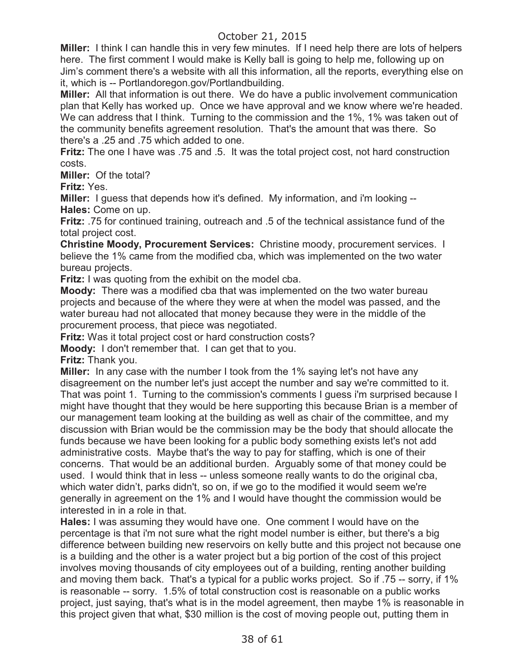**Miller:** I think I can handle this in very few minutes. If I need help there are lots of helpers here. The first comment I would make is Kelly ball is going to help me, following up on Jim's comment there's a website with all this information, all the reports, everything else on it, which is -- Portlandoregon.gov/Portlandbuilding.

**Miller:** All that information is out there. We do have a public involvement communication plan that Kelly has worked up. Once we have approval and we know where we're headed. We can address that I think. Turning to the commission and the 1%, 1% was taken out of the community benefits agreement resolution. That's the amount that was there. So there's a .25 and .75 which added to one.

**Fritz:** The one I have was .75 and .5. It was the total project cost, not hard construction costs.

**Miller:** Of the total?

**Fritz:** Yes.

**Miller:** I guess that depends how it's defined. My information, and i'm looking -- **Hales:** Come on up.

**Fritz:** .75 for continued training, outreach and .5 of the technical assistance fund of the total project cost.

**Christine Moody, Procurement Services:** Christine moody, procurement services. I believe the 1% came from the modified cba, which was implemented on the two water bureau projects.

**Fritz:** I was quoting from the exhibit on the model cba.

**Moody:** There was a modified cba that was implemented on the two water bureau projects and because of the where they were at when the model was passed, and the water bureau had not allocated that money because they were in the middle of the procurement process, that piece was negotiated.

**Fritz:** Was it total project cost or hard construction costs?

**Moody:** I don't remember that. I can get that to you.

**Fritz:** Thank you.

**Miller:** In any case with the number I took from the 1% saying let's not have any disagreement on the number let's just accept the number and say we're committed to it. That was point 1. Turning to the commission's comments I guess i'm surprised because I might have thought that they would be here supporting this because Brian is a member of our management team looking at the building as well as chair of the committee, and my discussion with Brian would be the commission may be the body that should allocate the funds because we have been looking for a public body something exists let's not add administrative costs. Maybe that's the way to pay for staffing, which is one of their concerns. That would be an additional burden. Arguably some of that money could be used. I would think that in less -- unless someone really wants to do the original cba, which water didn't, parks didn't, so on, if we go to the modified it would seem we're generally in agreement on the 1% and I would have thought the commission would be interested in in a role in that.

**Hales:** I was assuming they would have one. One comment I would have on the percentage is that i'm not sure what the right model number is either, but there's a big difference between building new reservoirs on kelly butte and this project not because one is a building and the other is a water project but a big portion of the cost of this project involves moving thousands of city employees out of a building, renting another building and moving them back. That's a typical for a public works project. So if .75 -- sorry, if 1% is reasonable -- sorry. 1.5% of total construction cost is reasonable on a public works project, just saying, that's what is in the model agreement, then maybe 1% is reasonable in this project given that what, \$30 million is the cost of moving people out, putting them in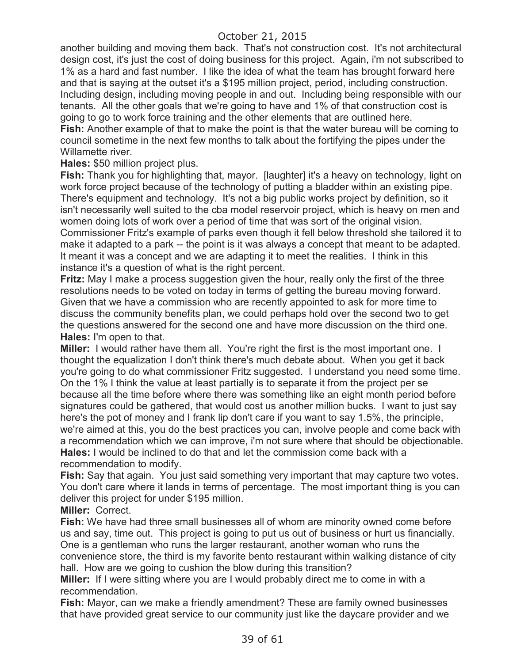another building and moving them back. That's not construction cost. It's not architectural design cost, it's just the cost of doing business for this project. Again, i'm not subscribed to 1% as a hard and fast number. I like the idea of what the team has brought forward here and that is saying at the outset it's a \$195 million project, period, including construction. Including design, including moving people in and out. Including being responsible with our tenants. All the other goals that we're going to have and 1% of that construction cost is going to go to work force training and the other elements that are outlined here.

**Fish:** Another example of that to make the point is that the water bureau will be coming to council sometime in the next few months to talk about the fortifying the pipes under the Willamette river.

**Hales:** \$50 million project plus.

**Fish:** Thank you for highlighting that, mayor. [laughter] it's a heavy on technology, light on work force project because of the technology of putting a bladder within an existing pipe. There's equipment and technology. It's not a big public works project by definition, so it isn't necessarily well suited to the cba model reservoir project, which is heavy on men and women doing lots of work over a period of time that was sort of the original vision. Commissioner Fritz's example of parks even though it fell below threshold she tailored it to make it adapted to a park -- the point is it was always a concept that meant to be adapted. It meant it was a concept and we are adapting it to meet the realities. I think in this instance it's a question of what is the right percent.

**Fritz:** May I make a process suggestion given the hour, really only the first of the three resolutions needs to be voted on today in terms of getting the bureau moving forward. Given that we have a commission who are recently appointed to ask for more time to discuss the community benefits plan, we could perhaps hold over the second two to get the questions answered for the second one and have more discussion on the third one. **Hales:** I'm open to that.

**Miller:** I would rather have them all. You're right the first is the most important one. I thought the equalization I don't think there's much debate about. When you get it back you're going to do what commissioner Fritz suggested. I understand you need some time. On the 1% I think the value at least partially is to separate it from the project per se because all the time before where there was something like an eight month period before signatures could be gathered, that would cost us another million bucks. I want to just say here's the pot of money and I frank lip don't care if you want to say 1.5%, the principle, we're aimed at this, you do the best practices you can, involve people and come back with a recommendation which we can improve, i'm not sure where that should be objectionable. **Hales:** I would be inclined to do that and let the commission come back with a recommendation to modify.

**Fish:** Say that again. You just said something very important that may capture two votes. You don't care where it lands in terms of percentage. The most important thing is you can deliver this project for under \$195 million.

**Miller:** Correct.

**Fish:** We have had three small businesses all of whom are minority owned come before us and say, time out. This project is going to put us out of business or hurt us financially. One is a gentleman who runs the larger restaurant, another woman who runs the convenience store, the third is my favorite bento restaurant within walking distance of city hall. How are we going to cushion the blow during this transition?

**Miller:** If I were sitting where you are I would probably direct me to come in with a recommendation.

**Fish:** Mayor, can we make a friendly amendment? These are family owned businesses that have provided great service to our community just like the daycare provider and we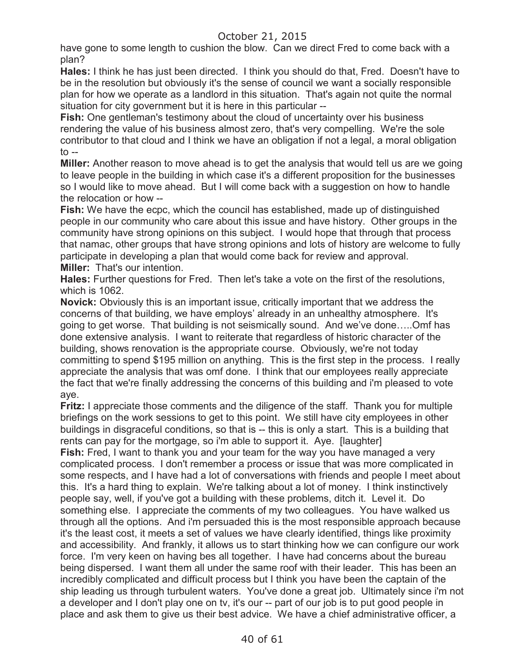have gone to some length to cushion the blow. Can we direct Fred to come back with a plan?

**Hales:** I think he has just been directed. I think you should do that, Fred. Doesn't have to be in the resolution but obviously it's the sense of council we want a socially responsible plan for how we operate as a landlord in this situation. That's again not quite the normal situation for city government but it is here in this particular --

**Fish:** One gentleman's testimony about the cloud of uncertainty over his business rendering the value of his business almost zero, that's very compelling. We're the sole contributor to that cloud and I think we have an obligation if not a legal, a moral obligation  $\mathsf{to}$  --

**Miller:** Another reason to move ahead is to get the analysis that would tell us are we going to leave people in the building in which case it's a different proposition for the businesses so I would like to move ahead. But I will come back with a suggestion on how to handle the relocation or how --

**Fish:** We have the ecpc, which the council has established, made up of distinguished people in our community who care about this issue and have history. Other groups in the community have strong opinions on this subject. I would hope that through that process that namac, other groups that have strong opinions and lots of history are welcome to fully participate in developing a plan that would come back for review and approval. **Miller:** That's our intention.

**Hales:** Further questions for Fred. Then let's take a vote on the first of the resolutions, which is 1062.

**Novick:** Obviously this is an important issue, critically important that we address the concerns of that building, we have employs' already in an unhealthy atmosphere. It's going to get worse. That building is not seismically sound. And we've done…..Omf has done extensive analysis. I want to reiterate that regardless of historic character of the building, shows renovation is the appropriate course. Obviously, we're not today committing to spend \$195 million on anything. This is the first step in the process. I really appreciate the analysis that was omf done. I think that our employees really appreciate the fact that we're finally addressing the concerns of this building and i'm pleased to vote aye.

**Fritz:** I appreciate those comments and the diligence of the staff. Thank you for multiple briefings on the work sessions to get to this point. We still have city employees in other buildings in disgraceful conditions, so that is -- this is only a start. This is a building that rents can pay for the mortgage, so i'm able to support it. Aye. [laughter]

**Fish:** Fred, I want to thank you and your team for the way you have managed a very complicated process. I don't remember a process or issue that was more complicated in some respects, and I have had a lot of conversations with friends and people I meet about this. It's a hard thing to explain. We're talking about a lot of money. I think instinctively people say, well, if you've got a building with these problems, ditch it. Level it. Do something else. I appreciate the comments of my two colleagues. You have walked us through all the options. And i'm persuaded this is the most responsible approach because it's the least cost, it meets a set of values we have clearly identified, things like proximity and accessibility. And frankly, it allows us to start thinking how we can configure our work force. I'm very keen on having bes all together. I have had concerns about the bureau being dispersed. I want them all under the same roof with their leader. This has been an incredibly complicated and difficult process but I think you have been the captain of the ship leading us through turbulent waters. You've done a great job. Ultimately since i'm not a developer and I don't play one on tv, it's our -- part of our job is to put good people in place and ask them to give us their best advice. We have a chief administrative officer, a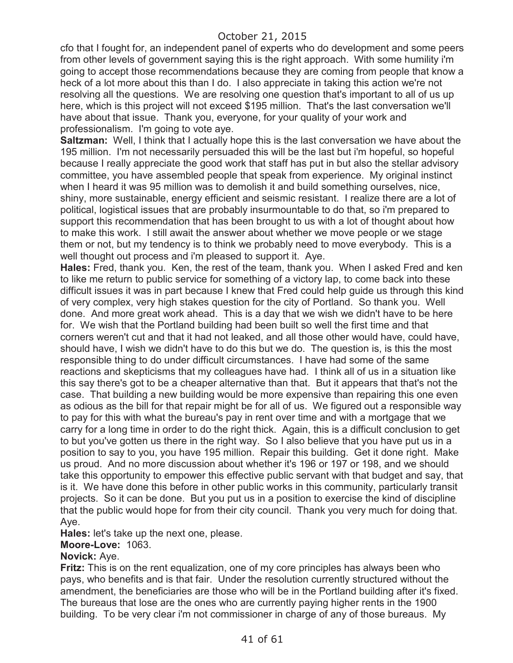cfo that I fought for, an independent panel of experts who do development and some peers from other levels of government saying this is the right approach. With some humility i'm going to accept those recommendations because they are coming from people that know a heck of a lot more about this than I do. I also appreciate in taking this action we're not resolving all the questions. We are resolving one question that's important to all of us up here, which is this project will not exceed \$195 million. That's the last conversation we'll have about that issue. Thank you, everyone, for your quality of your work and professionalism. I'm going to vote aye.

**Saltzman:** Well, I think that I actually hope this is the last conversation we have about the 195 million. I'm not necessarily persuaded this will be the last but i'm hopeful, so hopeful because I really appreciate the good work that staff has put in but also the stellar advisory committee, you have assembled people that speak from experience. My original instinct when I heard it was 95 million was to demolish it and build something ourselves, nice, shiny, more sustainable, energy efficient and seismic resistant. I realize there are a lot of political, logistical issues that are probably insurmountable to do that, so i'm prepared to support this recommendation that has been brought to us with a lot of thought about how to make this work. I still await the answer about whether we move people or we stage them or not, but my tendency is to think we probably need to move everybody. This is a well thought out process and i'm pleased to support it. Aye.

**Hales:** Fred, thank you. Ken, the rest of the team, thank you. When I asked Fred and ken to like me return to public service for something of a victory lap, to come back into these difficult issues it was in part because I knew that Fred could help guide us through this kind of very complex, very high stakes question for the city of Portland. So thank you. Well done. And more great work ahead. This is a day that we wish we didn't have to be here for. We wish that the Portland building had been built so well the first time and that corners weren't cut and that it had not leaked, and all those other would have, could have, should have, I wish we didn't have to do this but we do. The question is, is this the most responsible thing to do under difficult circumstances. I have had some of the same reactions and skepticisms that my colleagues have had. I think all of us in a situation like this say there's got to be a cheaper alternative than that. But it appears that that's not the case. That building a new building would be more expensive than repairing this one even as odious as the bill for that repair might be for all of us. We figured out a responsible way to pay for this with what the bureau's pay in rent over time and with a mortgage that we carry for a long time in order to do the right thick. Again, this is a difficult conclusion to get to but you've gotten us there in the right way. So I also believe that you have put us in a position to say to you, you have 195 million. Repair this building. Get it done right. Make us proud. And no more discussion about whether it's 196 or 197 or 198, and we should take this opportunity to empower this effective public servant with that budget and say, that is it. We have done this before in other public works in this community, particularly transit projects. So it can be done. But you put us in a position to exercise the kind of discipline that the public would hope for from their city council. Thank you very much for doing that. Aye.

**Hales:** let's take up the next one, please.

### **Moore-Love:** 1063.

### **Novick:** Aye.

**Fritz:** This is on the rent equalization, one of my core principles has always been who pays, who benefits and is that fair. Under the resolution currently structured without the amendment, the beneficiaries are those who will be in the Portland building after it's fixed. The bureaus that lose are the ones who are currently paying higher rents in the 1900 building. To be very clear i'm not commissioner in charge of any of those bureaus. My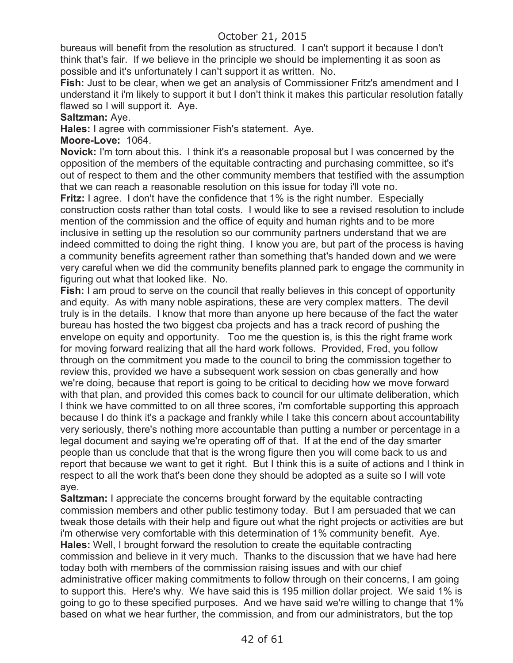bureaus will benefit from the resolution as structured. I can't support it because I don't think that's fair. If we believe in the principle we should be implementing it as soon as possible and it's unfortunately I can't support it as written. No.

**Fish:** Just to be clear, when we get an analysis of Commissioner Fritz's amendment and I understand it i'm likely to support it but I don't think it makes this particular resolution fatally flawed so I will support it. Aye.

#### **Saltzman:** Aye.

**Hales:** I agree with commissioner Fish's statement. Aye.

**Moore-Love:** 1064.

**Novick:** I'm torn about this. I think it's a reasonable proposal but I was concerned by the opposition of the members of the equitable contracting and purchasing committee, so it's out of respect to them and the other community members that testified with the assumption that we can reach a reasonable resolution on this issue for today i'll vote no.

**Fritz:** I agree. I don't have the confidence that 1% is the right number. Especially construction costs rather than total costs. I would like to see a revised resolution to include mention of the commission and the office of equity and human rights and to be more inclusive in setting up the resolution so our community partners understand that we are indeed committed to doing the right thing. I know you are, but part of the process is having a community benefits agreement rather than something that's handed down and we were very careful when we did the community benefits planned park to engage the community in figuring out what that looked like. No.

**Fish:** I am proud to serve on the council that really believes in this concept of opportunity and equity. As with many noble aspirations, these are very complex matters. The devil truly is in the details. I know that more than anyone up here because of the fact the water bureau has hosted the two biggest cba projects and has a track record of pushing the envelope on equity and opportunity. Too me the question is, is this the right frame work for moving forward realizing that all the hard work follows. Provided, Fred, you follow through on the commitment you made to the council to bring the commission together to review this, provided we have a subsequent work session on cbas generally and how we're doing, because that report is going to be critical to deciding how we move forward with that plan, and provided this comes back to council for our ultimate deliberation, which I think we have committed to on all three scores, i'm comfortable supporting this approach because I do think it's a package and frankly while I take this concern about accountability very seriously, there's nothing more accountable than putting a number or percentage in a legal document and saying we're operating off of that. If at the end of the day smarter people than us conclude that that is the wrong figure then you will come back to us and report that because we want to get it right. But I think this is a suite of actions and I think in respect to all the work that's been done they should be adopted as a suite so I will vote aye.

**Saltzman:** I appreciate the concerns brought forward by the equitable contracting commission members and other public testimony today. But I am persuaded that we can tweak those details with their help and figure out what the right projects or activities are but i'm otherwise very comfortable with this determination of 1% community benefit. Aye. **Hales:** Well, I brought forward the resolution to create the equitable contracting commission and believe in it very much. Thanks to the discussion that we have had here today both with members of the commission raising issues and with our chief administrative officer making commitments to follow through on their concerns, I am going to support this. Here's why. We have said this is 195 million dollar project. We said 1% is going to go to these specified purposes. And we have said we're willing to change that 1% based on what we hear further, the commission, and from our administrators, but the top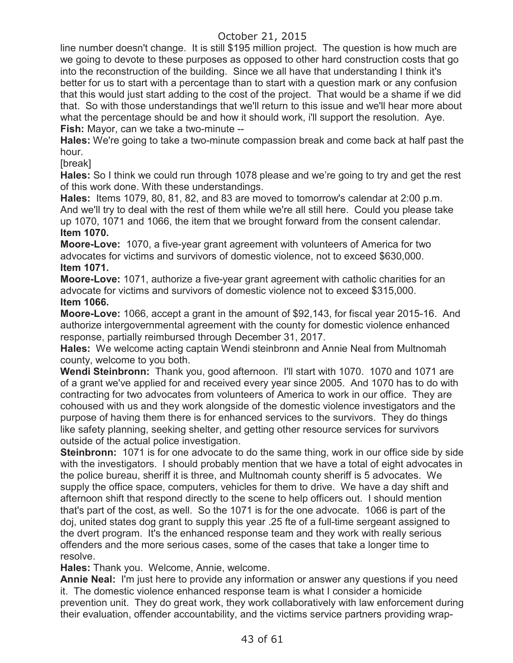line number doesn't change. It is still \$195 million project. The question is how much are we going to devote to these purposes as opposed to other hard construction costs that go into the reconstruction of the building. Since we all have that understanding I think it's better for us to start with a percentage than to start with a question mark or any confusion that this would just start adding to the cost of the project. That would be a shame if we did that. So with those understandings that we'll return to this issue and we'll hear more about what the percentage should be and how it should work, i'll support the resolution. Aye. **Fish:** Mayor, can we take a two-minute --

**Hales:** We're going to take a two-minute compassion break and come back at half past the hour.

[break]

**Hales:** So I think we could run through 1078 please and we're going to try and get the rest of this work done. With these understandings.

**Hales:** Items 1079, 80, 81, 82, and 83 are moved to tomorrow's calendar at 2:00 p.m. And we'll try to deal with the rest of them while we're all still here. Could you please take up 1070, 1071 and 1066, the item that we brought forward from the consent calendar. **Item 1070.**

**Moore-Love:** 1070, a five-year grant agreement with volunteers of America for two advocates for victims and survivors of domestic violence, not to exceed \$630,000. **Item 1071.**

**Moore-Love:** 1071, authorize a five-year grant agreement with catholic charities for an advocate for victims and survivors of domestic violence not to exceed \$315,000. **Item 1066.**

**Moore-Love:** 1066, accept a grant in the amount of \$92,143, for fiscal year 2015-16. And authorize intergovernmental agreement with the county for domestic violence enhanced response, partially reimbursed through December 31, 2017.

**Hales:** We welcome acting captain Wendi steinbronn and Annie Neal from Multnomah county, welcome to you both.

**Wendi Steinbronn:** Thank you, good afternoon. I'll start with 1070. 1070 and 1071 are of a grant we've applied for and received every year since 2005. And 1070 has to do with contracting for two advocates from volunteers of America to work in our office. They are cohoused with us and they work alongside of the domestic violence investigators and the purpose of having them there is for enhanced services to the survivors. They do things like safety planning, seeking shelter, and getting other resource services for survivors outside of the actual police investigation.

**Steinbronn:** 1071 is for one advocate to do the same thing, work in our office side by side with the investigators. I should probably mention that we have a total of eight advocates in the police bureau, sheriff it is three, and Multnomah county sheriff is 5 advocates. We supply the office space, computers, vehicles for them to drive. We have a day shift and afternoon shift that respond directly to the scene to help officers out. I should mention that's part of the cost, as well. So the 1071 is for the one advocate. 1066 is part of the doj, united states dog grant to supply this year .25 fte of a full-time sergeant assigned to the dvert program. It's the enhanced response team and they work with really serious offenders and the more serious cases, some of the cases that take a longer time to resolve.

**Hales:** Thank you. Welcome, Annie, welcome.

**Annie Neal:** I'm just here to provide any information or answer any questions if you need it. The domestic violence enhanced response team is what I consider a homicide prevention unit. They do great work, they work collaboratively with law enforcement during their evaluation, offender accountability, and the victims service partners providing wrap-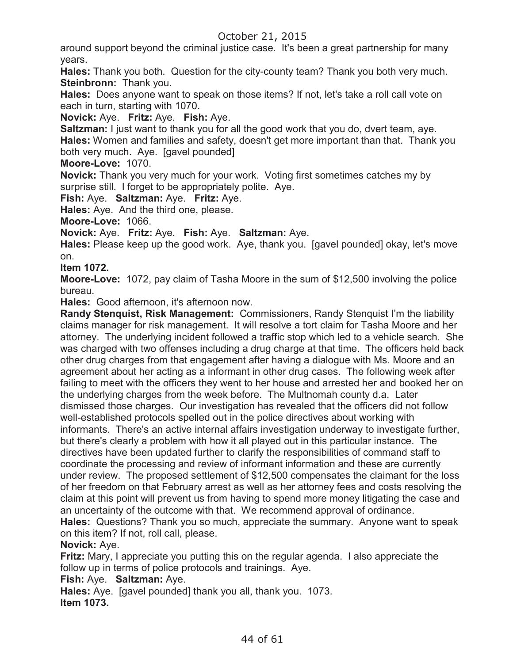around support beyond the criminal justice case. It's been a great partnership for many years.

**Hales:** Thank you both. Question for the city-county team? Thank you both very much. **Steinbronn:** Thank you.

**Hales:** Does anyone want to speak on those items? If not, let's take a roll call vote on each in turn, starting with 1070.

**Novick:** Aye. **Fritz:** Aye. **Fish:** Aye.

**Saltzman:** I just want to thank you for all the good work that you do, dvert team, aye. **Hales:** Women and families and safety, doesn't get more important than that. Thank you both very much. Aye. [gavel pounded]

### **Moore-Love:** 1070.

**Novick:** Thank you very much for your work. Voting first sometimes catches my by surprise still. I forget to be appropriately polite. Aye.

**Fish:** Aye. **Saltzman:** Aye. **Fritz:** Aye.

**Hales:** Aye. And the third one, please.

**Moore-Love:** 1066.

**Novick:** Aye. **Fritz:** Aye. **Fish:** Aye. **Saltzman:** Aye.

**Hales:** Please keep up the good work. Aye, thank you. [gavel pounded] okay, let's move on.

### **Item 1072.**

**Moore-Love:** 1072, pay claim of Tasha Moore in the sum of \$12,500 involving the police bureau.

**Hales:** Good afternoon, it's afternoon now.

**Randy Stenquist, Risk Management:** Commissioners, Randy Stenquist I'm the liability claims manager for risk management. It will resolve a tort claim for Tasha Moore and her attorney. The underlying incident followed a traffic stop which led to a vehicle search. She was charged with two offenses including a drug charge at that time. The officers held back other drug charges from that engagement after having a dialogue with Ms. Moore and an agreement about her acting as a informant in other drug cases. The following week after failing to meet with the officers they went to her house and arrested her and booked her on the underlying charges from the week before. The Multnomah county d.a. Later dismissed those charges. Our investigation has revealed that the officers did not follow well-established protocols spelled out in the police directives about working with informants. There's an active internal affairs investigation underway to investigate further, but there's clearly a problem with how it all played out in this particular instance. The directives have been updated further to clarify the responsibilities of command staff to coordinate the processing and review of informant information and these are currently under review. The proposed settlement of \$12,500 compensates the claimant for the loss of her freedom on that February arrest as well as her attorney fees and costs resolving the claim at this point will prevent us from having to spend more money litigating the case and an uncertainty of the outcome with that. We recommend approval of ordinance. **Hales:** Questions? Thank you so much, appreciate the summary. Anyone want to speak on this item? If not, roll call, please.

### **Novick:** Aye.

**Fritz:** Mary, I appreciate you putting this on the regular agenda. I also appreciate the follow up in terms of police protocols and trainings. Aye.

### **Fish:** Aye. **Saltzman:** Aye.

**Hales:** Aye. [gavel pounded] thank you all, thank you. 1073. **Item 1073.**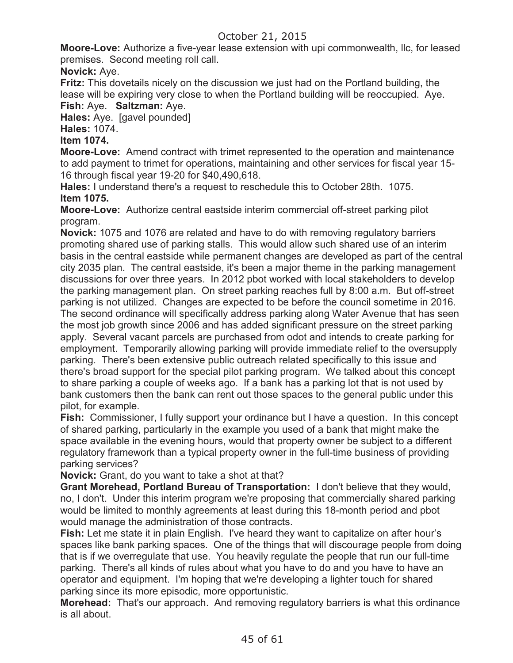**Moore-Love:** Authorize a five-year lease extension with upi commonwealth, llc, for leased premises. Second meeting roll call.

**Novick:** Aye.

**Fritz:** This dovetails nicely on the discussion we just had on the Portland building, the lease will be expiring very close to when the Portland building will be reoccupied. Aye.

**Fish:** Aye. **Saltzman:** Aye.

**Hales:** Aye. [gavel pounded]

**Hales:** 1074.

### **Item 1074.**

**Moore-Love:** Amend contract with trimet represented to the operation and maintenance to add payment to trimet for operations, maintaining and other services for fiscal year 15- 16 through fiscal year 19-20 for \$40,490,618.

**Hales:** I understand there's a request to reschedule this to October 28th. 1075. **Item 1075.**

**Moore-Love:** Authorize central eastside interim commercial off-street parking pilot program.

**Novick:** 1075 and 1076 are related and have to do with removing regulatory barriers promoting shared use of parking stalls. This would allow such shared use of an interim basis in the central eastside while permanent changes are developed as part of the central city 2035 plan. The central eastside, it's been a major theme in the parking management discussions for over three years. In 2012 pbot worked with local stakeholders to develop the parking management plan. On street parking reaches full by 8:00 a.m. But off-street parking is not utilized. Changes are expected to be before the council sometime in 2016. The second ordinance will specifically address parking along Water Avenue that has seen the most job growth since 2006 and has added significant pressure on the street parking apply. Several vacant parcels are purchased from odot and intends to create parking for employment. Temporarily allowing parking will provide immediate relief to the oversupply parking. There's been extensive public outreach related specifically to this issue and there's broad support for the special pilot parking program. We talked about this concept to share parking a couple of weeks ago. If a bank has a parking lot that is not used by bank customers then the bank can rent out those spaces to the general public under this pilot, for example.

**Fish:** Commissioner, I fully support your ordinance but I have a question. In this concept of shared parking, particularly in the example you used of a bank that might make the space available in the evening hours, would that property owner be subject to a different regulatory framework than a typical property owner in the full-time business of providing parking services?

**Novick:** Grant, do you want to take a shot at that?

**Grant Morehead, Portland Bureau of Transportation:** I don't believe that they would, no, I don't. Under this interim program we're proposing that commercially shared parking would be limited to monthly agreements at least during this 18-month period and pbot would manage the administration of those contracts.

**Fish:** Let me state it in plain English. I've heard they want to capitalize on after hour's spaces like bank parking spaces. One of the things that will discourage people from doing that is if we overregulate that use. You heavily regulate the people that run our full-time parking. There's all kinds of rules about what you have to do and you have to have an operator and equipment. I'm hoping that we're developing a lighter touch for shared parking since its more episodic, more opportunistic.

**Morehead:** That's our approach. And removing regulatory barriers is what this ordinance is all about.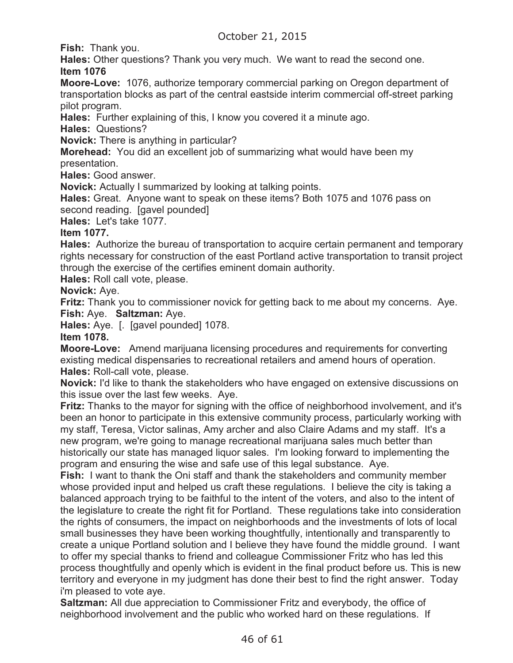**Fish:** Thank you.

**Hales:** Other questions? Thank you very much. We want to read the second one. **Item 1076**

**Moore-Love:** 1076, authorize temporary commercial parking on Oregon department of transportation blocks as part of the central eastside interim commercial off-street parking pilot program.

**Hales:** Further explaining of this, I know you covered it a minute ago.

**Hales:** Questions?

**Novick:** There is anything in particular?

**Morehead:** You did an excellent job of summarizing what would have been my

presentation.

**Hales:** Good answer.

**Novick:** Actually I summarized by looking at talking points.

**Hales:** Great. Anyone want to speak on these items? Both 1075 and 1076 pass on second reading. [gavel pounded]

**Hales:** Let's take 1077.

### **Item 1077.**

**Hales:** Authorize the bureau of transportation to acquire certain permanent and temporary rights necessary for construction of the east Portland active transportation to transit project through the exercise of the certifies eminent domain authority.

**Hales:** Roll call vote, please.

**Novick:** Aye.

**Fritz:** Thank you to commissioner novick for getting back to me about my concerns. Aye. **Fish:** Aye. **Saltzman:** Aye.

**Hales:** Aye. [. [gavel pounded] 1078.

**Item 1078.**

**Moore-Love:** Amend marijuana licensing procedures and requirements for converting existing medical dispensaries to recreational retailers and amend hours of operation. **Hales:** Roll-call vote, please.

**Novick:** I'd like to thank the stakeholders who have engaged on extensive discussions on this issue over the last few weeks. Aye.

**Fritz:** Thanks to the mayor for signing with the office of neighborhood involvement, and it's been an honor to participate in this extensive community process, particularly working with my staff, Teresa, Victor salinas, Amy archer and also Claire Adams and my staff. It's a new program, we're going to manage recreational marijuana sales much better than historically our state has managed liquor sales. I'm looking forward to implementing the program and ensuring the wise and safe use of this legal substance. Aye.

**Fish:** I want to thank the Oni staff and thank the stakeholders and community member whose provided input and helped us craft these regulations. I believe the city is taking a balanced approach trying to be faithful to the intent of the voters, and also to the intent of the legislature to create the right fit for Portland. These regulations take into consideration the rights of consumers, the impact on neighborhoods and the investments of lots of local small businesses they have been working thoughtfully, intentionally and transparently to create a unique Portland solution and I believe they have found the middle ground. I want to offer my special thanks to friend and colleague Commissioner Fritz who has led this process thoughtfully and openly which is evident in the final product before us. This is new territory and everyone in my judgment has done their best to find the right answer. Today i'm pleased to vote aye.

**Saltzman:** All due appreciation to Commissioner Fritz and everybody, the office of neighborhood involvement and the public who worked hard on these regulations. If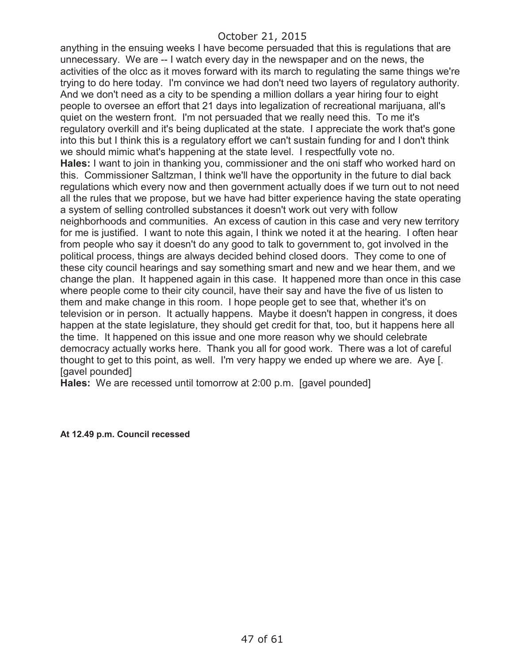anything in the ensuing weeks I have become persuaded that this is regulations that are unnecessary. We are -- I watch every day in the newspaper and on the news, the activities of the olcc as it moves forward with its march to regulating the same things we're trying to do here today. I'm convince we had don't need two layers of regulatory authority. And we don't need as a city to be spending a million dollars a year hiring four to eight people to oversee an effort that 21 days into legalization of recreational marijuana, all's quiet on the western front. I'm not persuaded that we really need this. To me it's regulatory overkill and it's being duplicated at the state. I appreciate the work that's gone into this but I think this is a regulatory effort we can't sustain funding for and I don't think we should mimic what's happening at the state level. I respectfully vote no. **Hales:** I want to join in thanking you, commissioner and the oni staff who worked hard on this. Commissioner Saltzman, I think we'll have the opportunity in the future to dial back regulations which every now and then government actually does if we turn out to not need all the rules that we propose, but we have had bitter experience having the state operating a system of selling controlled substances it doesn't work out very with follow neighborhoods and communities. An excess of caution in this case and very new territory for me is justified. I want to note this again, I think we noted it at the hearing. I often hear from people who say it doesn't do any good to talk to government to, got involved in the political process, things are always decided behind closed doors. They come to one of these city council hearings and say something smart and new and we hear them, and we change the plan. It happened again in this case. It happened more than once in this case where people come to their city council, have their say and have the five of us listen to them and make change in this room. I hope people get to see that, whether it's on television or in person. It actually happens. Maybe it doesn't happen in congress, it does happen at the state legislature, they should get credit for that, too, but it happens here all the time. It happened on this issue and one more reason why we should celebrate democracy actually works here. Thank you all for good work. There was a lot of careful thought to get to this point, as well. I'm very happy we ended up where we are. Aye [. [gavel pounded]

**Hales:** We are recessed until tomorrow at 2:00 p.m. [gavel pounded]

**At 12.49 p.m. Council recessed**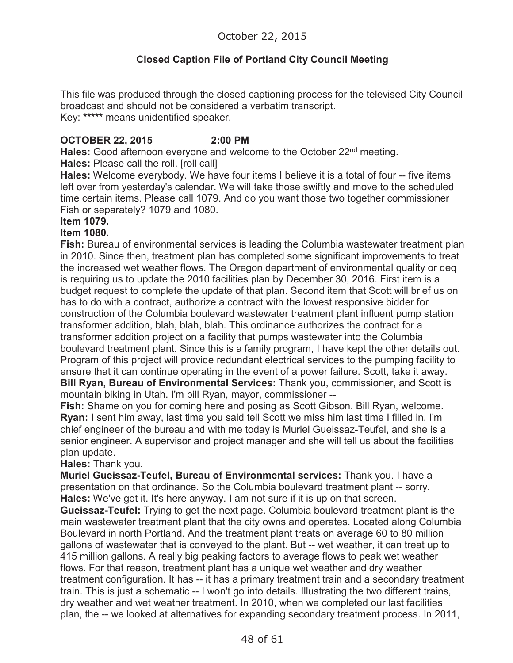# **Closed Caption File of Portland City Council Meeting**

This file was produced through the closed captioning process for the televised City Council broadcast and should not be considered a verbatim transcript. Key: **\*\*\*\*\*** means unidentified speaker.

### **OCTOBER 22, 2015 2:00 PM**

Hales: Good afternoon everyone and welcome to the October 22<sup>nd</sup> meeting. **Hales:** Please call the roll. [roll call]

**Hales:** Welcome everybody. We have four items I believe it is a total of four -- five items left over from yesterday's calendar. We will take those swiftly and move to the scheduled time certain items. Please call 1079. And do you want those two together commissioner Fish or separately? 1079 and 1080.

#### **Item 1079.**

#### **Item 1080.**

**Fish:** Bureau of environmental services is leading the Columbia wastewater treatment plan in 2010. Since then, treatment plan has completed some significant improvements to treat the increased wet weather flows. The Oregon department of environmental quality or deq is requiring us to update the 2010 facilities plan by December 30, 2016. First item is a budget request to complete the update of that plan. Second item that Scott will brief us on has to do with a contract, authorize a contract with the lowest responsive bidder for construction of the Columbia boulevard wastewater treatment plant influent pump station transformer addition, blah, blah, blah. This ordinance authorizes the contract for a transformer addition project on a facility that pumps wastewater into the Columbia boulevard treatment plant. Since this is a family program, I have kept the other details out. Program of this project will provide redundant electrical services to the pumping facility to ensure that it can continue operating in the event of a power failure. Scott, take it away. **Bill Ryan, Bureau of Environmental Services:** Thank you, commissioner, and Scott is mountain biking in Utah. I'm bill Ryan, mayor, commissioner --

**Fish:** Shame on you for coming here and posing as Scott Gibson. Bill Ryan, welcome. **Ryan:** I sent him away, last time you said tell Scott we miss him last time I filled in. I'm chief engineer of the bureau and with me today is Muriel Gueissaz-Teufel, and she is a senior engineer. A supervisor and project manager and she will tell us about the facilities plan update.

**Hales:** Thank you.

**Muriel Gueissaz-Teufel, Bureau of Environmental services:** Thank you. I have a presentation on that ordinance. So the Columbia boulevard treatment plant -- sorry. **Hales:** We've got it. It's here anyway. I am not sure if it is up on that screen.

**Gueissaz-Teufel:** Trying to get the next page. Columbia boulevard treatment plant is the main wastewater treatment plant that the city owns and operates. Located along Columbia Boulevard in north Portland. And the treatment plant treats on average 60 to 80 million gallons of wastewater that is conveyed to the plant. But -- wet weather, it can treat up to 415 million gallons. A really big peaking factors to average flows to peak wet weather flows. For that reason, treatment plant has a unique wet weather and dry weather treatment configuration. It has -- it has a primary treatment train and a secondary treatment train. This is just a schematic -- I won't go into details. Illustrating the two different trains, dry weather and wet weather treatment. In 2010, when we completed our last facilities plan, the -- we looked at alternatives for expanding secondary treatment process. In 2011,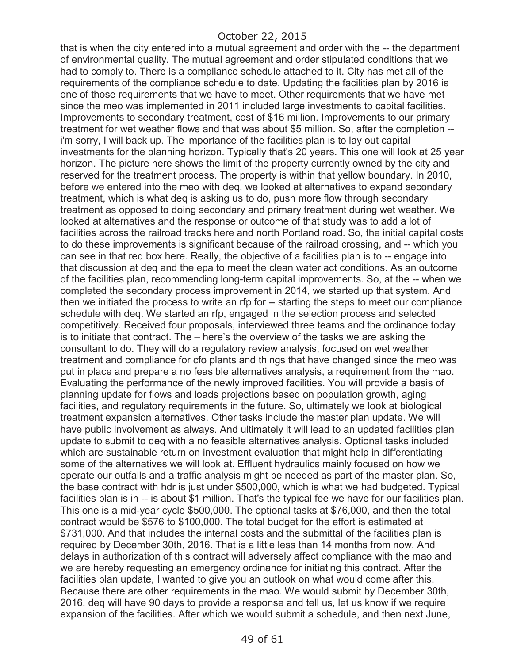that is when the city entered into a mutual agreement and order with the -- the department of environmental quality. The mutual agreement and order stipulated conditions that we had to comply to. There is a compliance schedule attached to it. City has met all of the requirements of the compliance schedule to date. Updating the facilities plan by 2016 is one of those requirements that we have to meet. Other requirements that we have met since the meo was implemented in 2011 included large investments to capital facilities. Improvements to secondary treatment, cost of \$16 million. Improvements to our primary treatment for wet weather flows and that was about \$5 million. So, after the completion - i'm sorry, I will back up. The importance of the facilities plan is to lay out capital investments for the planning horizon. Typically that's 20 years. This one will look at 25 year horizon. The picture here shows the limit of the property currently owned by the city and reserved for the treatment process. The property is within that yellow boundary. In 2010, before we entered into the meo with deq, we looked at alternatives to expand secondary treatment, which is what deq is asking us to do, push more flow through secondary treatment as opposed to doing secondary and primary treatment during wet weather. We looked at alternatives and the response or outcome of that study was to add a lot of facilities across the railroad tracks here and north Portland road. So, the initial capital costs to do these improvements is significant because of the railroad crossing, and -- which you can see in that red box here. Really, the objective of a facilities plan is to -- engage into that discussion at deq and the epa to meet the clean water act conditions. As an outcome of the facilities plan, recommending long-term capital improvements. So, at the -- when we completed the secondary process improvement in 2014, we started up that system. And then we initiated the process to write an rfp for -- starting the steps to meet our compliance schedule with deq. We started an rfp, engaged in the selection process and selected competitively. Received four proposals, interviewed three teams and the ordinance today is to initiate that contract. The – here's the overview of the tasks we are asking the consultant to do. They will do a regulatory review analysis, focused on wet weather treatment and compliance for cfo plants and things that have changed since the meo was put in place and prepare a no feasible alternatives analysis, a requirement from the mao. Evaluating the performance of the newly improved facilities. You will provide a basis of planning update for flows and loads projections based on population growth, aging facilities, and regulatory requirements in the future. So, ultimately we look at biological treatment expansion alternatives. Other tasks include the master plan update. We will have public involvement as always. And ultimately it will lead to an updated facilities plan update to submit to deq with a no feasible alternatives analysis. Optional tasks included which are sustainable return on investment evaluation that might help in differentiating some of the alternatives we will look at. Effluent hydraulics mainly focused on how we operate our outfalls and a traffic analysis might be needed as part of the master plan. So, the base contract with hdr is just under \$500,000, which is what we had budgeted. Typical facilities plan is in -- is about \$1 million. That's the typical fee we have for our facilities plan. This one is a mid-year cycle \$500,000. The optional tasks at \$76,000, and then the total contract would be \$576 to \$100,000. The total budget for the effort is estimated at \$731,000. And that includes the internal costs and the submittal of the facilities plan is required by December 30th, 2016. That is a little less than 14 months from now. And delays in authorization of this contract will adversely affect compliance with the mao and we are hereby requesting an emergency ordinance for initiating this contract. After the facilities plan update, I wanted to give you an outlook on what would come after this. Because there are other requirements in the mao. We would submit by December 30th, 2016, deq will have 90 days to provide a response and tell us, let us know if we require expansion of the facilities. After which we would submit a schedule, and then next June,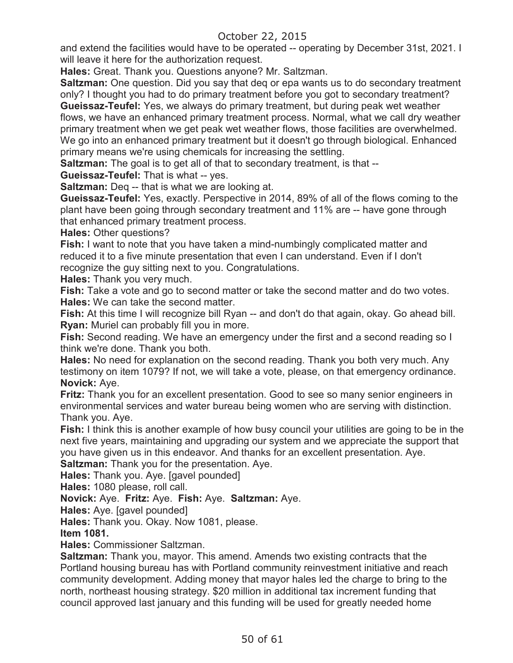and extend the facilities would have to be operated -- operating by December 31st, 2021. I will leave it here for the authorization request.

**Hales:** Great. Thank you. Questions anyone? Mr. Saltzman.

**Saltzman:** One question. Did you say that deq or epa wants us to do secondary treatment only? I thought you had to do primary treatment before you got to secondary treatment? **Gueissaz-Teufel:** Yes, we always do primary treatment, but during peak wet weather

flows, we have an enhanced primary treatment process. Normal, what we call dry weather primary treatment when we get peak wet weather flows, those facilities are overwhelmed. We go into an enhanced primary treatment but it doesn't go through biological. Enhanced primary means we're using chemicals for increasing the settling.

**Saltzman:** The goal is to get all of that to secondary treatment, is that --

**Gueissaz-Teufel:** That is what -- yes.

**Saltzman:** Deq -- that is what we are looking at.

**Gueissaz-Teufel:** Yes, exactly. Perspective in 2014, 89% of all of the flows coming to the plant have been going through secondary treatment and 11% are -- have gone through that enhanced primary treatment process.

**Hales:** Other questions?

**Fish:** I want to note that you have taken a mind-numbingly complicated matter and reduced it to a five minute presentation that even I can understand. Even if I don't recognize the guy sitting next to you. Congratulations.

**Hales:** Thank you very much.

**Fish:** Take a vote and go to second matter or take the second matter and do two votes. **Hales:** We can take the second matter.

**Fish:** At this time I will recognize bill Ryan -- and don't do that again, okay. Go ahead bill. **Ryan:** Muriel can probably fill you in more.

**Fish:** Second reading. We have an emergency under the first and a second reading so I think we're done. Thank you both.

**Hales:** No need for explanation on the second reading. Thank you both very much. Any testimony on item 1079? If not, we will take a vote, please, on that emergency ordinance. **Novick:** Aye.

**Fritz:** Thank you for an excellent presentation. Good to see so many senior engineers in environmental services and water bureau being women who are serving with distinction. Thank you. Aye.

**Fish:** I think this is another example of how busy council your utilities are going to be in the next five years, maintaining and upgrading our system and we appreciate the support that you have given us in this endeavor. And thanks for an excellent presentation. Aye.

**Saltzman:** Thank you for the presentation. Aye.

**Hales:** Thank you. Aye. [gavel pounded]

**Hales:** 1080 please, roll call.

**Novick:** Aye. **Fritz:** Aye. **Fish:** Aye. **Saltzman:** Aye.

**Hales:** Aye. [gavel pounded]

**Hales:** Thank you. Okay. Now 1081, please.

**Item 1081.** 

**Hales:** Commissioner Saltzman.

**Saltzman:** Thank you, mayor. This amend. Amends two existing contracts that the Portland housing bureau has with Portland community reinvestment initiative and reach community development. Adding money that mayor hales led the charge to bring to the north, northeast housing strategy. \$20 million in additional tax increment funding that council approved last january and this funding will be used for greatly needed home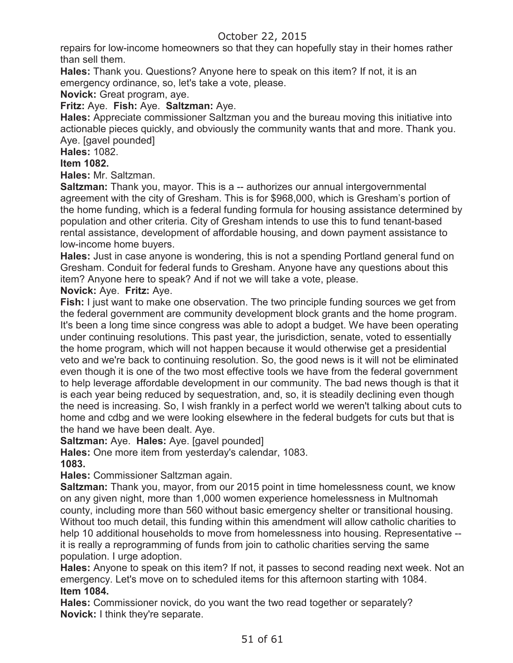repairs for low-income homeowners so that they can hopefully stay in their homes rather than sell them.

**Hales:** Thank you. Questions? Anyone here to speak on this item? If not, it is an emergency ordinance, so, let's take a vote, please.

**Novick:** Great program, aye.

**Fritz:** Aye. **Fish:** Aye. **Saltzman:** Aye.

**Hales:** Appreciate commissioner Saltzman you and the bureau moving this initiative into actionable pieces quickly, and obviously the community wants that and more. Thank you. Aye. [gavel pounded]

# **Hales:** 1082.

# **Item 1082.**

**Hales:** Mr. Saltzman.

**Saltzman:** Thank you, mayor. This is a -- authorizes our annual intergovernmental agreement with the city of Gresham. This is for \$968,000, which is Gresham's portion of the home funding, which is a federal funding formula for housing assistance determined by population and other criteria. City of Gresham intends to use this to fund tenant-based rental assistance, development of affordable housing, and down payment assistance to low-income home buyers.

**Hales:** Just in case anyone is wondering, this is not a spending Portland general fund on Gresham. Conduit for federal funds to Gresham. Anyone have any questions about this item? Anyone here to speak? And if not we will take a vote, please.

### **Novick:** Aye. **Fritz:** Aye.

**Fish:** I just want to make one observation. The two principle funding sources we get from the federal government are community development block grants and the home program. It's been a long time since congress was able to adopt a budget. We have been operating under continuing resolutions. This past year, the jurisdiction, senate, voted to essentially the home program, which will not happen because it would otherwise get a presidential veto and we're back to continuing resolution. So, the good news is it will not be eliminated even though it is one of the two most effective tools we have from the federal government to help leverage affordable development in our community. The bad news though is that it is each year being reduced by sequestration, and, so, it is steadily declining even though the need is increasing. So, I wish frankly in a perfect world we weren't talking about cuts to home and cdbg and we were looking elsewhere in the federal budgets for cuts but that is the hand we have been dealt. Aye.

**Saltzman:** Aye. **Hales:** Aye. [gavel pounded]

**Hales:** One more item from yesterday's calendar, 1083.

**1083.** 

**Hales:** Commissioner Saltzman again.

**Saltzman:** Thank you, mayor, from our 2015 point in time homelessness count, we know on any given night, more than 1,000 women experience homelessness in Multnomah county, including more than 560 without basic emergency shelter or transitional housing. Without too much detail, this funding within this amendment will allow catholic charities to help 10 additional households to move from homelessness into housing. Representative - it is really a reprogramming of funds from join to catholic charities serving the same population. I urge adoption.

**Hales:** Anyone to speak on this item? If not, it passes to second reading next week. Not an emergency. Let's move on to scheduled items for this afternoon starting with 1084. **Item 1084.** 

**Hales:** Commissioner novick, do you want the two read together or separately? **Novick:** I think they're separate.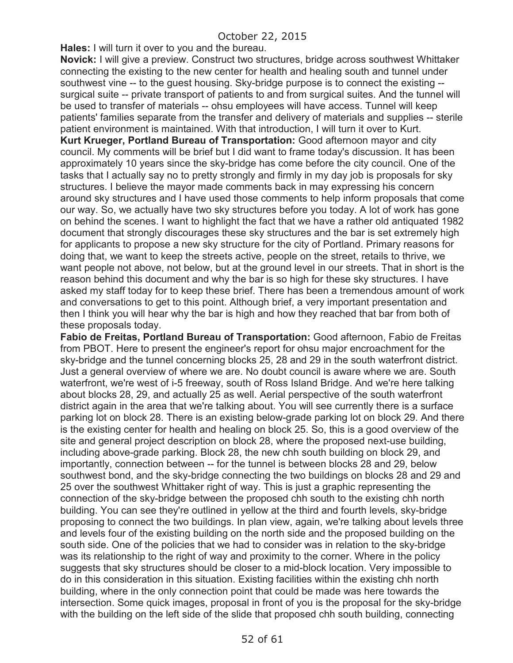**Hales:** I will turn it over to you and the bureau.

**Novick:** I will give a preview. Construct two structures, bridge across southwest Whittaker connecting the existing to the new center for health and healing south and tunnel under southwest vine -- to the guest housing. Sky-bridge purpose is to connect the existing - surgical suite -- private transport of patients to and from surgical suites. And the tunnel will be used to transfer of materials -- ohsu employees will have access. Tunnel will keep patients' families separate from the transfer and delivery of materials and supplies -- sterile patient environment is maintained. With that introduction, I will turn it over to Kurt.

**Kurt Krueger, Portland Bureau of Transportation:** Good afternoon mayor and city council. My comments will be brief but I did want to frame today's discussion. It has been approximately 10 years since the sky-bridge has come before the city council. One of the tasks that I actually say no to pretty strongly and firmly in my day job is proposals for sky structures. I believe the mayor made comments back in may expressing his concern around sky structures and I have used those comments to help inform proposals that come our way. So, we actually have two sky structures before you today. A lot of work has gone on behind the scenes. I want to highlight the fact that we have a rather old antiquated 1982 document that strongly discourages these sky structures and the bar is set extremely high for applicants to propose a new sky structure for the city of Portland. Primary reasons for doing that, we want to keep the streets active, people on the street, retails to thrive, we want people not above, not below, but at the ground level in our streets. That in short is the reason behind this document and why the bar is so high for these sky structures. I have asked my staff today for to keep these brief. There has been a tremendous amount of work and conversations to get to this point. Although brief, a very important presentation and then I think you will hear why the bar is high and how they reached that bar from both of these proposals today.

**Fabio de Freitas, Portland Bureau of Transportation:** Good afternoon, Fabio de Freitas from PBOT. Here to present the engineer's report for ohsu major encroachment for the sky-bridge and the tunnel concerning blocks 25, 28 and 29 in the south waterfront district. Just a general overview of where we are. No doubt council is aware where we are. South waterfront, we're west of i-5 freeway, south of Ross Island Bridge. And we're here talking about blocks 28, 29, and actually 25 as well. Aerial perspective of the south waterfront district again in the area that we're talking about. You will see currently there is a surface parking lot on block 28. There is an existing below-grade parking lot on block 29. And there is the existing center for health and healing on block 25. So, this is a good overview of the site and general project description on block 28, where the proposed next-use building, including above-grade parking. Block 28, the new chh south building on block 29, and importantly, connection between -- for the tunnel is between blocks 28 and 29, below southwest bond, and the sky-bridge connecting the two buildings on blocks 28 and 29 and 25 over the southwest Whittaker right of way. This is just a graphic representing the connection of the sky-bridge between the proposed chh south to the existing chh north building. You can see they're outlined in yellow at the third and fourth levels, sky-bridge proposing to connect the two buildings. In plan view, again, we're talking about levels three and levels four of the existing building on the north side and the proposed building on the south side. One of the policies that we had to consider was in relation to the sky-bridge was its relationship to the right of way and proximity to the corner. Where in the policy suggests that sky structures should be closer to a mid-block location. Very impossible to do in this consideration in this situation. Existing facilities within the existing chh north building, where in the only connection point that could be made was here towards the intersection. Some quick images, proposal in front of you is the proposal for the sky-bridge with the building on the left side of the slide that proposed chh south building, connecting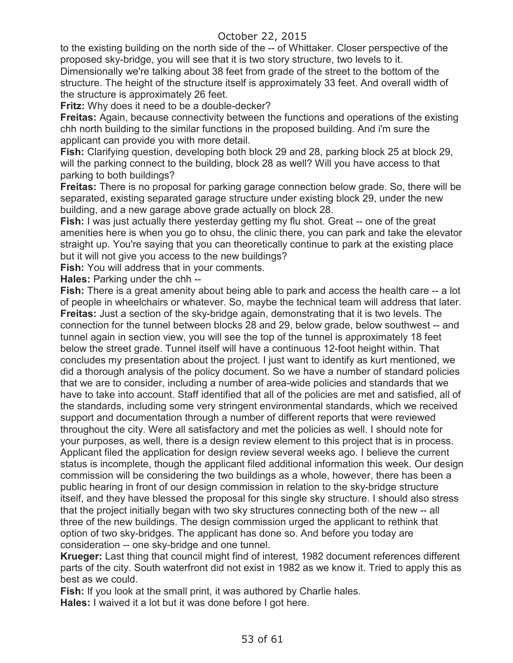to the existing building on the north side of the -- of Whittaker. Closer perspective of the proposed sky-bridge, you will see that it is two story structure, two levels to it. Dimensionally we're talking about 38 feet from grade of the street to the bottom of the structure. The height of the structure itself is approximately 33 feet. And overall width of the structure is approximately 26 feet.

**Fritz:** Why does it need to be a double-decker?

**Freitas:** Again, because connectivity between the functions and operations of the existing chh north building to the similar functions in the proposed building. And i'm sure the applicant can provide you with more detail.

**Fish:** Clarifying question, developing both block 29 and 28, parking block 25 at block 29, will the parking connect to the building, block 28 as well? Will you have access to that parking to both buildings?

**Freitas:** There is no proposal for parking garage connection below grade. So, there will be separated, existing separated garage structure under existing block 29, under the new building, and a new garage above grade actually on block 28.

**Fish:** I was just actually there yesterday getting my flu shot. Great -- one of the great amenities here is when you go to ohsu, the clinic there, you can park and take the elevator straight up. You're saying that you can theoretically continue to park at the existing place but it will not give you access to the new buildings?

**Fish:** You will address that in your comments.

**Hales:** Parking under the chh --

**Fish:** There is a great amenity about being able to park and access the health care -- a lot of people in wheelchairs or whatever. So, maybe the technical team will address that later. **Freitas:** Just a section of the sky-bridge again, demonstrating that it is two levels. The connection for the tunnel between blocks 28 and 29, below grade, below southwest -- and tunnel again in section view, you will see the top of the tunnel is approximately 18 feet below the street grade. Tunnel itself will have a continuous 12-foot height within. That concludes my presentation about the project. I just want to identify as kurt mentioned, we did a thorough analysis of the policy document. So we have a number of standard policies that we are to consider, including a number of area-wide policies and standards that we have to take into account. Staff identified that all of the policies are met and satisfied, all of the standards, including some very stringent environmental standards, which we received support and documentation through a number of different reports that were reviewed throughout the city. Were all satisfactory and met the policies as well. I should note for your purposes, as well, there is a design review element to this project that is in process. Applicant filed the application for design review several weeks ago. I believe the current status is incomplete, though the applicant filed additional information this week. Our design commission will be considering the two buildings as a whole, however, there has been a public hearing in front of our design commission in relation to the sky-bridge structure itself, and they have blessed the proposal for this single sky structure. I should also stress that the project initially began with two sky structures connecting both of the new -- all three of the new buildings. The design commission urged the applicant to rethink that option of two sky-bridges. The applicant has done so. And before you today are consideration -- one sky-bridge and one tunnel.

**Krueger:** Last thing that council might find of interest, 1982 document references different parts of the city. South waterfront did not exist in 1982 as we know it. Tried to apply this as best as we could.

**Fish:** If you look at the small print, it was authored by Charlie hales. **Hales:** I waived it a lot but it was done before I got here.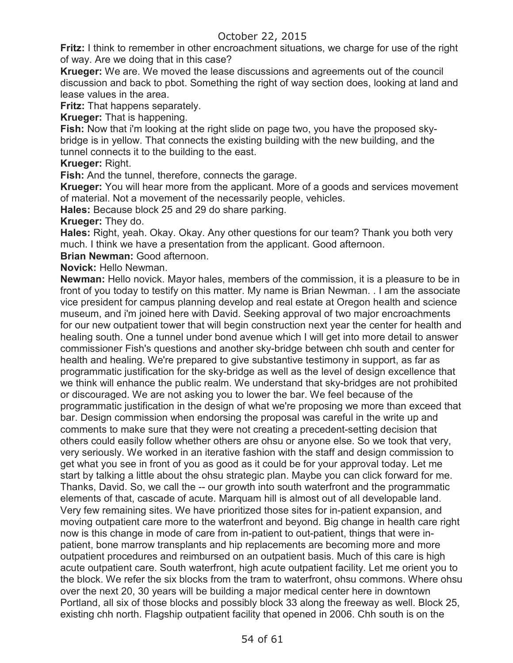**Fritz:** I think to remember in other encroachment situations, we charge for use of the right of way. Are we doing that in this case?

**Krueger:** We are. We moved the lease discussions and agreements out of the council discussion and back to pbot. Something the right of way section does, looking at land and lease values in the area.

**Fritz:** That happens separately.

**Krueger:** That is happening.

**Fish:** Now that i'm looking at the right slide on page two, you have the proposed skybridge is in yellow. That connects the existing building with the new building, and the tunnel connects it to the building to the east.

**Krueger:** Right.

**Fish:** And the tunnel, therefore, connects the garage.

**Krueger:** You will hear more from the applicant. More of a goods and services movement of material. Not a movement of the necessarily people, vehicles.

**Hales:** Because block 25 and 29 do share parking.

**Krueger:** They do.

**Hales:** Right, yeah. Okay. Okay. Any other questions for our team? Thank you both very much. I think we have a presentation from the applicant. Good afternoon.

**Brian Newman:** Good afternoon.

**Novick:** Hello Newman.

**Newman:** Hello novick. Mayor hales, members of the commission, it is a pleasure to be in front of you today to testify on this matter. My name is Brian Newman. . I am the associate vice president for campus planning develop and real estate at Oregon health and science museum, and i'm joined here with David. Seeking approval of two major encroachments for our new outpatient tower that will begin construction next year the center for health and healing south. One a tunnel under bond avenue which I will get into more detail to answer commissioner Fish's questions and another sky-bridge between chh south and center for health and healing. We're prepared to give substantive testimony in support, as far as programmatic justification for the sky-bridge as well as the level of design excellence that we think will enhance the public realm. We understand that sky-bridges are not prohibited or discouraged. We are not asking you to lower the bar. We feel because of the programmatic justification in the design of what we're proposing we more than exceed that bar. Design commission when endorsing the proposal was careful in the write up and comments to make sure that they were not creating a precedent-setting decision that others could easily follow whether others are ohsu or anyone else. So we took that very, very seriously. We worked in an iterative fashion with the staff and design commission to get what you see in front of you as good as it could be for your approval today. Let me start by talking a little about the ohsu strategic plan. Maybe you can click forward for me. Thanks, David. So, we call the -- our growth into south waterfront and the programmatic elements of that, cascade of acute. Marquam hill is almost out of all developable land. Very few remaining sites. We have prioritized those sites for in-patient expansion, and moving outpatient care more to the waterfront and beyond. Big change in health care right now is this change in mode of care from in-patient to out-patient, things that were inpatient, bone marrow transplants and hip replacements are becoming more and more outpatient procedures and reimbursed on an outpatient basis. Much of this care is high acute outpatient care. South waterfront, high acute outpatient facility. Let me orient you to the block. We refer the six blocks from the tram to waterfront, ohsu commons. Where ohsu over the next 20, 30 years will be building a major medical center here in downtown Portland, all six of those blocks and possibly block 33 along the freeway as well. Block 25, existing chh north. Flagship outpatient facility that opened in 2006. Chh south is on the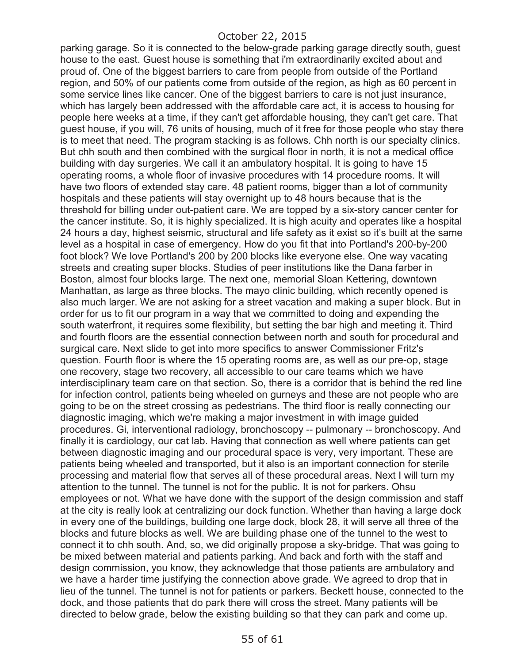parking garage. So it is connected to the below-grade parking garage directly south, guest house to the east. Guest house is something that i'm extraordinarily excited about and proud of. One of the biggest barriers to care from people from outside of the Portland region, and 50% of our patients come from outside of the region, as high as 60 percent in some service lines like cancer. One of the biggest barriers to care is not just insurance, which has largely been addressed with the affordable care act, it is access to housing for people here weeks at a time, if they can't get affordable housing, they can't get care. That guest house, if you will, 76 units of housing, much of it free for those people who stay there is to meet that need. The program stacking is as follows. Chh north is our specialty clinics. But chh south and then combined with the surgical floor in north, it is not a medical office building with day surgeries. We call it an ambulatory hospital. It is going to have 15 operating rooms, a whole floor of invasive procedures with 14 procedure rooms. It will have two floors of extended stay care. 48 patient rooms, bigger than a lot of community hospitals and these patients will stay overnight up to 48 hours because that is the threshold for billing under out-patient care. We are topped by a six-story cancer center for the cancer institute. So, it is highly specialized. It is high acuity and operates like a hospital 24 hours a day, highest seismic, structural and life safety as it exist so it's built at the same level as a hospital in case of emergency. How do you fit that into Portland's 200-by-200 foot block? We love Portland's 200 by 200 blocks like everyone else. One way vacating streets and creating super blocks. Studies of peer institutions like the Dana farber in Boston, almost four blocks large. The next one, memorial Sloan Kettering, downtown Manhattan, as large as three blocks. The mayo clinic building, which recently opened is also much larger. We are not asking for a street vacation and making a super block. But in order for us to fit our program in a way that we committed to doing and expending the south waterfront, it requires some flexibility, but setting the bar high and meeting it. Third and fourth floors are the essential connection between north and south for procedural and surgical care. Next slide to get into more specifics to answer Commissioner Fritz's question. Fourth floor is where the 15 operating rooms are, as well as our pre-op, stage one recovery, stage two recovery, all accessible to our care teams which we have interdisciplinary team care on that section. So, there is a corridor that is behind the red line for infection control, patients being wheeled on gurneys and these are not people who are going to be on the street crossing as pedestrians. The third floor is really connecting our diagnostic imaging, which we're making a major investment in with image guided procedures. Gi, interventional radiology, bronchoscopy -- pulmonary -- bronchoscopy. And finally it is cardiology, our cat lab. Having that connection as well where patients can get between diagnostic imaging and our procedural space is very, very important. These are patients being wheeled and transported, but it also is an important connection for sterile processing and material flow that serves all of these procedural areas. Next I will turn my attention to the tunnel. The tunnel is not for the public. It is not for parkers. Ohsu employees or not. What we have done with the support of the design commission and staff at the city is really look at centralizing our dock function. Whether than having a large dock in every one of the buildings, building one large dock, block 28, it will serve all three of the blocks and future blocks as well. We are building phase one of the tunnel to the west to connect it to chh south. And, so, we did originally propose a sky-bridge. That was going to be mixed between material and patients parking. And back and forth with the staff and design commission, you know, they acknowledge that those patients are ambulatory and we have a harder time justifying the connection above grade. We agreed to drop that in lieu of the tunnel. The tunnel is not for patients or parkers. Beckett house, connected to the dock, and those patients that do park there will cross the street. Many patients will be directed to below grade, below the existing building so that they can park and come up.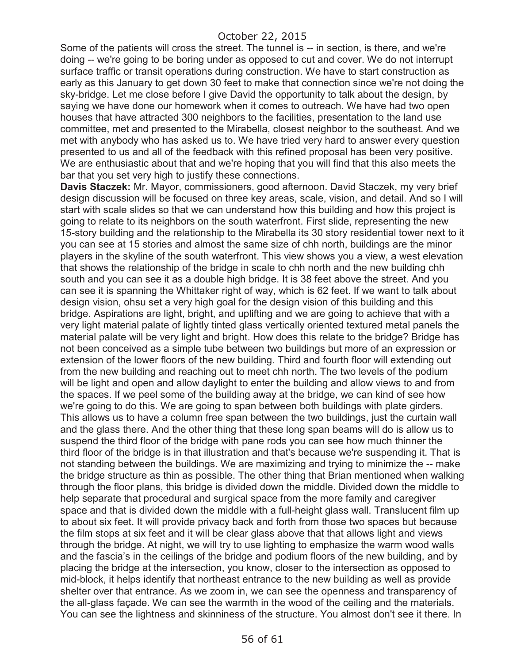Some of the patients will cross the street. The tunnel is -- in section, is there, and we're doing -- we're going to be boring under as opposed to cut and cover. We do not interrupt surface traffic or transit operations during construction. We have to start construction as early as this January to get down 30 feet to make that connection since we're not doing the sky-bridge. Let me close before I give David the opportunity to talk about the design, by saying we have done our homework when it comes to outreach. We have had two open houses that have attracted 300 neighbors to the facilities, presentation to the land use committee, met and presented to the Mirabella, closest neighbor to the southeast. And we met with anybody who has asked us to. We have tried very hard to answer every question presented to us and all of the feedback with this refined proposal has been very positive. We are enthusiastic about that and we're hoping that you will find that this also meets the bar that you set very high to justify these connections.

**Davis Staczek:** Mr. Mayor, commissioners, good afternoon. David Staczek, my very brief design discussion will be focused on three key areas, scale, vision, and detail. And so I will start with scale slides so that we can understand how this building and how this project is going to relate to its neighbors on the south waterfront. First slide, representing the new 15-story building and the relationship to the Mirabella its 30 story residential tower next to it you can see at 15 stories and almost the same size of chh north, buildings are the minor players in the skyline of the south waterfront. This view shows you a view, a west elevation that shows the relationship of the bridge in scale to chh north and the new building chh south and you can see it as a double high bridge. It is 38 feet above the street. And you can see it is spanning the Whittaker right of way, which is 62 feet. If we want to talk about design vision, ohsu set a very high goal for the design vision of this building and this bridge. Aspirations are light, bright, and uplifting and we are going to achieve that with a very light material palate of lightly tinted glass vertically oriented textured metal panels the material palate will be very light and bright. How does this relate to the bridge? Bridge has not been conceived as a simple tube between two buildings but more of an expression or extension of the lower floors of the new building. Third and fourth floor will extending out from the new building and reaching out to meet chh north. The two levels of the podium will be light and open and allow daylight to enter the building and allow views to and from the spaces. If we peel some of the building away at the bridge, we can kind of see how we're going to do this. We are going to span between both buildings with plate girders. This allows us to have a column free span between the two buildings, just the curtain wall and the glass there. And the other thing that these long span beams will do is allow us to suspend the third floor of the bridge with pane rods you can see how much thinner the third floor of the bridge is in that illustration and that's because we're suspending it. That is not standing between the buildings. We are maximizing and trying to minimize the -- make the bridge structure as thin as possible. The other thing that Brian mentioned when walking through the floor plans, this bridge is divided down the middle. Divided down the middle to help separate that procedural and surgical space from the more family and caregiver space and that is divided down the middle with a full-height glass wall. Translucent film up to about six feet. It will provide privacy back and forth from those two spaces but because the film stops at six feet and it will be clear glass above that that allows light and views through the bridge. At night, we will try to use lighting to emphasize the warm wood walls and the fascia's in the ceilings of the bridge and podium floors of the new building, and by placing the bridge at the intersection, you know, closer to the intersection as opposed to mid-block, it helps identify that northeast entrance to the new building as well as provide shelter over that entrance. As we zoom in, we can see the openness and transparency of the all-glass façade. We can see the warmth in the wood of the ceiling and the materials. You can see the lightness and skinniness of the structure. You almost don't see it there. In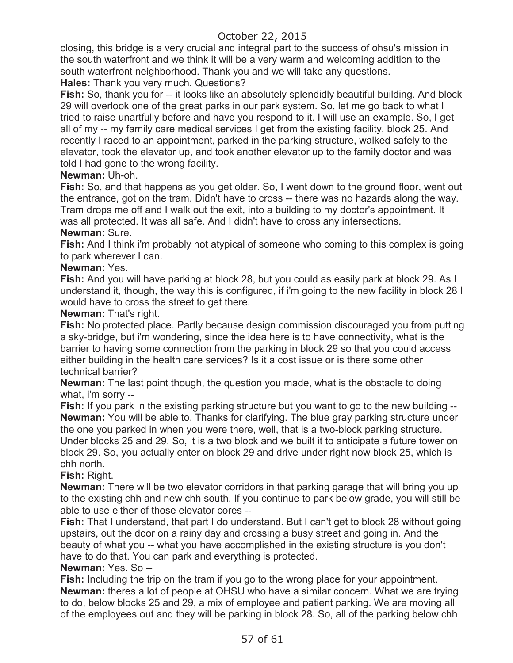closing, this bridge is a very crucial and integral part to the success of ohsu's mission in the south waterfront and we think it will be a very warm and welcoming addition to the south waterfront neighborhood. Thank you and we will take any questions.

**Hales:** Thank you very much. Questions?

**Fish:** So, thank you for -- it looks like an absolutely splendidly beautiful building. And block 29 will overlook one of the great parks in our park system. So, let me go back to what I tried to raise unartfully before and have you respond to it. I will use an example. So, I get all of my -- my family care medical services I get from the existing facility, block 25. And recently I raced to an appointment, parked in the parking structure, walked safely to the elevator, took the elevator up, and took another elevator up to the family doctor and was told I had gone to the wrong facility.

### **Newman:** Uh-oh.

**Fish:** So, and that happens as you get older. So, I went down to the ground floor, went out the entrance, got on the tram. Didn't have to cross -- there was no hazards along the way. Tram drops me off and I walk out the exit, into a building to my doctor's appointment. It was all protected. It was all safe. And I didn't have to cross any intersections.

### **Newman:** Sure.

**Fish:** And I think i'm probably not atypical of someone who coming to this complex is going to park wherever I can.

### **Newman:** Yes.

**Fish:** And you will have parking at block 28, but you could as easily park at block 29. As I understand it, though, the way this is configured, if i'm going to the new facility in block 28 I would have to cross the street to get there.

**Newman:** That's right.

**Fish:** No protected place. Partly because design commission discouraged you from putting a sky-bridge, but i'm wondering, since the idea here is to have connectivity, what is the barrier to having some connection from the parking in block 29 so that you could access either building in the health care services? Is it a cost issue or is there some other technical barrier?

**Newman:** The last point though, the question you made, what is the obstacle to doing what, i'm sorry --

**Fish:** If you park in the existing parking structure but you want to go to the new building -- **Newman:** You will be able to. Thanks for clarifying. The blue gray parking structure under the one you parked in when you were there, well, that is a two-block parking structure. Under blocks 25 and 29. So, it is a two block and we built it to anticipate a future tower on block 29. So, you actually enter on block 29 and drive under right now block 25, which is chh north.

**Fish:** Right.

**Newman:** There will be two elevator corridors in that parking garage that will bring you up to the existing chh and new chh south. If you continue to park below grade, you will still be able to use either of those elevator cores --

**Fish:** That I understand, that part I do understand. But I can't get to block 28 without going upstairs, out the door on a rainy day and crossing a busy street and going in. And the beauty of what you -- what you have accomplished in the existing structure is you don't have to do that. You can park and everything is protected.

### **Newman:** Yes. So --

**Fish:** Including the trip on the tram if you go to the wrong place for your appointment. **Newman:** theres a lot of people at OHSU who have a similar concern. What we are trying to do, below blocks 25 and 29, a mix of employee and patient parking. We are moving all of the employees out and they will be parking in block 28. So, all of the parking below chh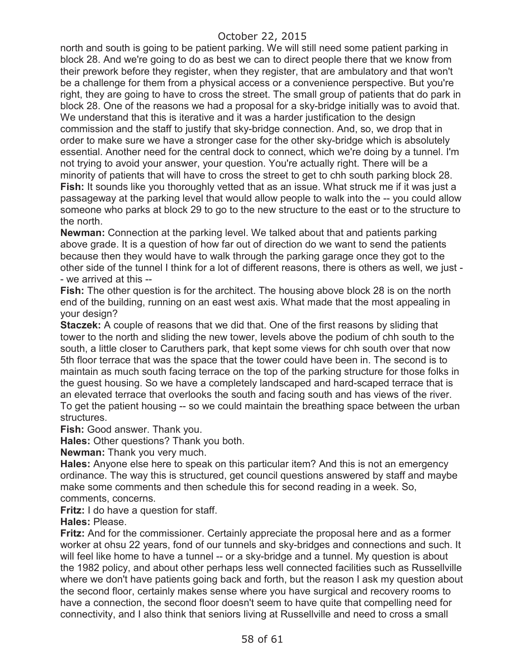north and south is going to be patient parking. We will still need some patient parking in block 28. And we're going to do as best we can to direct people there that we know from their prework before they register, when they register, that are ambulatory and that won't be a challenge for them from a physical access or a convenience perspective. But you're right, they are going to have to cross the street. The small group of patients that do park in block 28. One of the reasons we had a proposal for a sky-bridge initially was to avoid that. We understand that this is iterative and it was a harder justification to the design commission and the staff to justify that sky-bridge connection. And, so, we drop that in order to make sure we have a stronger case for the other sky-bridge which is absolutely essential. Another need for the central dock to connect, which we're doing by a tunnel. I'm not trying to avoid your answer, your question. You're actually right. There will be a minority of patients that will have to cross the street to get to chh south parking block 28. **Fish:** It sounds like you thoroughly vetted that as an issue. What struck me if it was just a passageway at the parking level that would allow people to walk into the -- you could allow someone who parks at block 29 to go to the new structure to the east or to the structure to the north.

**Newman:** Connection at the parking level. We talked about that and patients parking above grade. It is a question of how far out of direction do we want to send the patients because then they would have to walk through the parking garage once they got to the other side of the tunnel I think for a lot of different reasons, there is others as well, we just - - we arrived at this --

**Fish:** The other question is for the architect. The housing above block 28 is on the north end of the building, running on an east west axis. What made that the most appealing in your design?

**Staczek:** A couple of reasons that we did that. One of the first reasons by sliding that tower to the north and sliding the new tower, levels above the podium of chh south to the south, a little closer to Caruthers park, that kept some views for chh south over that now 5th floor terrace that was the space that the tower could have been in. The second is to maintain as much south facing terrace on the top of the parking structure for those folks in the guest housing. So we have a completely landscaped and hard-scaped terrace that is an elevated terrace that overlooks the south and facing south and has views of the river. To get the patient housing -- so we could maintain the breathing space between the urban structures.

**Fish:** Good answer. Thank you.

**Hales:** Other questions? Thank you both.

**Newman:** Thank you very much.

**Hales:** Anyone else here to speak on this particular item? And this is not an emergency ordinance. The way this is structured, get council questions answered by staff and maybe make some comments and then schedule this for second reading in a week. So, comments, concerns.

**Fritz:** I do have a question for staff.

**Hales:** Please.

**Fritz:** And for the commissioner. Certainly appreciate the proposal here and as a former worker at ohsu 22 years, fond of our tunnels and sky-bridges and connections and such. It will feel like home to have a tunnel -- or a sky-bridge and a tunnel. My question is about the 1982 policy, and about other perhaps less well connected facilities such as Russellville where we don't have patients going back and forth, but the reason I ask my question about the second floor, certainly makes sense where you have surgical and recovery rooms to have a connection, the second floor doesn't seem to have quite that compelling need for connectivity, and I also think that seniors living at Russellville and need to cross a small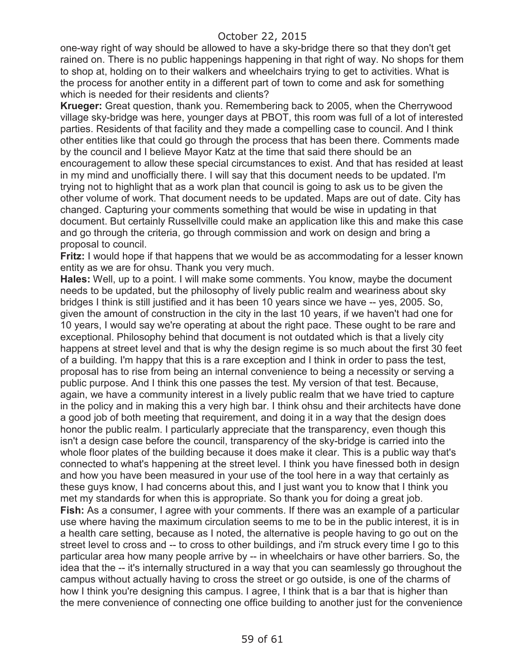one-way right of way should be allowed to have a sky-bridge there so that they don't get rained on. There is no public happenings happening in that right of way. No shops for them to shop at, holding on to their walkers and wheelchairs trying to get to activities. What is the process for another entity in a different part of town to come and ask for something which is needed for their residents and clients?

**Krueger:** Great question, thank you. Remembering back to 2005, when the Cherrywood village sky-bridge was here, younger days at PBOT, this room was full of a lot of interested parties. Residents of that facility and they made a compelling case to council. And I think other entities like that could go through the process that has been there. Comments made by the council and I believe Mayor Katz at the time that said there should be an encouragement to allow these special circumstances to exist. And that has resided at least in my mind and unofficially there. I will say that this document needs to be updated. I'm trying not to highlight that as a work plan that council is going to ask us to be given the other volume of work. That document needs to be updated. Maps are out of date. City has changed. Capturing your comments something that would be wise in updating in that document. But certainly Russellville could make an application like this and make this case and go through the criteria, go through commission and work on design and bring a proposal to council.

**Fritz:** I would hope if that happens that we would be as accommodating for a lesser known entity as we are for ohsu. Thank you very much.

**Hales:** Well, up to a point. I will make some comments. You know, maybe the document needs to be updated, but the philosophy of lively public realm and weariness about sky bridges I think is still justified and it has been 10 years since we have -- yes, 2005. So, given the amount of construction in the city in the last 10 years, if we haven't had one for 10 years, I would say we're operating at about the right pace. These ought to be rare and exceptional. Philosophy behind that document is not outdated which is that a lively city happens at street level and that is why the design regime is so much about the first 30 feet of a building. I'm happy that this is a rare exception and I think in order to pass the test, proposal has to rise from being an internal convenience to being a necessity or serving a public purpose. And I think this one passes the test. My version of that test. Because, again, we have a community interest in a lively public realm that we have tried to capture in the policy and in making this a very high bar. I think ohsu and their architects have done a good job of both meeting that requirement, and doing it in a way that the design does honor the public realm. I particularly appreciate that the transparency, even though this isn't a design case before the council, transparency of the sky-bridge is carried into the whole floor plates of the building because it does make it clear. This is a public way that's connected to what's happening at the street level. I think you have finessed both in design and how you have been measured in your use of the tool here in a way that certainly as these guys know, I had concerns about this, and I just want you to know that I think you met my standards for when this is appropriate. So thank you for doing a great job. **Fish:** As a consumer, I agree with your comments. If there was an example of a particular use where having the maximum circulation seems to me to be in the public interest, it is in a health care setting, because as I noted, the alternative is people having to go out on the street level to cross and -- to cross to other buildings, and i'm struck every time I go to this particular area how many people arrive by -- in wheelchairs or have other barriers. So, the idea that the -- it's internally structured in a way that you can seamlessly go throughout the campus without actually having to cross the street or go outside, is one of the charms of how I think you're designing this campus. I agree, I think that is a bar that is higher than the mere convenience of connecting one office building to another just for the convenience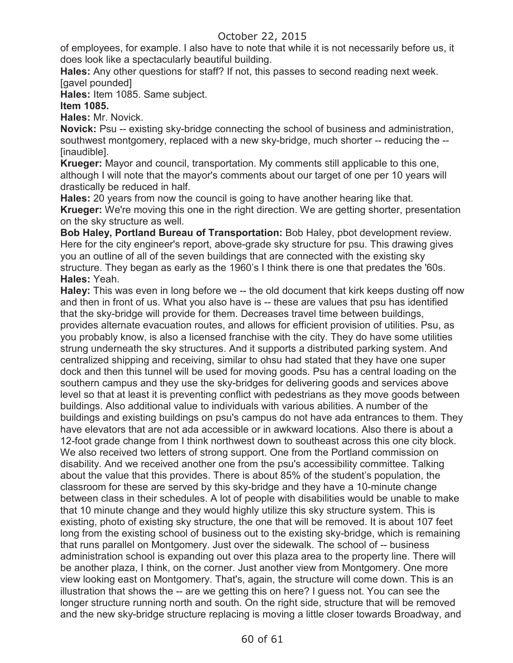of employees, for example. I also have to note that while it is not necessarily before us, it does look like a spectacularly beautiful building.

**Hales:** Any other questions for staff? If not, this passes to second reading next week. [gavel pounded]

**Hales:** Item 1085. Same subject.

### **Item 1085.**

**Hales:** Mr. Novick.

**Novick:** Psu -- existing sky-bridge connecting the school of business and administration, southwest montgomery, replaced with a new sky-bridge, much shorter -- reducing the -- [inaudible].

**Krueger:** Mayor and council, transportation. My comments still applicable to this one, although I will note that the mayor's comments about our target of one per 10 years will drastically be reduced in half.

**Hales:** 20 years from now the council is going to have another hearing like that. **Krueger:** We're moving this one in the right direction. We are getting shorter, presentation on the sky structure as well.

**Bob Haley, Portland Bureau of Transportation:** Bob Haley, pbot development review. Here for the city engineer's report, above-grade sky structure for psu. This drawing gives you an outline of all of the seven buildings that are connected with the existing sky structure. They began as early as the 1960's I think there is one that predates the '60s. **Hales:** Yeah.

**Haley:** This was even in long before we -- the old document that kirk keeps dusting off now and then in front of us. What you also have is -- these are values that psu has identified that the sky-bridge will provide for them. Decreases travel time between buildings, provides alternate evacuation routes, and allows for efficient provision of utilities. Psu, as you probably know, is also a licensed franchise with the city. They do have some utilities strung underneath the sky structures. And it supports a distributed parking system. And centralized shipping and receiving, similar to ohsu had stated that they have one super dock and then this tunnel will be used for moving goods. Psu has a central loading on the southern campus and they use the sky-bridges for delivering goods and services above level so that at least it is preventing conflict with pedestrians as they move goods between buildings. Also additional value to individuals with various abilities. A number of the buildings and existing buildings on psu's campus do not have ada entrances to them. They have elevators that are not ada accessible or in awkward locations. Also there is about a 12-foot grade change from I think northwest down to southeast across this one city block. We also received two letters of strong support. One from the Portland commission on disability. And we received another one from the psu's accessibility committee. Talking about the value that this provides. There is about 85% of the student's population, the classroom for these are served by this sky-bridge and they have a 10-minute change between class in their schedules. A lot of people with disabilities would be unable to make that 10 minute change and they would highly utilize this sky structure system. This is existing, photo of existing sky structure, the one that will be removed. It is about 107 feet long from the existing school of business out to the existing sky-bridge, which is remaining that runs parallel on Montgomery. Just over the sidewalk. The school of -- business administration school is expanding out over this plaza area to the property line. There will be another plaza, I think, on the corner. Just another view from Montgomery. One more view looking east on Montgomery. That's, again, the structure will come down. This is an illustration that shows the -- are we getting this on here? I guess not. You can see the longer structure running north and south. On the right side, structure that will be removed and the new sky-bridge structure replacing is moving a little closer towards Broadway, and